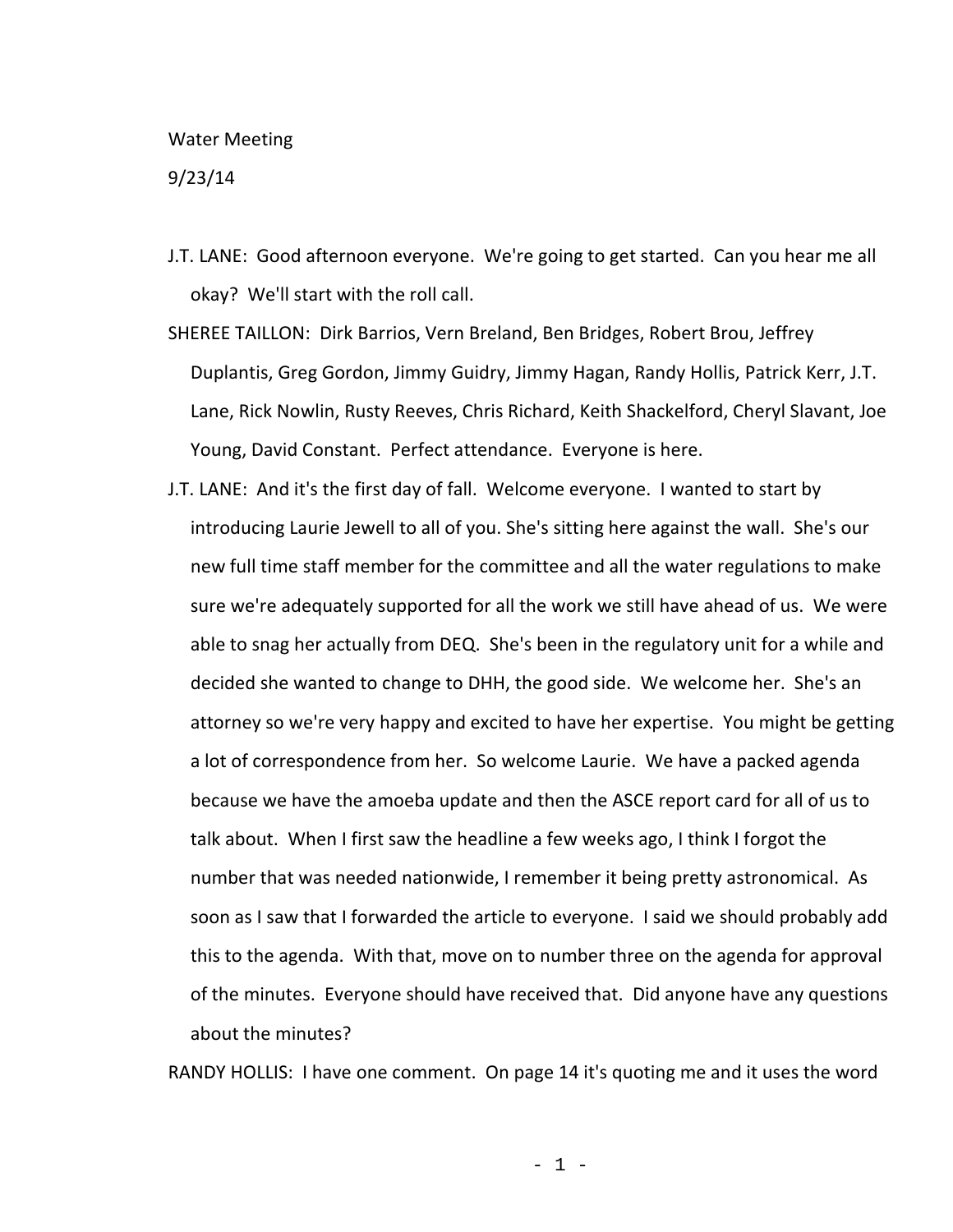## Water Meeting

9/23/14

- J.T. LANE: Good afternoon everyone. We're going to get started. Can you hear me all okay? We'll start with the roll call.
- SHEREE TAILLON: Dirk Barrios, Vern Breland, Ben Bridges, Robert Brou, Jeffrey Duplantis, Greg Gordon, Jimmy Guidry, Jimmy Hagan, Randy Hollis, Patrick Kerr, J.T. Lane, Rick Nowlin, Rusty Reeves, Chris Richard, Keith Shackelford, Cheryl Slavant, Joe Young, David Constant. Perfect attendance. Everyone is here.
- J.T. LANE: And it's the first day of fall. Welcome everyone. I wanted to start by introducing Laurie Jewell to all of you. She's sitting here against the wall. She's our new full time staff member for the committee and all the water regulations to make sure we're adequately supported for all the work we still have ahead of us. We were able to snag her actually from DEQ. She's been in the regulatory unit for a while and decided she wanted to change to DHH, the good side. We welcome her. She's an attorney so we're very happy and excited to have her expertise. You might be getting a lot of correspondence from her. So welcome Laurie. We have a packed agenda because we have the amoeba update and then the ASCE report card for all of us to talk about. When I first saw the headline a few weeks ago, I think I forgot the number that was needed nationwide, I remember it being pretty astronomical. As soon as I saw that I forwarded the article to everyone. I said we should probably add this to the agenda. With that, move on to number three on the agenda for approval of the minutes. Everyone should have received that. Did anyone have any questions about the minutes?

RANDY HOLLIS: I have one comment. On page 14 it's quoting me and it uses the word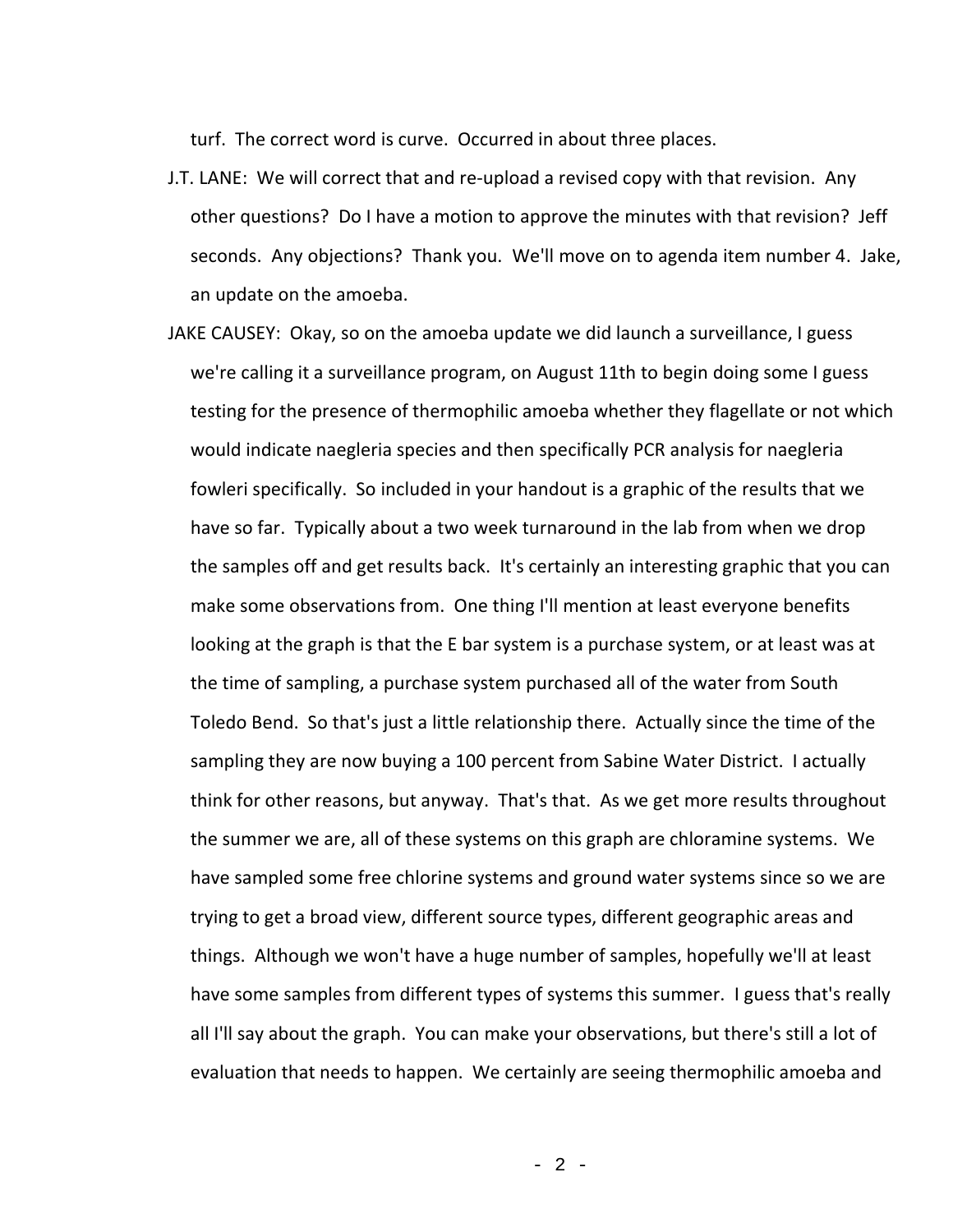turf. The correct word is curve. Occurred in about three places.

- J.T. LANE: We will correct that and re-upload a revised copy with that revision. Any other questions? Do I have a motion to approve the minutes with that revision? Jeff seconds. Any objections? Thank you. We'll move on to agenda item number 4. Jake, an update on the amoeba.
- JAKE CAUSEY: Okay, so on the amoeba update we did launch a surveillance, I guess we're calling it a surveillance program, on August 11th to begin doing some I guess testing for the presence of thermophilic amoeba whether they flagellate or not which would indicate naegleria species and then specifically PCR analysis for naegleria fowleri specifically. So included in your handout is a graphic of the results that we have so far. Typically about a two week turnaround in the lab from when we drop the samples off and get results back. It's certainly an interesting graphic that you can make some observations from. One thing I'll mention at least everyone benefits looking at the graph is that the E bar system is a purchase system, or at least was at the time of sampling, a purchase system purchased all of the water from South Toledo Bend. So that's just a little relationship there. Actually since the time of the sampling they are now buying a 100 percent from Sabine Water District. I actually think for other reasons, but anyway. That's that. As we get more results throughout the summer we are, all of these systems on this graph are chloramine systems. We have sampled some free chlorine systems and ground water systems since so we are trying to get a broad view, different source types, different geographic areas and things. Although we won't have a huge number of samples, hopefully we'll at least have some samples from different types of systems this summer. I guess that's really all I'll say about the graph. You can make your observations, but there's still a lot of evaluation that needs to happen. We certainly are seeing thermophilic amoeba and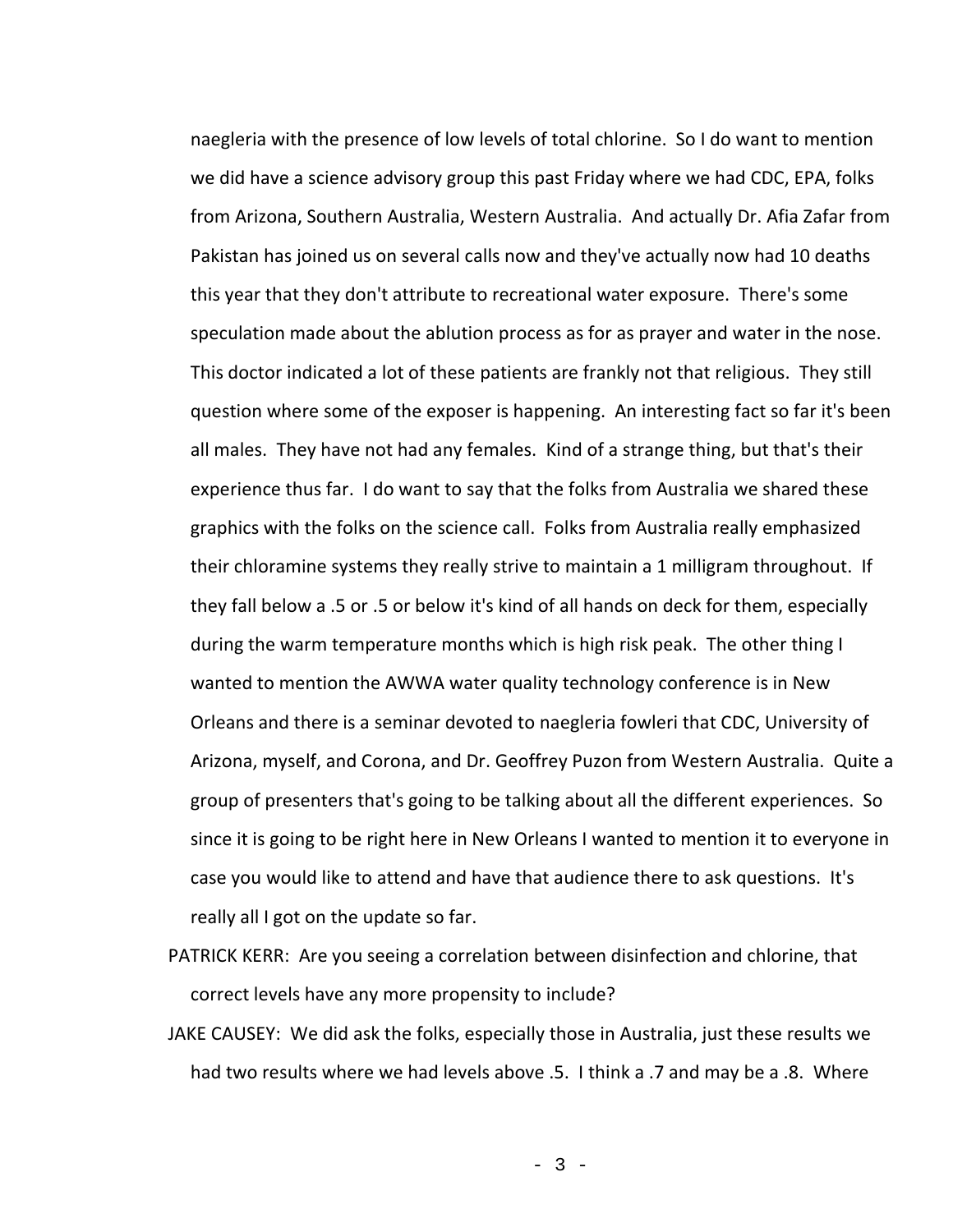naegleria with the presence of low levels of total chlorine. So I do want to mention we did have a science advisory group this past Friday where we had CDC, EPA, folks from Arizona, Southern Australia, Western Australia. And actually Dr. Afia Zafar from Pakistan has joined us on several calls now and they've actually now had 10 deaths this year that they don't attribute to recreational water exposure. There's some speculation made about the ablution process as for as prayer and water in the nose. This doctor indicated a lot of these patients are frankly not that religious. They still question where some of the exposer is happening. An interesting fact so far it's been all males. They have not had any females. Kind of a strange thing, but that's their experience thus far. I do want to say that the folks from Australia we shared these graphics with the folks on the science call. Folks from Australia really emphasized their chloramine systems they really strive to maintain a 1 milligram throughout. If they fall below a .5 or .5 or below it's kind of all hands on deck for them, especially during the warm temperature months which is high risk peak. The other thing I wanted to mention the AWWA water quality technology conference is in New Orleans and there is a seminar devoted to naegleria fowleri that CDC, University of Arizona, myself, and Corona, and Dr. Geoffrey Puzon from Western Australia. Quite a group of presenters that's going to be talking about all the different experiences. So since it is going to be right here in New Orleans I wanted to mention it to everyone in case you would like to attend and have that audience there to ask questions. It's really all I got on the update so far.

- PATRICK KERR: Are you seeing a correlation between disinfection and chlorine, that correct levels have any more propensity to include?
- JAKE CAUSEY: We did ask the folks, especially those in Australia, just these results we had two results where we had levels above .5. I think a .7 and may be a .8. Where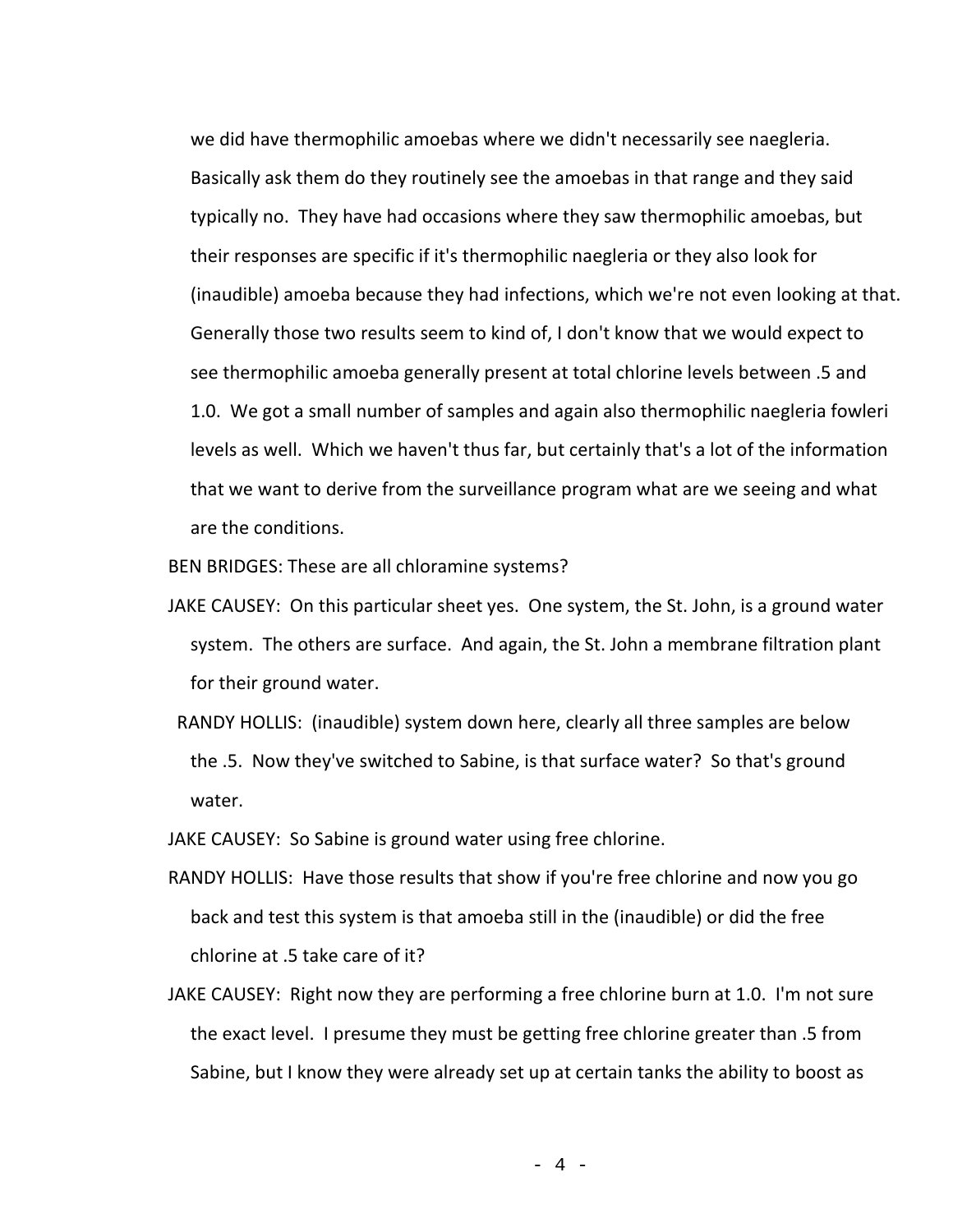we did have thermophilic amoebas where we didn't necessarily see naegleria. Basically ask them do they routinely see the amoebas in that range and they said typically no. They have had occasions where they saw thermophilic amoebas, but their responses are specific if it's thermophilic naegleria or they also look for (inaudible) amoeba because they had infections, which we're not even looking at that. Generally those two results seem to kind of, I don't know that we would expect to see thermophilic amoeba generally present at total chlorine levels between .5 and 1.0. We got a small number of samples and again also thermophilic naegleria fowleri levels as well. Which we haven't thus far, but certainly that's a lot of the information that we want to derive from the surveillance program what are we seeing and what are the conditions.

BEN BRIDGES: These are all chloramine systems?

- JAKE CAUSEY: On this particular sheet yes. One system, the St. John, is a ground water system. The others are surface. And again, the St. John a membrane filtration plant for their ground water.
- RANDY HOLLIS: (inaudible) system down here, clearly all three samples are below the .5. Now they've switched to Sabine, is that surface water? So that's ground water.

JAKE CAUSEY: So Sabine is ground water using free chlorine.

- RANDY HOLLIS: Have those results that show if you're free chlorine and now you go back and test this system is that amoeba still in the (inaudible) or did the free chlorine at .5 take care of it?
- JAKE CAUSEY: Right now they are performing a free chlorine burn at 1.0. I'm not sure the exact level. I presume they must be getting free chlorine greater than .5 from Sabine, but I know they were already set up at certain tanks the ability to boost as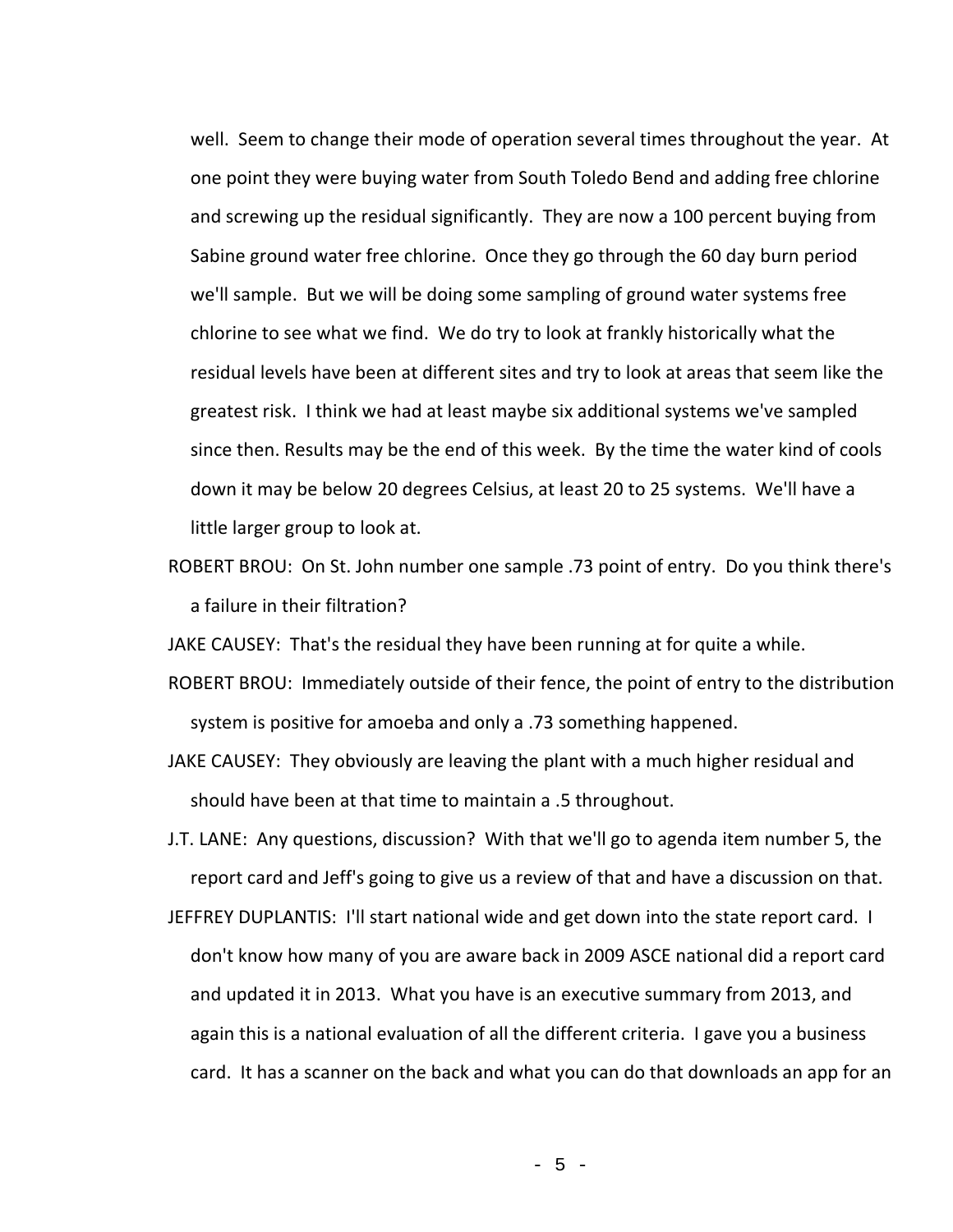well. Seem to change their mode of operation several times throughout the year. At one point they were buying water from South Toledo Bend and adding free chlorine and screwing up the residual significantly. They are now a 100 percent buying from Sabine ground water free chlorine. Once they go through the 60 day burn period we'll sample. But we will be doing some sampling of ground water systems free chlorine to see what we find. We do try to look at frankly historically what the residual levels have been at different sites and try to look at areas that seem like the greatest risk. I think we had at least maybe six additional systems we've sampled since then. Results may be the end of this week. By the time the water kind of cools down it may be below 20 degrees Celsius, at least 20 to 25 systems. We'll have a little larger group to look at.

ROBERT BROU: On St. John number one sample .73 point of entry. Do you think there's a failure in their filtration?

JAKE CAUSEY: That's the residual they have been running at for quite a while.

- ROBERT BROU: Immediately outside of their fence, the point of entry to the distribution system is positive for amoeba and only a .73 something happened.
- JAKE CAUSEY: They obviously are leaving the plant with a much higher residual and should have been at that time to maintain a .5 throughout.
- J.T. LANE: Any questions, discussion? With that we'll go to agenda item number 5, the report card and Jeff's going to give us a review of that and have a discussion on that.
- JEFFREY DUPLANTIS: I'll start national wide and get down into the state report card. I don't know how many of you are aware back in 2009 ASCE national did a report card and updated it in 2013. What you have is an executive summary from 2013, and again this is a national evaluation of all the different criteria. I gave you a business card. It has a scanner on the back and what you can do that downloads an app for an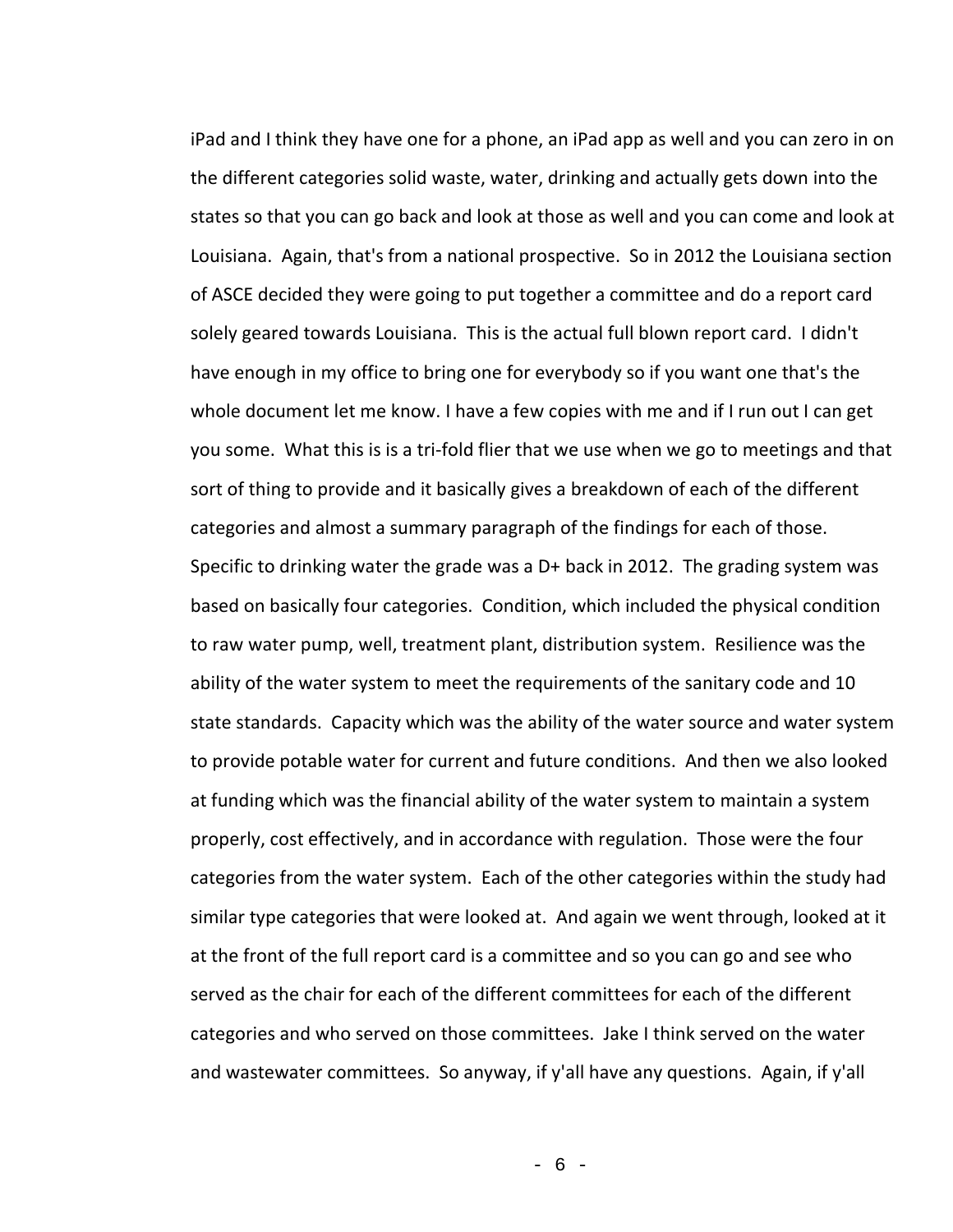iPad and I think they have one for a phone, an iPad app as well and you can zero in on the different categories solid waste, water, drinking and actually gets down into the states so that you can go back and look at those as well and you can come and look at Louisiana. Again, that's from a national prospective. So in 2012 the Louisiana section of ASCE decided they were going to put together a committee and do a report card solely geared towards Louisiana. This is the actual full blown report card. I didn't have enough in my office to bring one for everybody so if you want one that's the whole document let me know. I have a few copies with me and if I run out I can get you some. What this is is a tri-fold flier that we use when we go to meetings and that sort of thing to provide and it basically gives a breakdown of each of the different categories and almost a summary paragraph of the findings for each of those. Specific to drinking water the grade was a D+ back in 2012. The grading system was based on basically four categories. Condition, which included the physical condition to raw water pump, well, treatment plant, distribution system. Resilience was the ability of the water system to meet the requirements of the sanitary code and 10 state standards. Capacity which was the ability of the water source and water system to provide potable water for current and future conditions. And then we also looked at funding which was the financial ability of the water system to maintain a system properly, cost effectively, and in accordance with regulation. Those were the four categories from the water system. Each of the other categories within the study had similar type categories that were looked at. And again we went through, looked at it at the front of the full report card is a committee and so you can go and see who served as the chair for each of the different committees for each of the different categories and who served on those committees. Jake I think served on the water and wastewater committees. So anyway, if y'all have any questions. Again, if y'all

- 6 -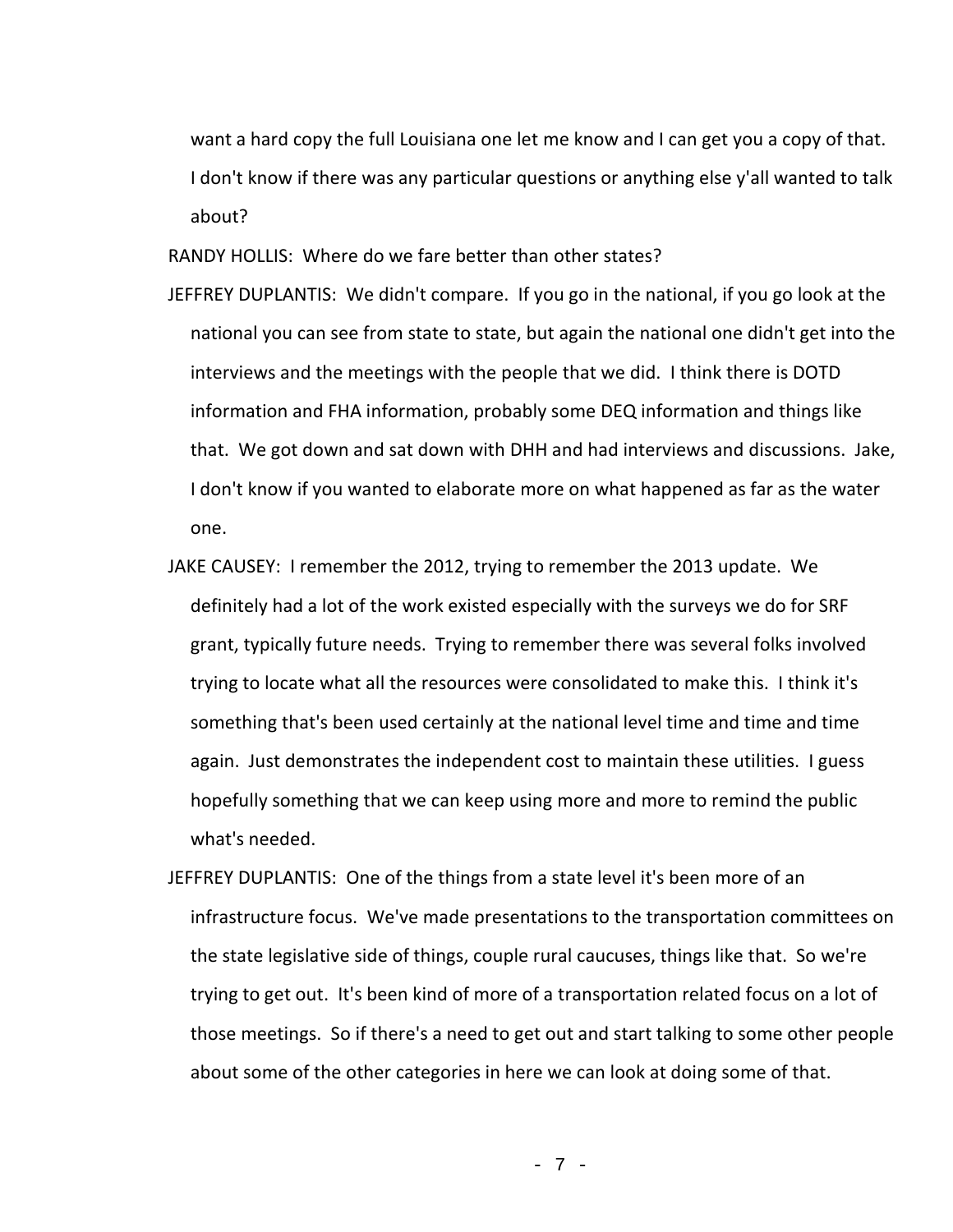want a hard copy the full Louisiana one let me know and I can get you a copy of that. I don't know if there was any particular questions or anything else y'all wanted to talk about?

RANDY HOLLIS: Where do we fare better than other states?

- JEFFREY DUPLANTIS: We didn't compare. If you go in the national, if you go look at the national you can see from state to state, but again the national one didn't get into the interviews and the meetings with the people that we did. I think there is DOTD information and FHA information, probably some DEQ information and things like that. We got down and sat down with DHH and had interviews and discussions. Jake, I don't know if you wanted to elaborate more on what happened as far as the water one.
- JAKE CAUSEY: I remember the 2012, trying to remember the 2013 update. We definitely had a lot of the work existed especially with the surveys we do for SRF grant, typically future needs. Trying to remember there was several folks involved trying to locate what all the resources were consolidated to make this. I think it's something that's been used certainly at the national level time and time and time again. Just demonstrates the independent cost to maintain these utilities. I guess hopefully something that we can keep using more and more to remind the public what's needed.
- JEFFREY DUPLANTIS: One of the things from a state level it's been more of an infrastructure focus. We've made presentations to the transportation committees on the state legislative side of things, couple rural caucuses, things like that. So we're trying to get out. It's been kind of more of a transportation related focus on a lot of those meetings. So if there's a need to get out and start talking to some other people about some of the other categories in here we can look at doing some of that.

- 7 -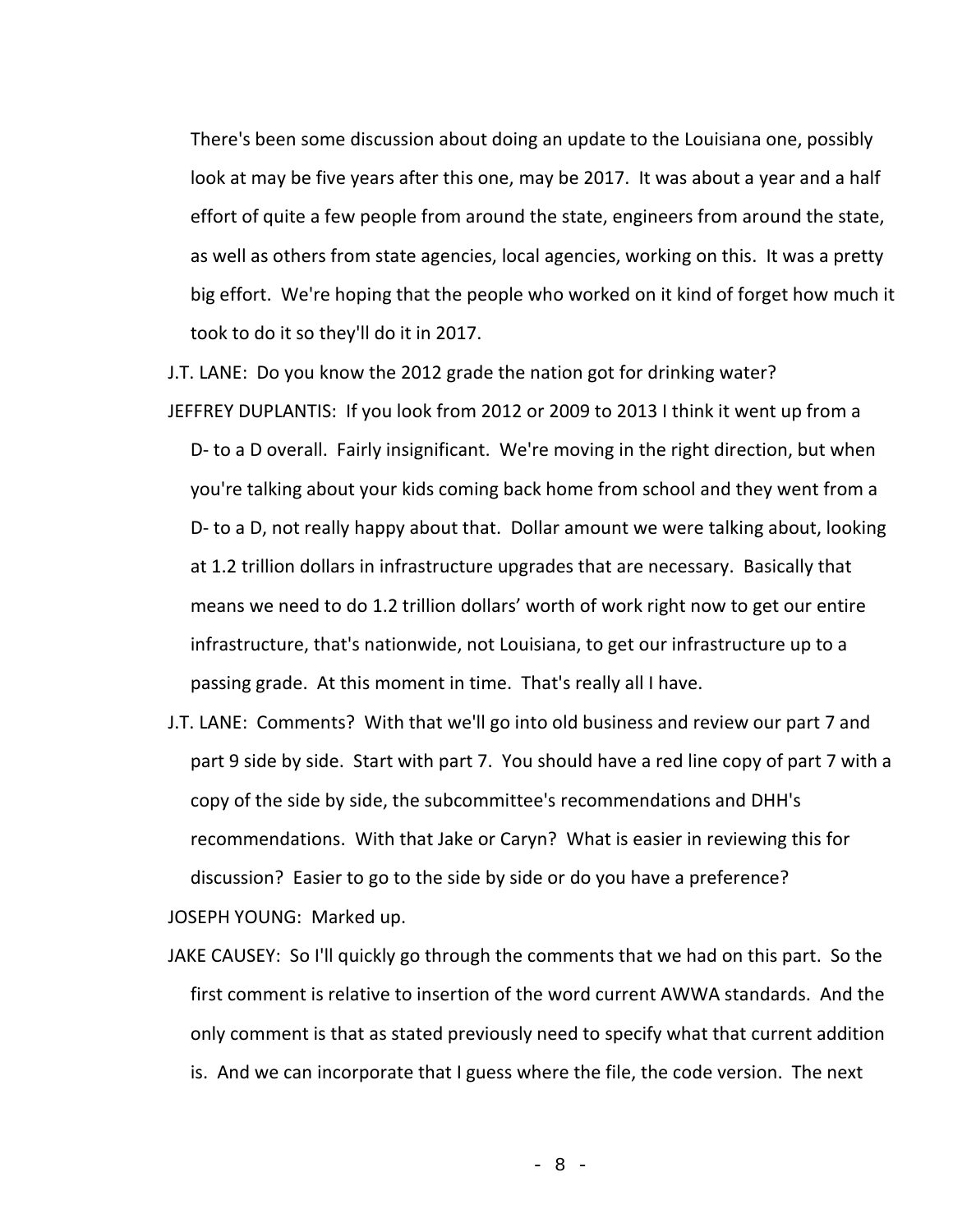There's been some discussion about doing an update to the Louisiana one, possibly look at may be five years after this one, may be 2017. It was about a year and a half effort of quite a few people from around the state, engineers from around the state, as well as others from state agencies, local agencies, working on this. It was a pretty big effort. We're hoping that the people who worked on it kind of forget how much it took to do it so they'll do it in 2017.

J.T. LANE: Do you know the 2012 grade the nation got for drinking water? JEFFREY DUPLANTIS: If you look from 2012 or 2009 to 2013 I think it went up from a D- to a D overall. Fairly insignificant. We're moving in the right direction, but when you're talking about your kids coming back home from school and they went from a D- to a D, not really happy about that. Dollar amount we were talking about, looking at 1.2 trillion dollars in infrastructure upgrades that are necessary. Basically that means we need to do 1.2 trillion dollars' worth of work right now to get our entire infrastructure, that's nationwide, not Louisiana, to get our infrastructure up to a passing grade. At this moment in time. That's really all I have.

- J.T. LANE: Comments? With that we'll go into old business and review our part 7 and part 9 side by side. Start with part 7. You should have a red line copy of part 7 with a copy of the side by side, the subcommittee's recommendations and DHH's recommendations. With that Jake or Caryn? What is easier in reviewing this for discussion? Easier to go to the side by side or do you have a preference? JOSEPH YOUNG: Marked up.
- JAKE CAUSEY: So I'll quickly go through the comments that we had on this part. So the first comment is relative to insertion of the word current AWWA standards. And the only comment is that as stated previously need to specify what that current addition is. And we can incorporate that I guess where the file, the code version. The next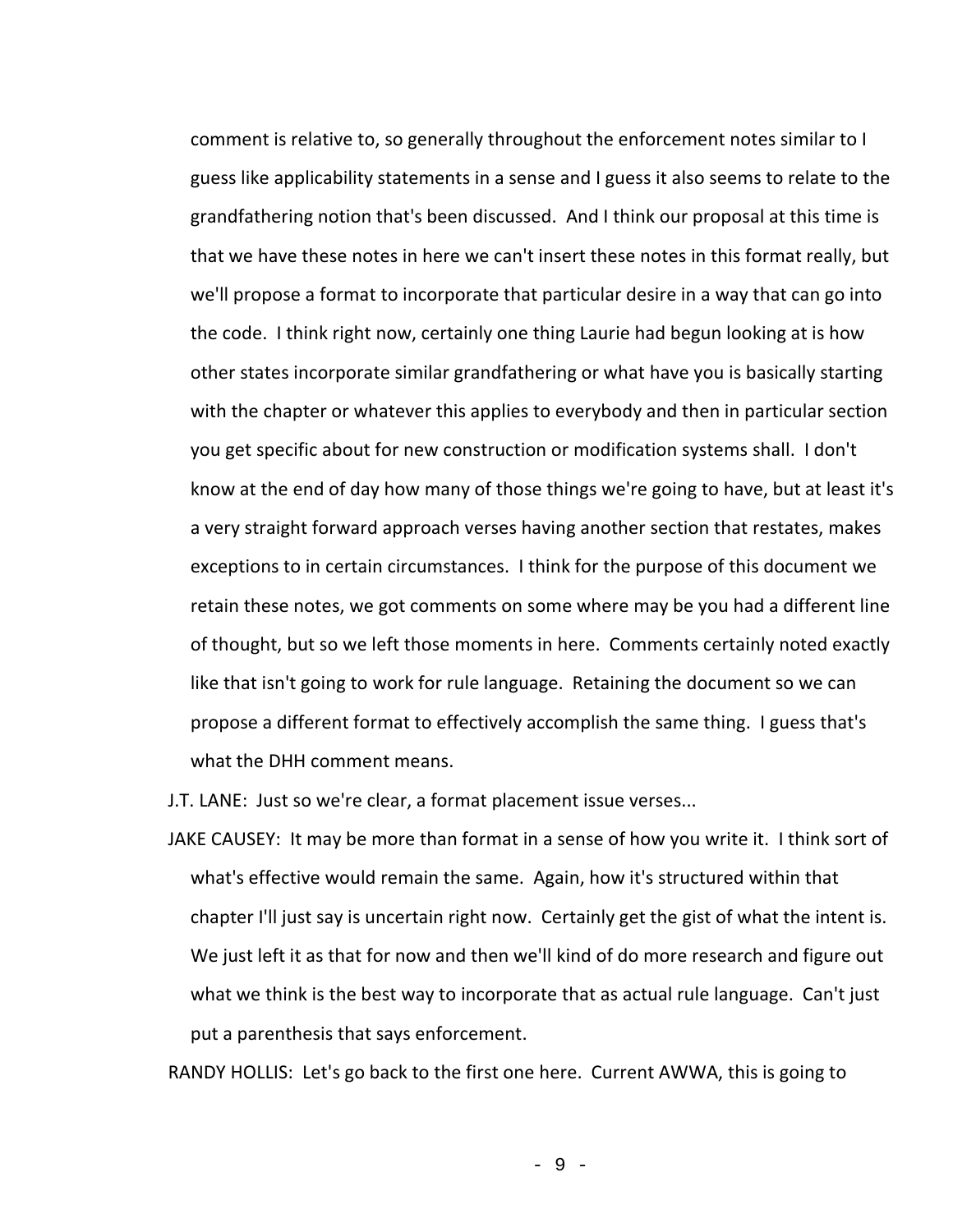comment is relative to, so generally throughout the enforcement notes similar to I guess like applicability statements in a sense and I guess it also seems to relate to the grandfathering notion that's been discussed. And I think our proposal at this time is that we have these notes in here we can't insert these notes in this format really, but we'll propose a format to incorporate that particular desire in a way that can go into the code. I think right now, certainly one thing Laurie had begun looking at is how other states incorporate similar grandfathering or what have you is basically starting with the chapter or whatever this applies to everybody and then in particular section you get specific about for new construction or modification systems shall. I don't know at the end of day how many of those things we're going to have, but at least it's a very straight forward approach verses having another section that restates, makes exceptions to in certain circumstances. I think for the purpose of this document we retain these notes, we got comments on some where may be you had a different line of thought, but so we left those moments in here. Comments certainly noted exactly like that isn't going to work for rule language. Retaining the document so we can propose a different format to effectively accomplish the same thing. I guess that's what the DHH comment means.

J.T. LANE: Just so we're clear, a format placement issue verses...

JAKE CAUSEY: It may be more than format in a sense of how you write it. I think sort of what's effective would remain the same. Again, how it's structured within that chapter I'll just say is uncertain right now. Certainly get the gist of what the intent is. We just left it as that for now and then we'll kind of do more research and figure out what we think is the best way to incorporate that as actual rule language. Can't just put a parenthesis that says enforcement.

RANDY HOLLIS: Let's go back to the first one here. Current AWWA, this is going to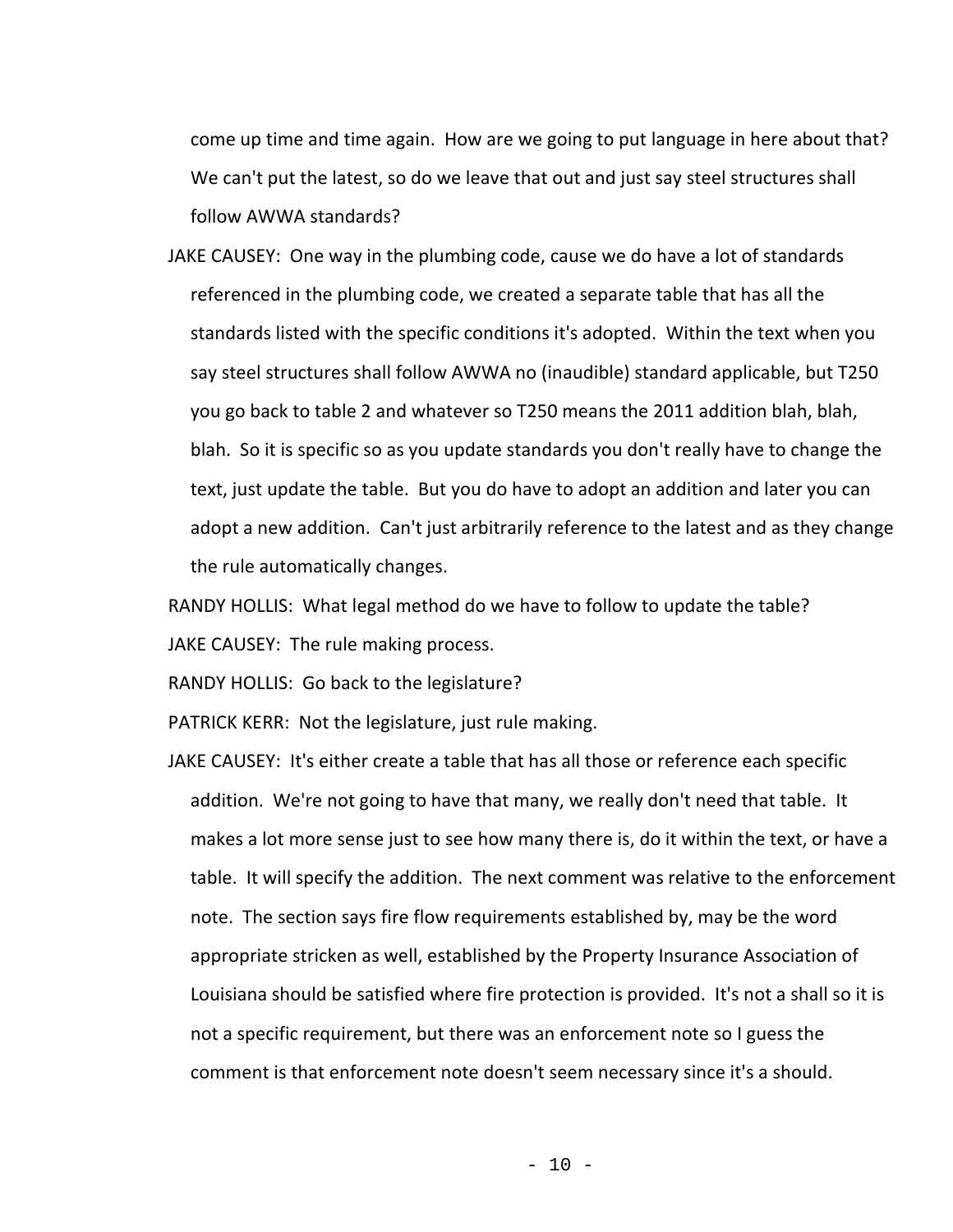come up time and time again. How are we going to put language in here about that? We can't put the latest, so do we leave that out and just say steel structures shall follow AWWA standards?

JAKE CAUSEY: One way in the plumbing code, cause we do have a lot of standards referenced in the plumbing code, we created a separate table that has all the standards listed with the specific conditions it's adopted. Within the text when you say steel structures shall follow AWWA no (inaudible) standard applicable, but T250 you go back to table 2 and whatever so T250 means the 2011 addition blah, blah, blah. So it is specific so as you update standards you don't really have to change the text, just update the table. But you do have to adopt an addition and later you can adopt a new addition. Can't just arbitrarily reference to the latest and as they change the rule automatically changes.

RANDY HOLLIS: What legal method do we have to follow to update the table? JAKE CAUSEY: The rule making process.

RANDY HOLLIS: Go back to the legislature?

PATRICK KERR: Not the legislature, just rule making.

JAKE CAUSEY: It's either create a table that has all those or reference each specific addition. We're not going to have that many, we really don't need that table. It makes a lot more sense just to see how many there is, do it within the text, or have a table. It will specify the addition. The next comment was relative to the enforcement note. The section says fire flow requirements established by, may be the word appropriate stricken as well, established by the Property Insurance Association of Louisiana should be satisfied where fire protection is provided. It's not a shall so it is not a specific requirement, but there was an enforcement note so I guess the comment is that enforcement note doesn't seem necessary since it's a should.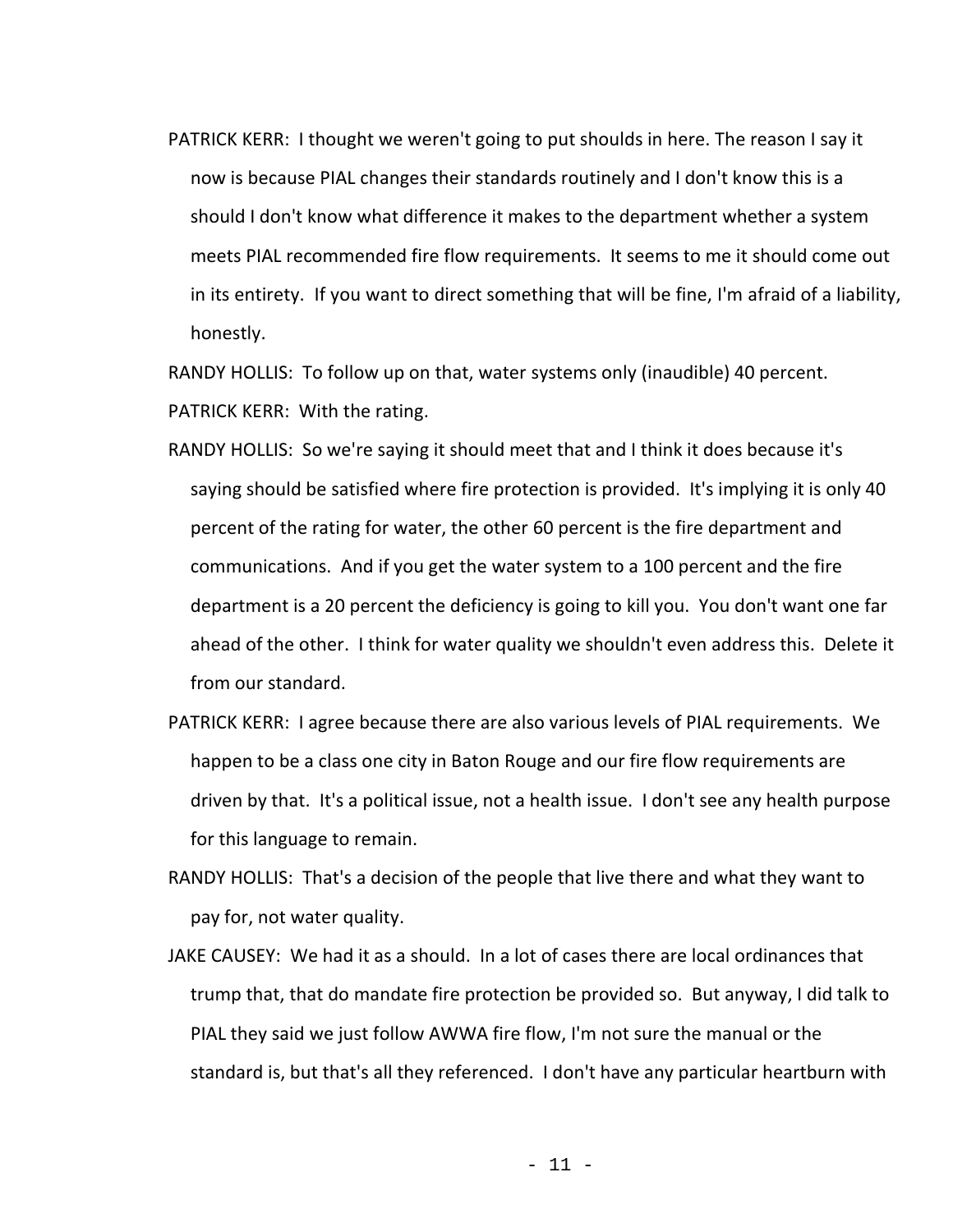PATRICK KERR: I thought we weren't going to put shoulds in here. The reason I say it now is because PIAL changes their standards routinely and I don't know this is a should I don't know what difference it makes to the department whether a system meets PIAL recommended fire flow requirements. It seems to me it should come out in its entirety. If you want to direct something that will be fine, I'm afraid of a liability, honestly.

RANDY HOLLIS: To follow up on that, water systems only (inaudible) 40 percent. PATRICK KERR: With the rating.

- RANDY HOLLIS: So we're saying it should meet that and I think it does because it's saying should be satisfied where fire protection is provided. It's implying it is only 40 percent of the rating for water, the other 60 percent is the fire department and communications. And if you get the water system to a 100 percent and the fire department is a 20 percent the deficiency is going to kill you. You don't want one far ahead of the other. I think for water quality we shouldn't even address this. Delete it from our standard.
- PATRICK KERR: I agree because there are also various levels of PIAL requirements. We happen to be a class one city in Baton Rouge and our fire flow requirements are driven by that. It's a political issue, not a health issue. I don't see any health purpose for this language to remain.
- RANDY HOLLIS: That's a decision of the people that live there and what they want to pay for, not water quality.
- JAKE CAUSEY: We had it as a should. In a lot of cases there are local ordinances that trump that, that do mandate fire protection be provided so. But anyway, I did talk to PIAL they said we just follow AWWA fire flow, I'm not sure the manual or the standard is, but that's all they referenced. I don't have any particular heartburn with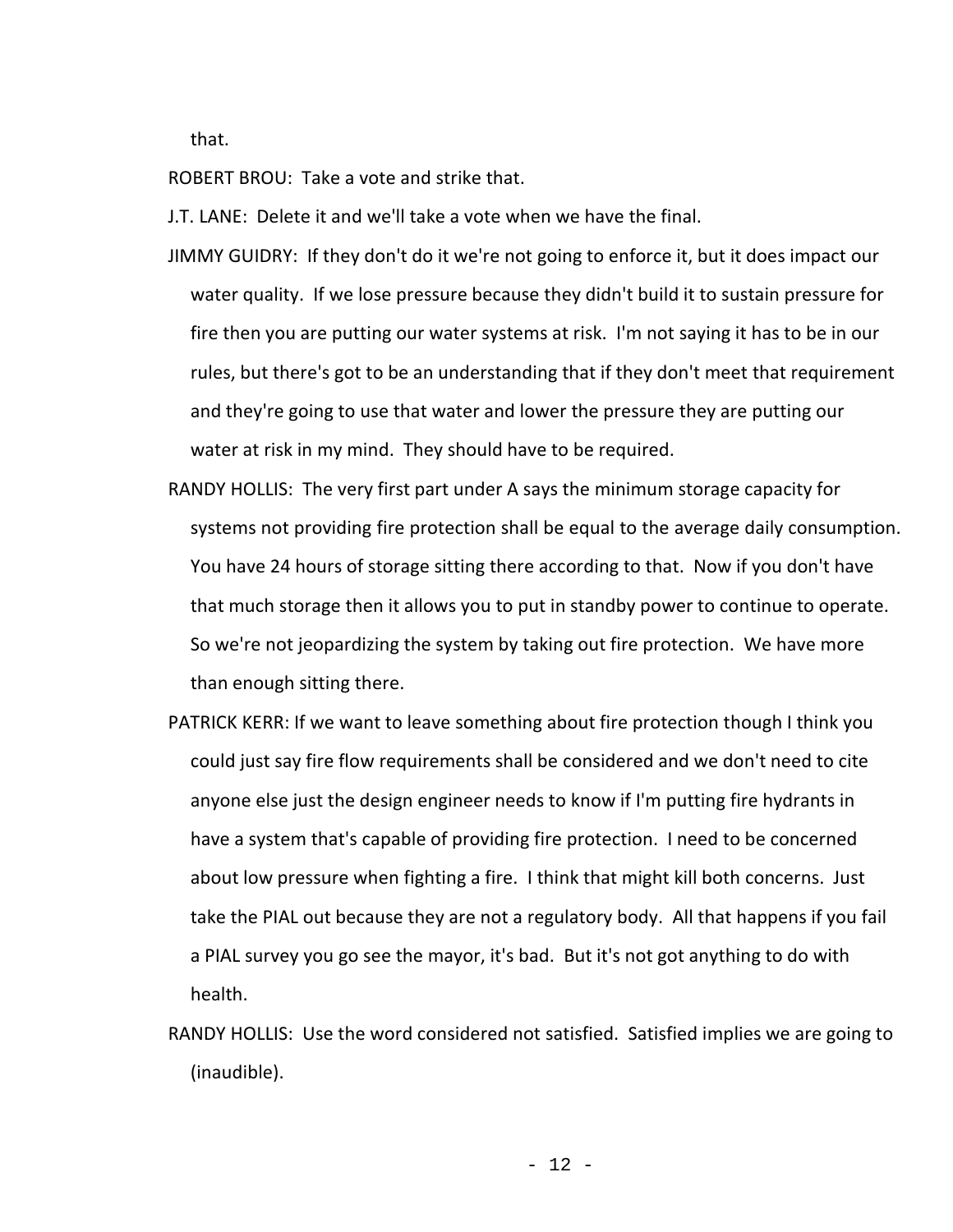that.

ROBERT BROU: Take a vote and strike that.

J.T. LANE: Delete it and we'll take a vote when we have the final.

- JIMMY GUIDRY: If they don't do it we're not going to enforce it, but it does impact our water quality. If we lose pressure because they didn't build it to sustain pressure for fire then you are putting our water systems at risk. I'm not saying it has to be in our rules, but there's got to be an understanding that if they don't meet that requirement and they're going to use that water and lower the pressure they are putting our water at risk in my mind. They should have to be required.
- RANDY HOLLIS: The very first part under A says the minimum storage capacity for systems not providing fire protection shall be equal to the average daily consumption. You have 24 hours of storage sitting there according to that. Now if you don't have that much storage then it allows you to put in standby power to continue to operate. So we're not jeopardizing the system by taking out fire protection. We have more than enough sitting there.
- PATRICK KERR: If we want to leave something about fire protection though I think you could just say fire flow requirements shall be considered and we don't need to cite anyone else just the design engineer needs to know if I'm putting fire hydrants in have a system that's capable of providing fire protection. I need to be concerned about low pressure when fighting a fire. I think that might kill both concerns. Just take the PIAL out because they are not a regulatory body. All that happens if you fail a PIAL survey you go see the mayor, it's bad. But it's not got anything to do with health.
- RANDY HOLLIS: Use the word considered not satisfied. Satisfied implies we are going to (inaudible).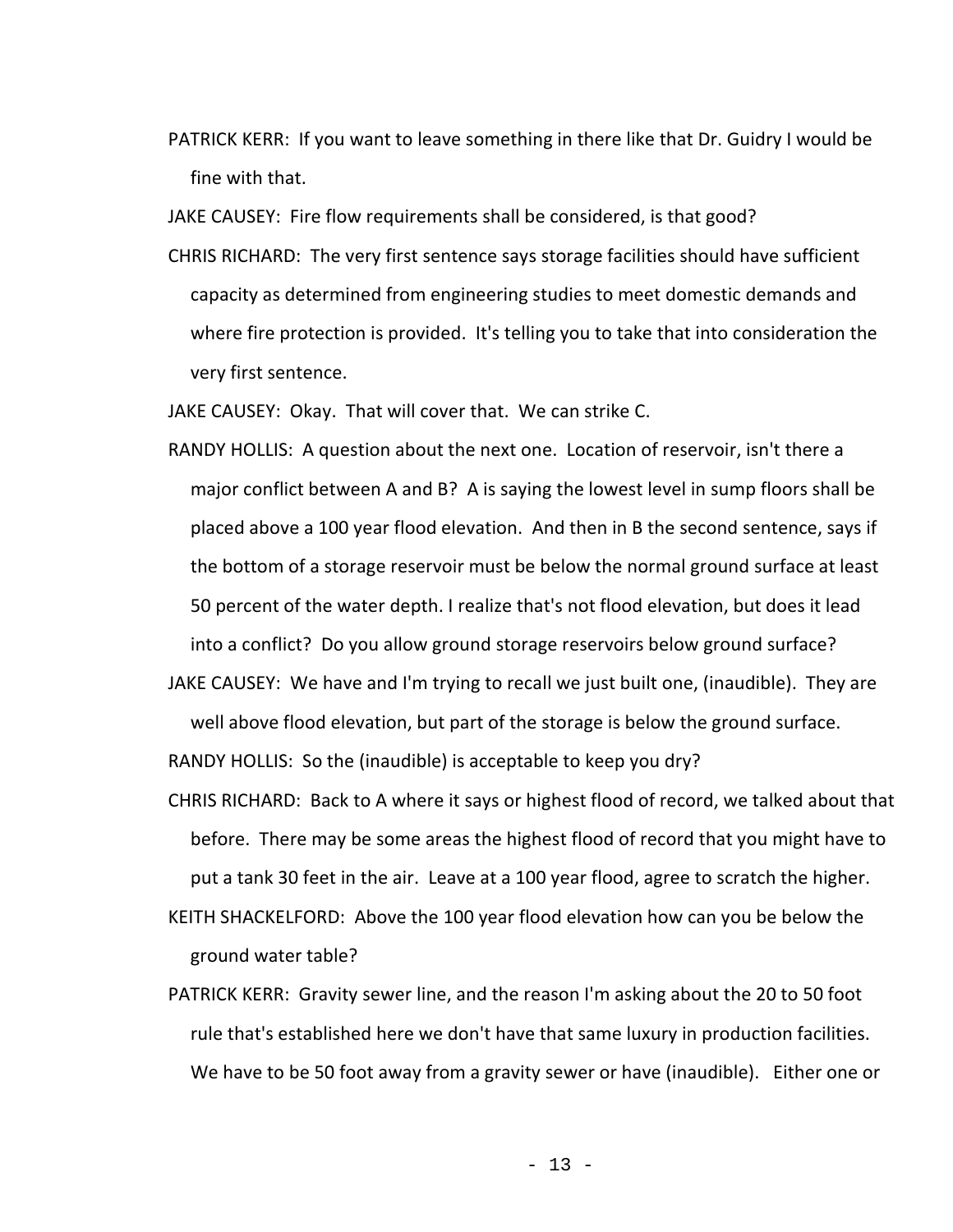PATRICK KERR: If you want to leave something in there like that Dr. Guidry I would be fine with that.

JAKE CAUSEY: Fire flow requirements shall be considered, is that good?

CHRIS RICHARD: The very first sentence says storage facilities should have sufficient capacity as determined from engineering studies to meet domestic demands and where fire protection is provided. It's telling you to take that into consideration the very first sentence.

JAKE CAUSEY: Okay. That will cover that. We can strike C.

- RANDY HOLLIS: A question about the next one. Location of reservoir, isn't there a major conflict between A and B? A is saying the lowest level in sump floors shall be placed above a 100 year flood elevation. And then in B the second sentence, says if the bottom of a storage reservoir must be below the normal ground surface at least 50 percent of the water depth. I realize that's not flood elevation, but does it lead into a conflict? Do you allow ground storage reservoirs below ground surface?
- JAKE CAUSEY: We have and I'm trying to recall we just built one, (inaudible). They are well above flood elevation, but part of the storage is below the ground surface.

RANDY HOLLIS: So the (inaudible) is acceptable to keep you dry?

- CHRIS RICHARD: Back to A where it says or highest flood of record, we talked about that before. There may be some areas the highest flood of record that you might have to put a tank 30 feet in the air. Leave at a 100 year flood, agree to scratch the higher.
- KEITH SHACKELFORD: Above the 100 year flood elevation how can you be below the ground water table?
- PATRICK KERR: Gravity sewer line, and the reason I'm asking about the 20 to 50 foot rule that's established here we don't have that same luxury in production facilities. We have to be 50 foot away from a gravity sewer or have (inaudible). Either one or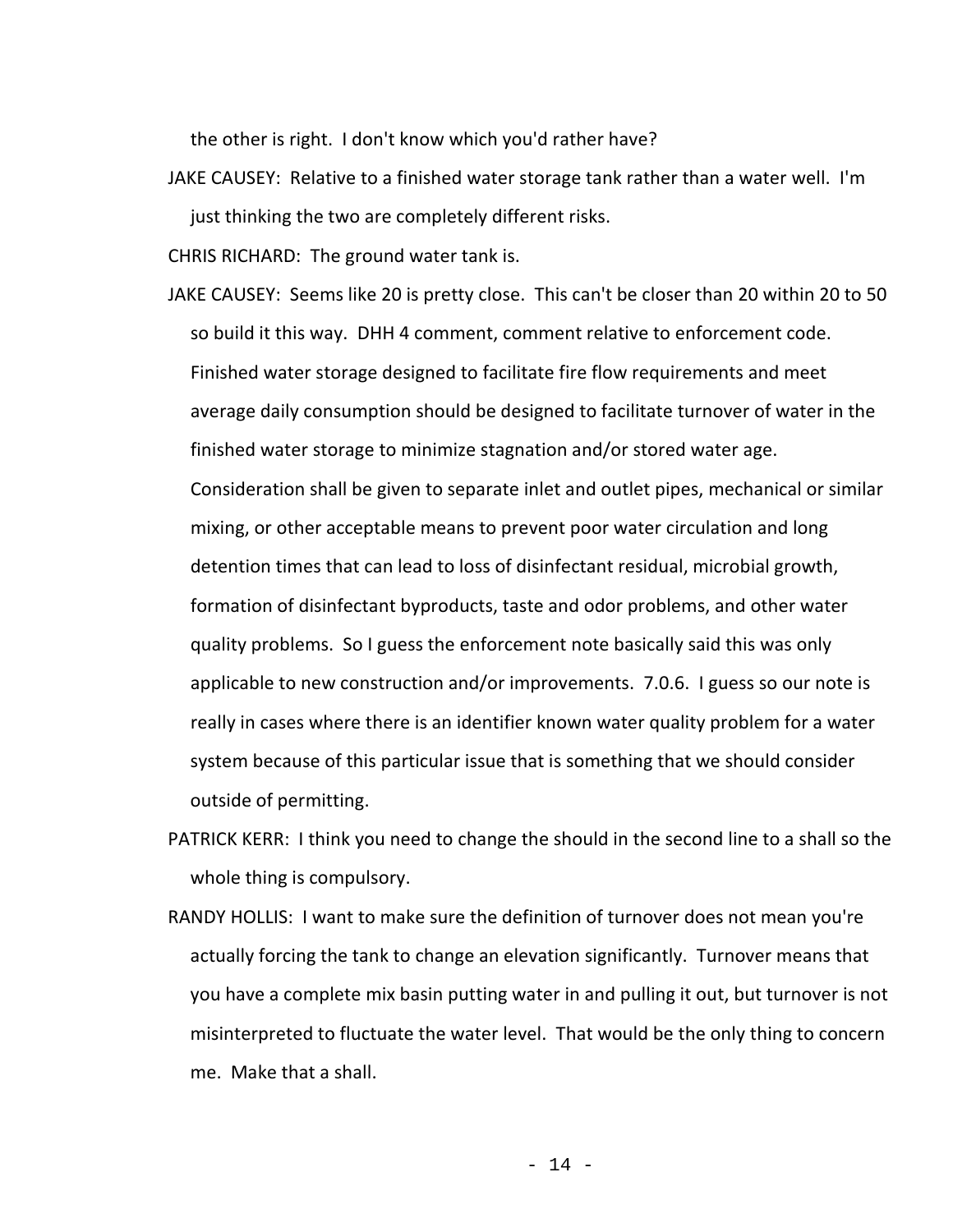the other is right. I don't know which you'd rather have?

JAKE CAUSEY: Relative to a finished water storage tank rather than a water well. I'm just thinking the two are completely different risks.

CHRIS RICHARD: The ground water tank is.

- JAKE CAUSEY: Seems like 20 is pretty close. This can't be closer than 20 within 20 to 50 so build it this way. DHH 4 comment, comment relative to enforcement code. Finished water storage designed to facilitate fire flow requirements and meet average daily consumption should be designed to facilitate turnover of water in the finished water storage to minimize stagnation and/or stored water age. Consideration shall be given to separate inlet and outlet pipes, mechanical or similar mixing, or other acceptable means to prevent poor water circulation and long detention times that can lead to loss of disinfectant residual, microbial growth, formation of disinfectant byproducts, taste and odor problems, and other water quality problems. So I guess the enforcement note basically said this was only applicable to new construction and/or improvements. 7.0.6. I guess so our note is really in cases where there is an identifier known water quality problem for a water system because of this particular issue that is something that we should consider outside of permitting.
- PATRICK KERR: I think you need to change the should in the second line to a shall so the whole thing is compulsory.
- RANDY HOLLIS: I want to make sure the definition of turnover does not mean you're actually forcing the tank to change an elevation significantly. Turnover means that you have a complete mix basin putting water in and pulling it out, but turnover is not misinterpreted to fluctuate the water level. That would be the only thing to concern me. Make that a shall.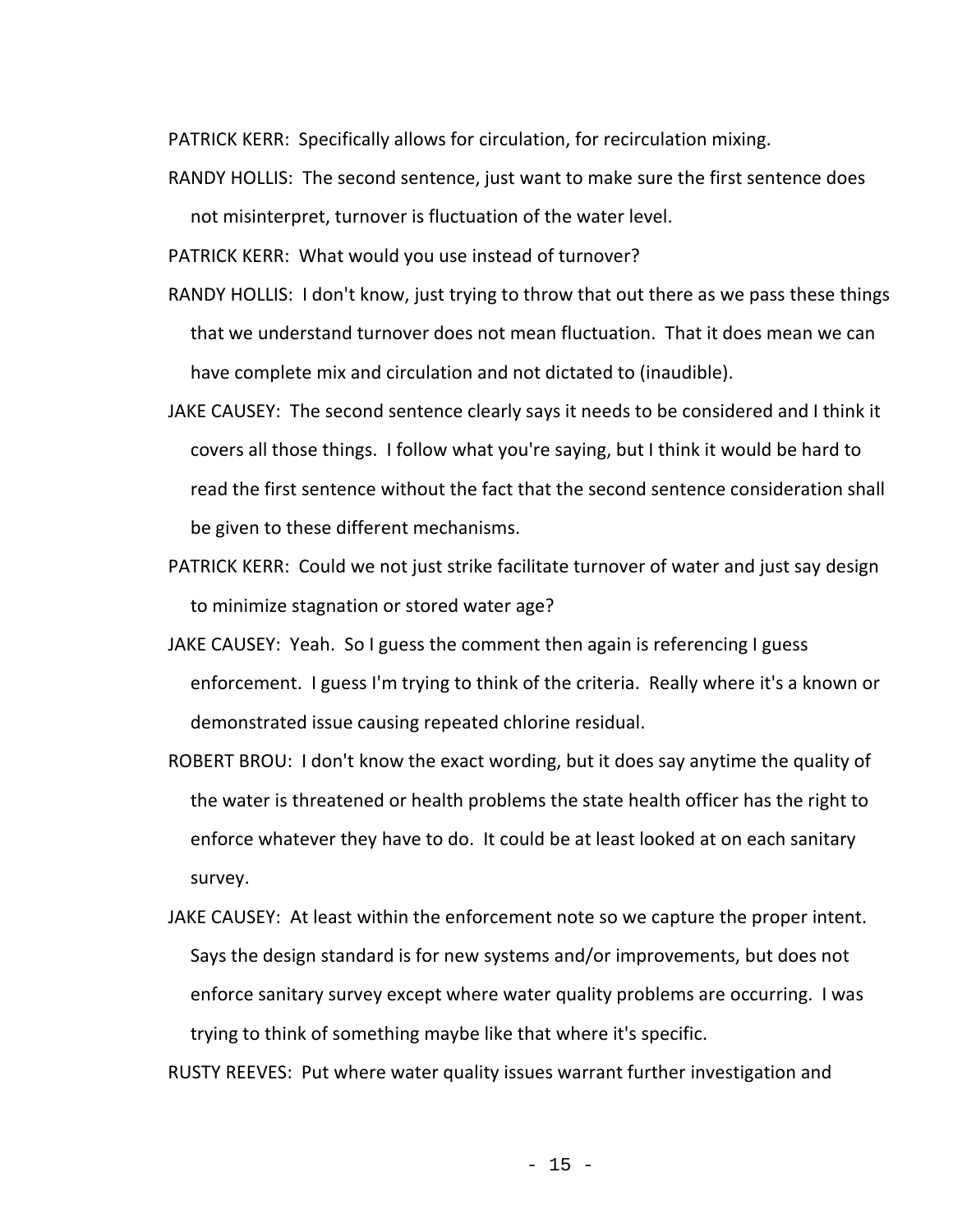PATRICK KERR: Specifically allows for circulation, for recirculation mixing.

RANDY HOLLIS: The second sentence, just want to make sure the first sentence does not misinterpret, turnover is fluctuation of the water level.

PATRICK KERR: What would you use instead of turnover?

- RANDY HOLLIS: I don't know, just trying to throw that out there as we pass these things that we understand turnover does not mean fluctuation. That it does mean we can have complete mix and circulation and not dictated to (inaudible).
- JAKE CAUSEY: The second sentence clearly says it needs to be considered and I think it covers all those things. I follow what you're saying, but I think it would be hard to read the first sentence without the fact that the second sentence consideration shall be given to these different mechanisms.
- PATRICK KERR: Could we not just strike facilitate turnover of water and just say design to minimize stagnation or stored water age?
- JAKE CAUSEY: Yeah. So I guess the comment then again is referencing I guess enforcement. I guess I'm trying to think of the criteria. Really where it's a known or demonstrated issue causing repeated chlorine residual.
- ROBERT BROU: I don't know the exact wording, but it does say anytime the quality of the water is threatened or health problems the state health officer has the right to enforce whatever they have to do. It could be at least looked at on each sanitary survey.
- JAKE CAUSEY: At least within the enforcement note so we capture the proper intent. Says the design standard is for new systems and/or improvements, but does not enforce sanitary survey except where water quality problems are occurring. I was trying to think of something maybe like that where it's specific.

RUSTY REEVES: Put where water quality issues warrant further investigation and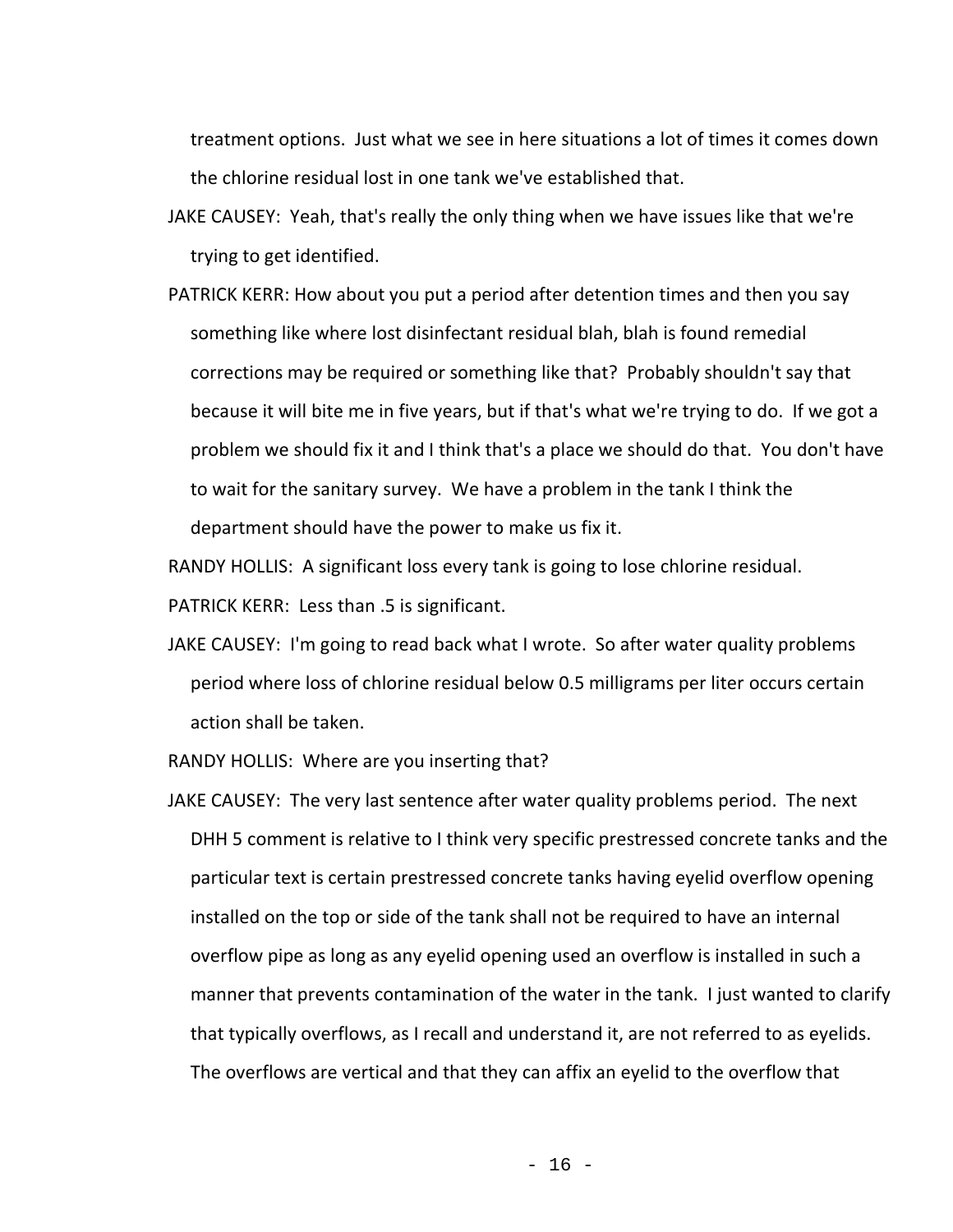treatment options. Just what we see in here situations a lot of times it comes down the chlorine residual lost in one tank we've established that.

- JAKE CAUSEY: Yeah, that's really the only thing when we have issues like that we're trying to get identified.
- PATRICK KERR: How about you put a period after detention times and then you say something like where lost disinfectant residual blah, blah is found remedial corrections may be required or something like that? Probably shouldn't say that because it will bite me in five years, but if that's what we're trying to do. If we got a problem we should fix it and I think that's a place we should do that. You don't have to wait for the sanitary survey. We have a problem in the tank I think the department should have the power to make us fix it.

RANDY HOLLIS: A significant loss every tank is going to lose chlorine residual.

PATRICK KERR: Less than .5 is significant.

JAKE CAUSEY: I'm going to read back what I wrote. So after water quality problems period where loss of chlorine residual below 0.5 milligrams per liter occurs certain action shall be taken.

RANDY HOLLIS: Where are you inserting that?

JAKE CAUSEY: The very last sentence after water quality problems period. The next DHH 5 comment is relative to I think very specific prestressed concrete tanks and the particular text is certain prestressed concrete tanks having eyelid overflow opening installed on the top or side of the tank shall not be required to have an internal overflow pipe as long as any eyelid opening used an overflow is installed in such a manner that prevents contamination of the water in the tank. I just wanted to clarify that typically overflows, as I recall and understand it, are not referred to as eyelids. The overflows are vertical and that they can affix an eyelid to the overflow that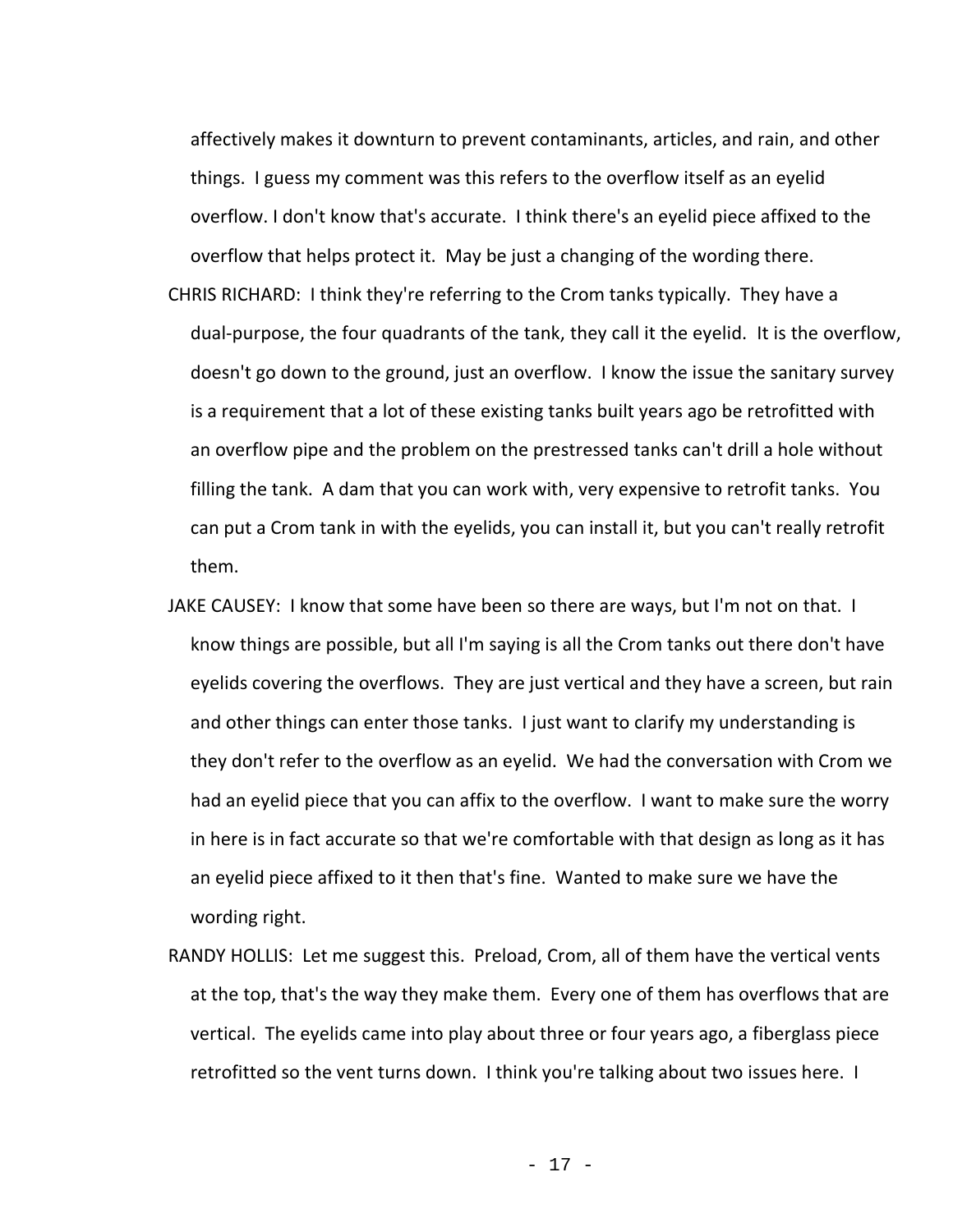affectively makes it downturn to prevent contaminants, articles, and rain, and other things. I guess my comment was this refers to the overflow itself as an eyelid overflow. I don't know that's accurate. I think there's an eyelid piece affixed to the overflow that helps protect it. May be just a changing of the wording there. CHRIS RICHARD: I think they're referring to the Crom tanks typically. They have a dual-purpose, the four quadrants of the tank, they call it the eyelid. It is the overflow, doesn't go down to the ground, just an overflow. I know the issue the sanitary survey is a requirement that a lot of these existing tanks built years ago be retrofitted with an overflow pipe and the problem on the prestressed tanks can't drill a hole without filling the tank. A dam that you can work with, very expensive to retrofit tanks. You can put a Crom tank in with the eyelids, you can install it, but you can't really retrofit them.

- JAKE CAUSEY: I know that some have been so there are ways, but I'm not on that. I know things are possible, but all I'm saying is all the Crom tanks out there don't have eyelids covering the overflows. They are just vertical and they have a screen, but rain and other things can enter those tanks. I just want to clarify my understanding is they don't refer to the overflow as an eyelid. We had the conversation with Crom we had an eyelid piece that you can affix to the overflow. I want to make sure the worry in here is in fact accurate so that we're comfortable with that design as long as it has an eyelid piece affixed to it then that's fine. Wanted to make sure we have the wording right.
- RANDY HOLLIS: Let me suggest this. Preload, Crom, all of them have the vertical vents at the top, that's the way they make them. Every one of them has overflows that are vertical. The eyelids came into play about three or four years ago, a fiberglass piece retrofitted so the vent turns down. I think you're talking about two issues here. I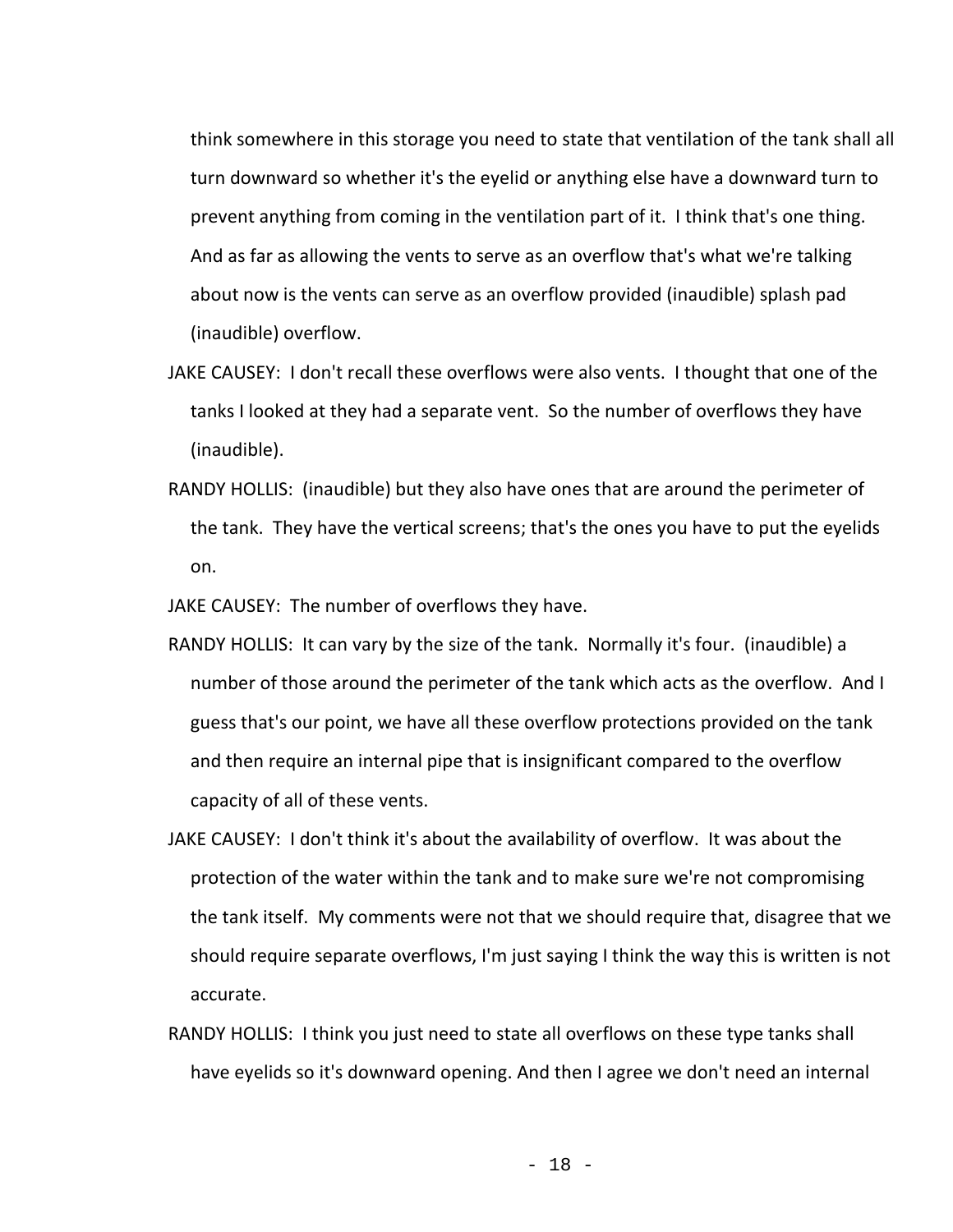think somewhere in this storage you need to state that ventilation of the tank shall all turn downward so whether it's the eyelid or anything else have a downward turn to prevent anything from coming in the ventilation part of it. I think that's one thing. And as far as allowing the vents to serve as an overflow that's what we're talking about now is the vents can serve as an overflow provided (inaudible) splash pad (inaudible) overflow.

- JAKE CAUSEY: I don't recall these overflows were also vents. I thought that one of the tanks I looked at they had a separate vent. So the number of overflows they have (inaudible).
- RANDY HOLLIS: (inaudible) but they also have ones that are around the perimeter of the tank. They have the vertical screens; that's the ones you have to put the eyelids on.

JAKE CAUSEY: The number of overflows they have.

- RANDY HOLLIS: It can vary by the size of the tank. Normally it's four. (inaudible) a number of those around the perimeter of the tank which acts as the overflow. And I guess that's our point, we have all these overflow protections provided on the tank and then require an internal pipe that is insignificant compared to the overflow capacity of all of these vents.
- JAKE CAUSEY: I don't think it's about the availability of overflow. It was about the protection of the water within the tank and to make sure we're not compromising the tank itself. My comments were not that we should require that, disagree that we should require separate overflows, I'm just saying I think the way this is written is not accurate.
- RANDY HOLLIS: I think you just need to state all overflows on these type tanks shall have eyelids so it's downward opening. And then I agree we don't need an internal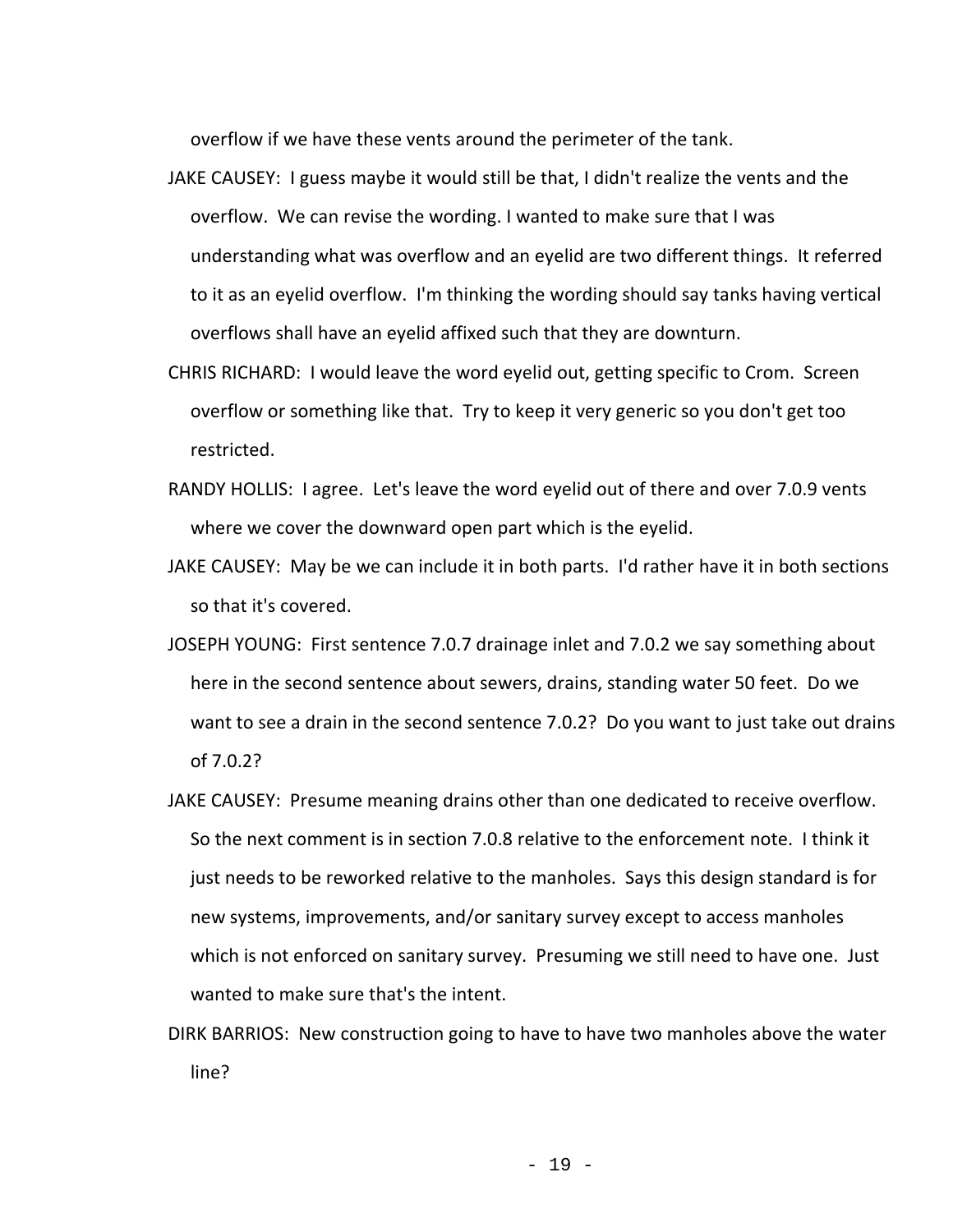overflow if we have these vents around the perimeter of the tank.

- JAKE CAUSEY: I guess maybe it would still be that, I didn't realize the vents and the overflow. We can revise the wording. I wanted to make sure that I was understanding what was overflow and an eyelid are two different things. It referred to it as an eyelid overflow. I'm thinking the wording should say tanks having vertical overflows shall have an eyelid affixed such that they are downturn.
- CHRIS RICHARD: I would leave the word eyelid out, getting specific to Crom. Screen overflow or something like that. Try to keep it very generic so you don't get too restricted.
- RANDY HOLLIS: I agree. Let's leave the word eyelid out of there and over 7.0.9 vents where we cover the downward open part which is the eyelid.
- JAKE CAUSEY: May be we can include it in both parts. I'd rather have it in both sections so that it's covered.
- JOSEPH YOUNG: First sentence 7.0.7 drainage inlet and 7.0.2 we say something about here in the second sentence about sewers, drains, standing water 50 feet. Do we want to see a drain in the second sentence 7.0.2? Do you want to just take out drains of 7.0.2?
- JAKE CAUSEY: Presume meaning drains other than one dedicated to receive overflow. So the next comment is in section 7.0.8 relative to the enforcement note. I think it just needs to be reworked relative to the manholes. Says this design standard is for new systems, improvements, and/or sanitary survey except to access manholes which is not enforced on sanitary survey. Presuming we still need to have one. Just wanted to make sure that's the intent.
- DIRK BARRIOS: New construction going to have to have two manholes above the water line?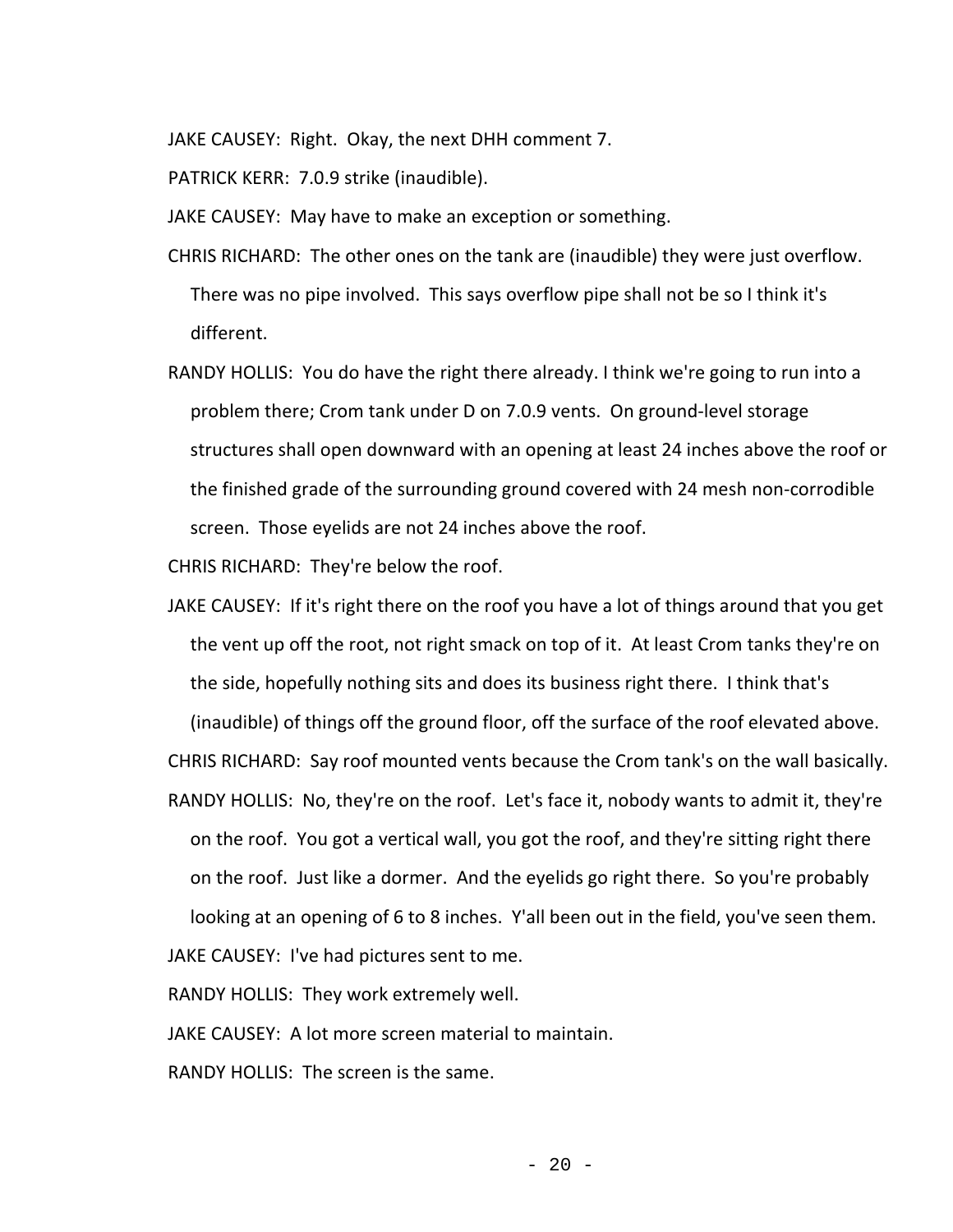JAKE CAUSEY: Right. Okay, the next DHH comment 7.

PATRICK KERR: 7.0.9 strike (inaudible).

JAKE CAUSEY: May have to make an exception or something.

- CHRIS RICHARD: The other ones on the tank are (inaudible) they were just overflow. There was no pipe involved. This says overflow pipe shall not be so I think it's different.
- RANDY HOLLIS: You do have the right there already. I think we're going to run into a problem there; Crom tank under D on 7.0.9 vents. On ground-level storage structures shall open downward with an opening at least 24 inches above the roof or the finished grade of the surrounding ground covered with 24 mesh non-corrodible screen. Those eyelids are not 24 inches above the roof.

CHRIS RICHARD: They're below the roof.

JAKE CAUSEY: If it's right there on the roof you have a lot of things around that you get the vent up off the root, not right smack on top of it. At least Crom tanks they're on the side, hopefully nothing sits and does its business right there. I think that's

(inaudible) of things off the ground floor, off the surface of the roof elevated above.

CHRIS RICHARD: Say roof mounted vents because the Crom tank's on the wall basically.

RANDY HOLLIS: No, they're on the roof. Let's face it, nobody wants to admit it, they're on the roof. You got a vertical wall, you got the roof, and they're sitting right there on the roof. Just like a dormer. And the eyelids go right there. So you're probably looking at an opening of 6 to 8 inches. Y'all been out in the field, you've seen them.

JAKE CAUSEY: I've had pictures sent to me.

RANDY HOLLIS: They work extremely well.

JAKE CAUSEY: A lot more screen material to maintain.

RANDY HOLLIS: The screen is the same.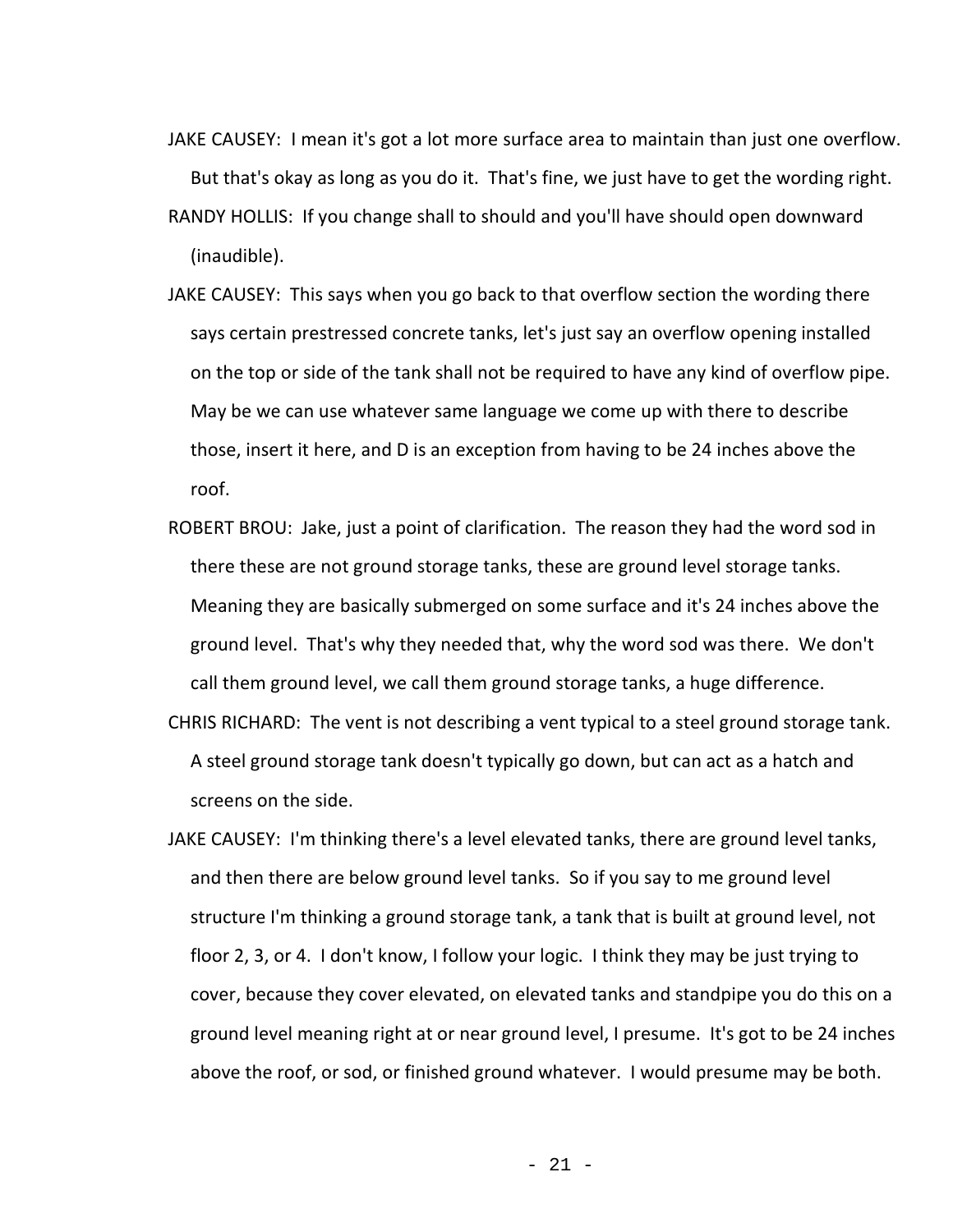- JAKE CAUSEY: I mean it's got a lot more surface area to maintain than just one overflow. But that's okay as long as you do it. That's fine, we just have to get the wording right. RANDY HOLLIS: If you change shall to should and you'll have should open downward (inaudible).
- JAKE CAUSEY: This says when you go back to that overflow section the wording there says certain prestressed concrete tanks, let's just say an overflow opening installed on the top or side of the tank shall not be required to have any kind of overflow pipe. May be we can use whatever same language we come up with there to describe those, insert it here, and D is an exception from having to be 24 inches above the roof.
- ROBERT BROU: Jake, just a point of clarification. The reason they had the word sod in there these are not ground storage tanks, these are ground level storage tanks. Meaning they are basically submerged on some surface and it's 24 inches above the ground level. That's why they needed that, why the word sod was there. We don't call them ground level, we call them ground storage tanks, a huge difference.
- CHRIS RICHARD: The vent is not describing a vent typical to a steel ground storage tank. A steel ground storage tank doesn't typically go down, but can act as a hatch and screens on the side.
- JAKE CAUSEY: I'm thinking there's a level elevated tanks, there are ground level tanks, and then there are below ground level tanks. So if you say to me ground level structure I'm thinking a ground storage tank, a tank that is built at ground level, not floor 2, 3, or 4. I don't know, I follow your logic. I think they may be just trying to cover, because they cover elevated, on elevated tanks and standpipe you do this on a ground level meaning right at or near ground level, I presume. It's got to be 24 inches above the roof, or sod, or finished ground whatever. I would presume may be both.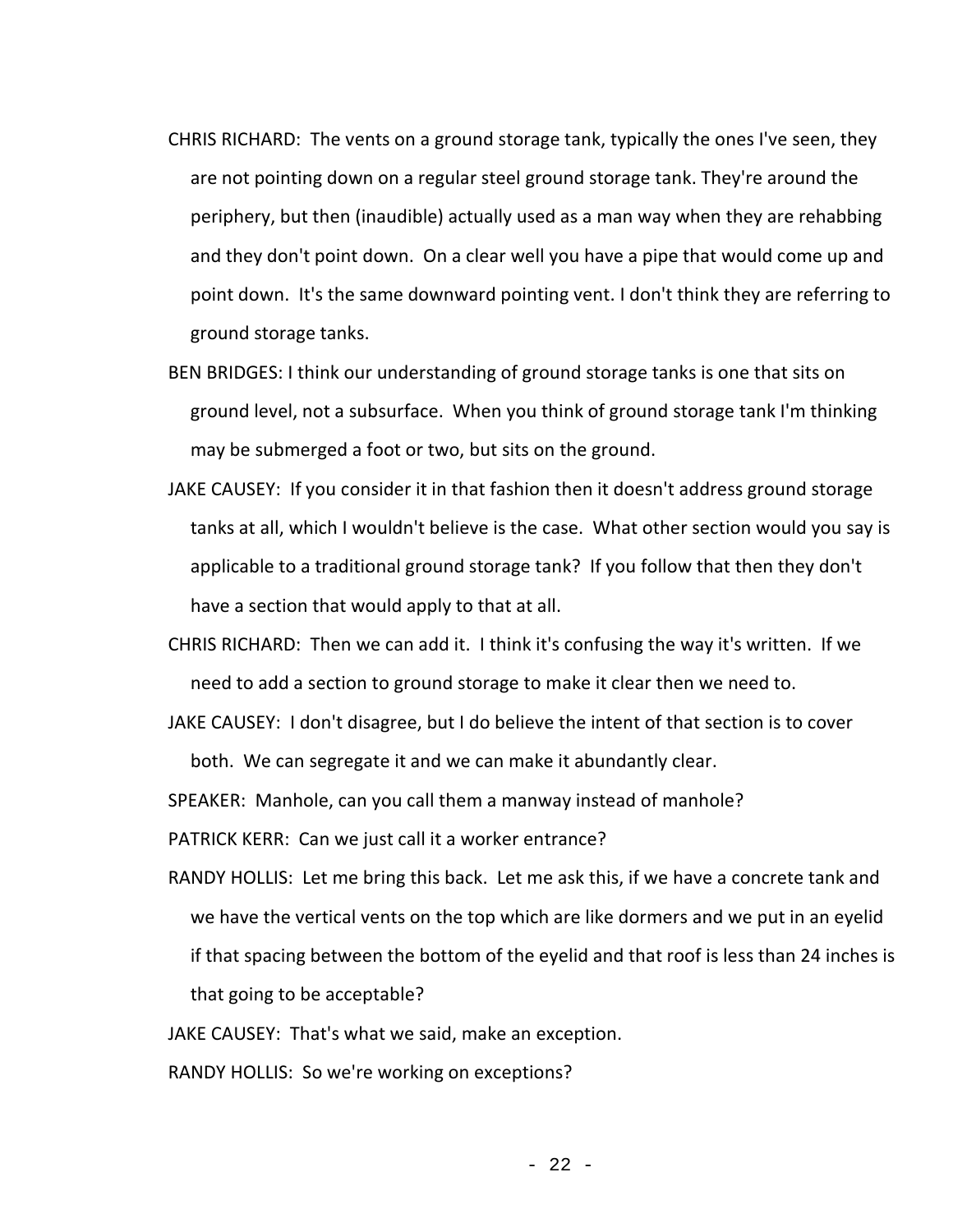- CHRIS RICHARD: The vents on a ground storage tank, typically the ones I've seen, they are not pointing down on a regular steel ground storage tank. They're around the periphery, but then (inaudible) actually used as a man way when they are rehabbing and they don't point down. On a clear well you have a pipe that would come up and point down. It's the same downward pointing vent. I don't think they are referring to ground storage tanks.
- BEN BRIDGES: I think our understanding of ground storage tanks is one that sits on ground level, not a subsurface. When you think of ground storage tank I'm thinking may be submerged a foot or two, but sits on the ground.
- JAKE CAUSEY: If you consider it in that fashion then it doesn't address ground storage tanks at all, which I wouldn't believe is the case. What other section would you say is applicable to a traditional ground storage tank? If you follow that then they don't have a section that would apply to that at all.
- CHRIS RICHARD: Then we can add it. I think it's confusing the way it's written. If we need to add a section to ground storage to make it clear then we need to.
- JAKE CAUSEY: I don't disagree, but I do believe the intent of that section is to cover both. We can segregate it and we can make it abundantly clear.

SPEAKER: Manhole, can you call them a manway instead of manhole?

PATRICK KERR: Can we just call it a worker entrance?

RANDY HOLLIS: Let me bring this back. Let me ask this, if we have a concrete tank and we have the vertical vents on the top which are like dormers and we put in an eyelid if that spacing between the bottom of the eyelid and that roof is less than 24 inches is that going to be acceptable?

JAKE CAUSEY: That's what we said, make an exception.

RANDY HOLLIS: So we're working on exceptions?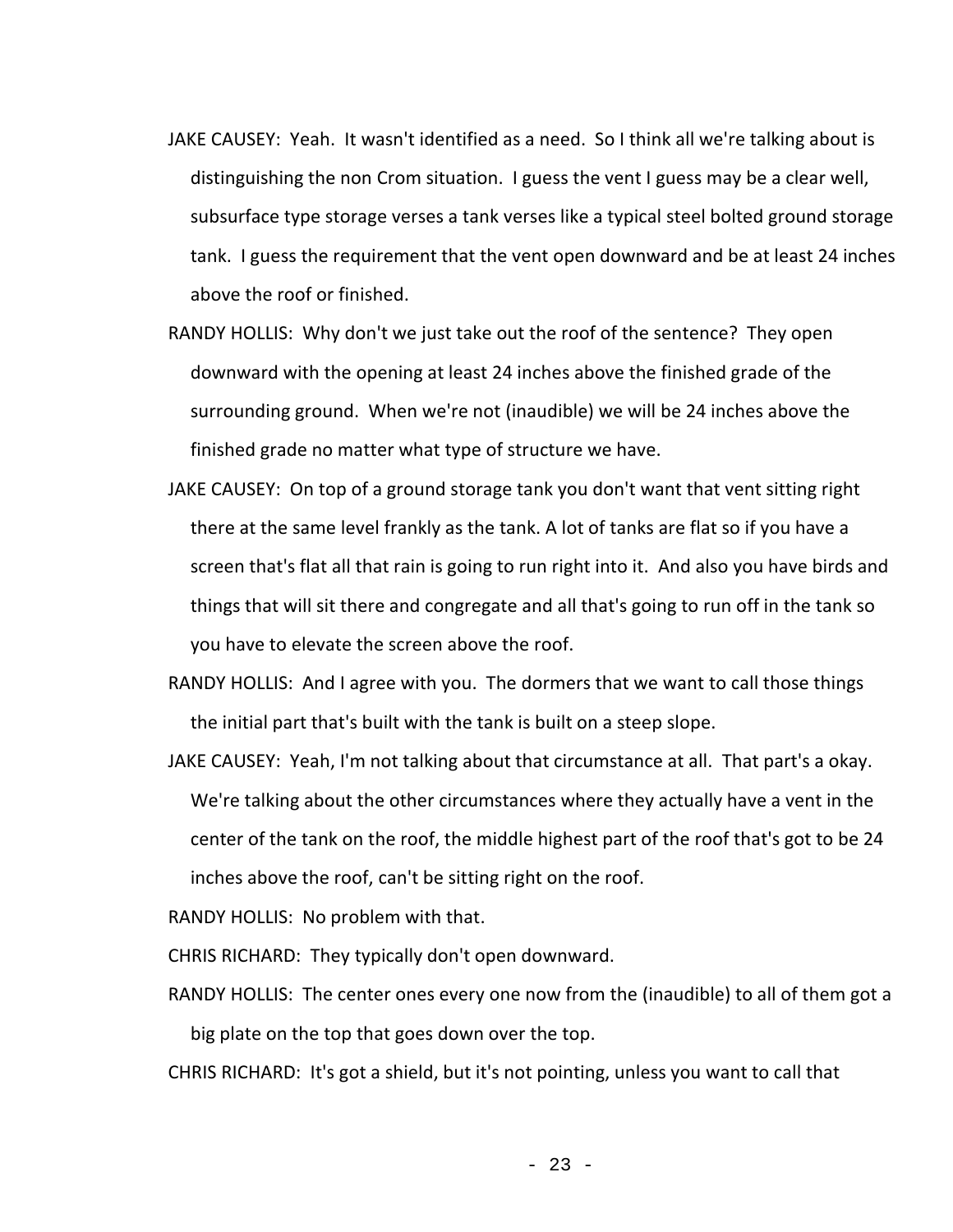- JAKE CAUSEY: Yeah. It wasn't identified as a need. So I think all we're talking about is distinguishing the non Crom situation. I guess the vent I guess may be a clear well, subsurface type storage verses a tank verses like a typical steel bolted ground storage tank. I guess the requirement that the vent open downward and be at least 24 inches above the roof or finished.
- RANDY HOLLIS: Why don't we just take out the roof of the sentence? They open downward with the opening at least 24 inches above the finished grade of the surrounding ground. When we're not (inaudible) we will be 24 inches above the finished grade no matter what type of structure we have.
- JAKE CAUSEY: On top of a ground storage tank you don't want that vent sitting right there at the same level frankly as the tank. A lot of tanks are flat so if you have a screen that's flat all that rain is going to run right into it. And also you have birds and things that will sit there and congregate and all that's going to run off in the tank so you have to elevate the screen above the roof.
- RANDY HOLLIS: And I agree with you. The dormers that we want to call those things the initial part that's built with the tank is built on a steep slope.
- JAKE CAUSEY: Yeah, I'm not talking about that circumstance at all. That part's a okay. We're talking about the other circumstances where they actually have a vent in the center of the tank on the roof, the middle highest part of the roof that's got to be 24 inches above the roof, can't be sitting right on the roof.

RANDY HOLLIS: No problem with that.

CHRIS RICHARD: They typically don't open downward.

RANDY HOLLIS: The center ones every one now from the (inaudible) to all of them got a big plate on the top that goes down over the top.

CHRIS RICHARD: It's got a shield, but it's not pointing, unless you want to call that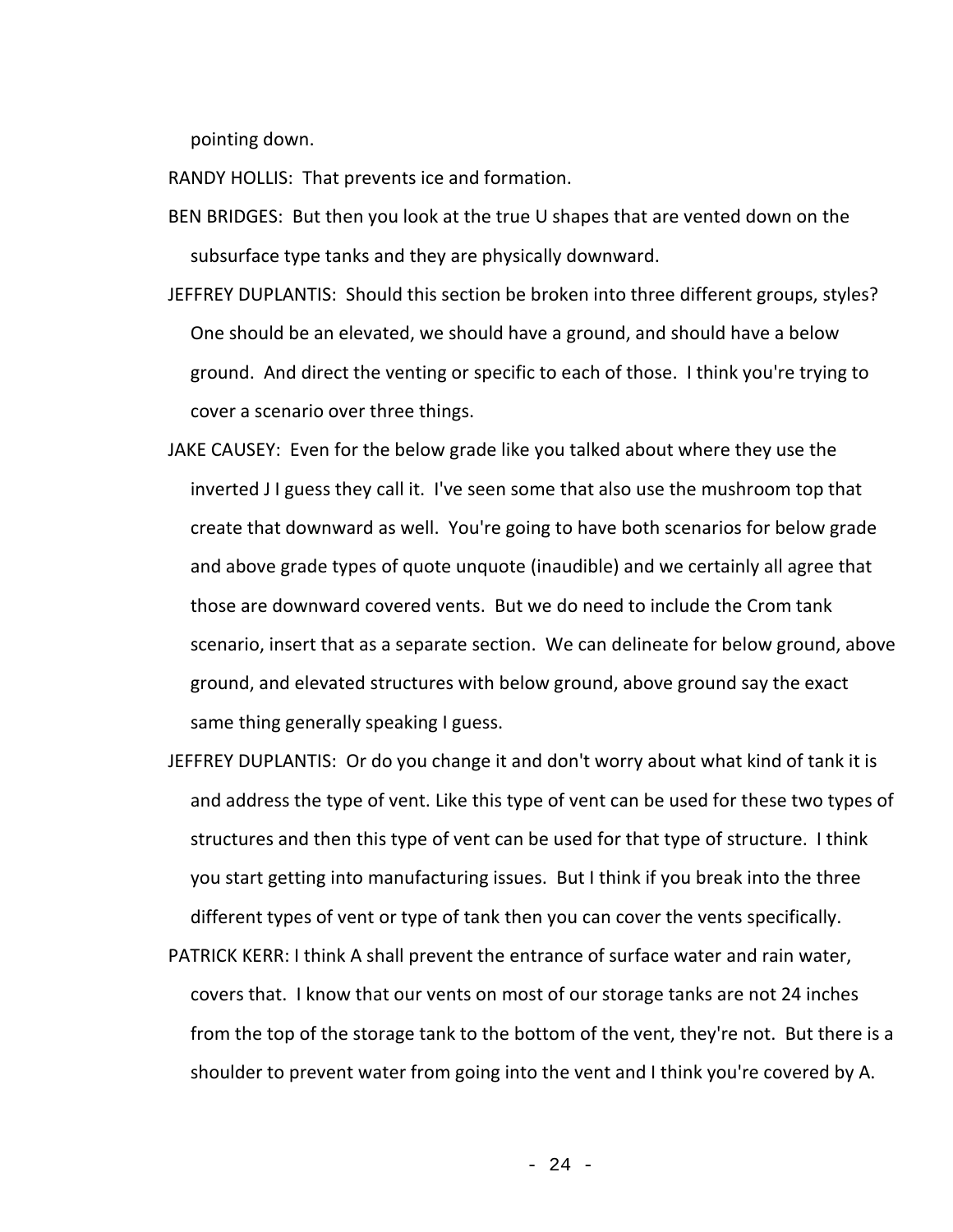pointing down.

RANDY HOLLIS: That prevents ice and formation.

- BEN BRIDGES: But then you look at the true U shapes that are vented down on the subsurface type tanks and they are physically downward.
- JEFFREY DUPLANTIS: Should this section be broken into three different groups, styles? One should be an elevated, we should have a ground, and should have a below ground. And direct the venting or specific to each of those. I think you're trying to cover a scenario over three things.
- JAKE CAUSEY: Even for the below grade like you talked about where they use the inverted J I guess they call it. I've seen some that also use the mushroom top that create that downward as well. You're going to have both scenarios for below grade and above grade types of quote unquote (inaudible) and we certainly all agree that those are downward covered vents. But we do need to include the Crom tank scenario, insert that as a separate section. We can delineate for below ground, above ground, and elevated structures with below ground, above ground say the exact same thing generally speaking I guess.
- JEFFREY DUPLANTIS: Or do you change it and don't worry about what kind of tank it is and address the type of vent. Like this type of vent can be used for these two types of structures and then this type of vent can be used for that type of structure. I think you start getting into manufacturing issues. But I think if you break into the three different types of vent or type of tank then you can cover the vents specifically.
- PATRICK KERR: I think A shall prevent the entrance of surface water and rain water, covers that. I know that our vents on most of our storage tanks are not 24 inches from the top of the storage tank to the bottom of the vent, they're not. But there is a shoulder to prevent water from going into the vent and I think you're covered by A.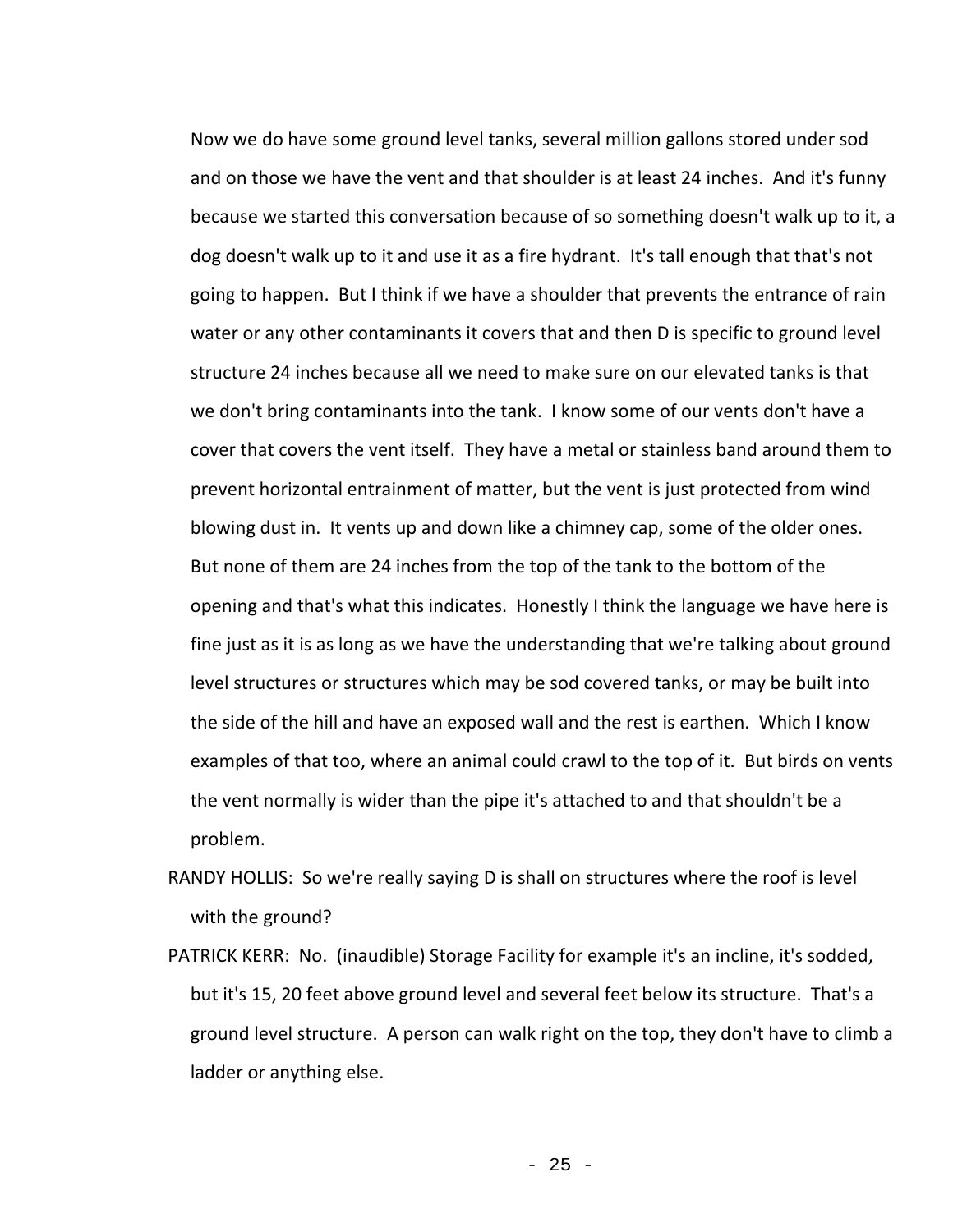Now we do have some ground level tanks, several million gallons stored under sod and on those we have the vent and that shoulder is at least 24 inches. And it's funny because we started this conversation because of so something doesn't walk up to it, a dog doesn't walk up to it and use it as a fire hydrant. It's tall enough that that's not going to happen. But I think if we have a shoulder that prevents the entrance of rain water or any other contaminants it covers that and then D is specific to ground level structure 24 inches because all we need to make sure on our elevated tanks is that we don't bring contaminants into the tank. I know some of our vents don't have a cover that covers the vent itself. They have a metal or stainless band around them to prevent horizontal entrainment of matter, but the vent is just protected from wind blowing dust in. It vents up and down like a chimney cap, some of the older ones. But none of them are 24 inches from the top of the tank to the bottom of the opening and that's what this indicates. Honestly I think the language we have here is fine just as it is as long as we have the understanding that we're talking about ground level structures or structures which may be sod covered tanks, or may be built into the side of the hill and have an exposed wall and the rest is earthen. Which I know examples of that too, where an animal could crawl to the top of it. But birds on vents the vent normally is wider than the pipe it's attached to and that shouldn't be a problem.

- RANDY HOLLIS: So we're really saying D is shall on structures where the roof is level with the ground?
- PATRICK KERR: No. (inaudible) Storage Facility for example it's an incline, it's sodded, but it's 15, 20 feet above ground level and several feet below its structure. That's a ground level structure. A person can walk right on the top, they don't have to climb a ladder or anything else.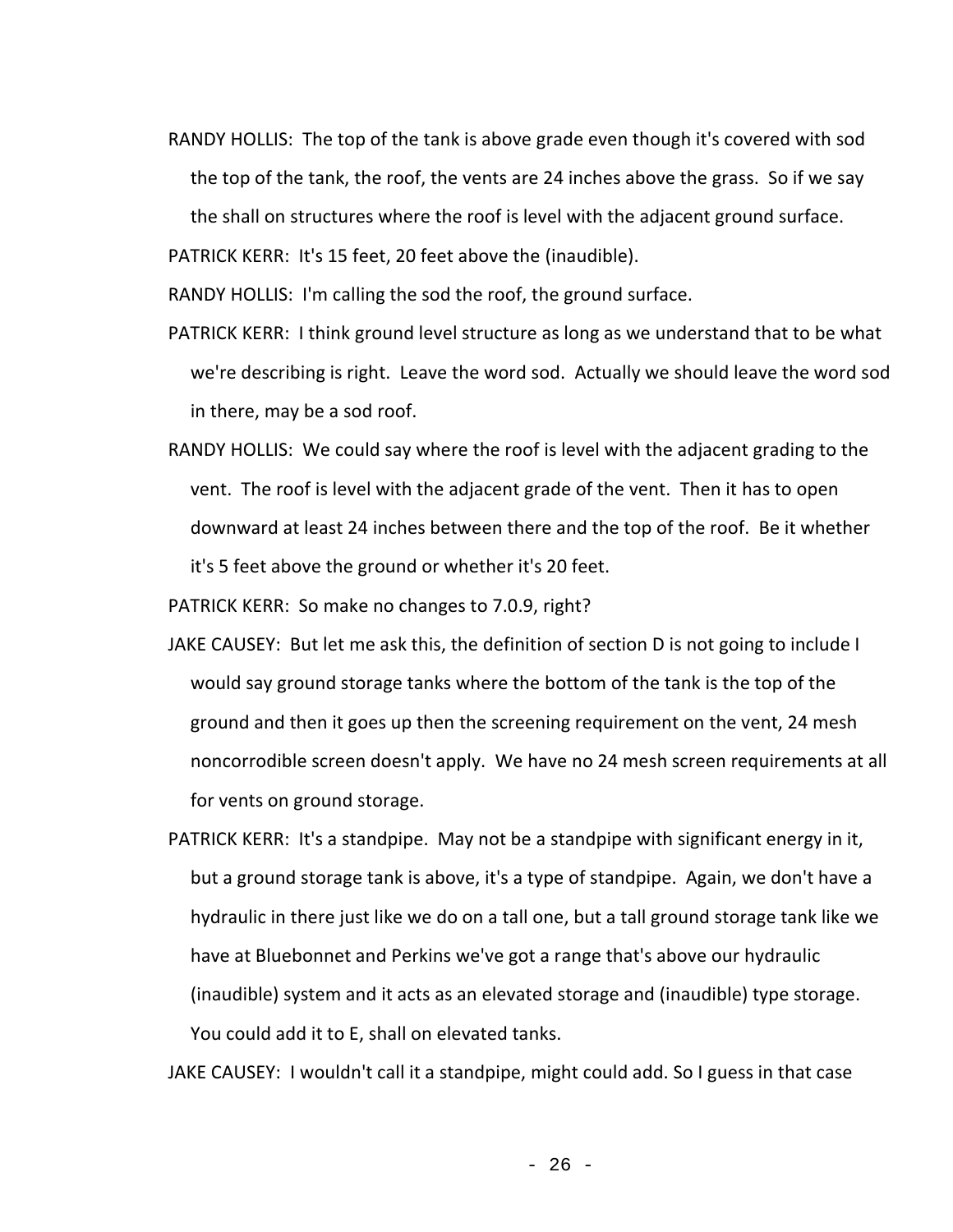RANDY HOLLIS: The top of the tank is above grade even though it's covered with sod the top of the tank, the roof, the vents are 24 inches above the grass. So if we say the shall on structures where the roof is level with the adjacent ground surface.

PATRICK KERR: It's 15 feet, 20 feet above the (inaudible).

RANDY HOLLIS: I'm calling the sod the roof, the ground surface.

- PATRICK KERR: I think ground level structure as long as we understand that to be what we're describing is right. Leave the word sod. Actually we should leave the word sod in there, may be a sod roof.
- RANDY HOLLIS: We could say where the roof is level with the adjacent grading to the vent. The roof is level with the adjacent grade of the vent. Then it has to open downward at least 24 inches between there and the top of the roof. Be it whether it's 5 feet above the ground or whether it's 20 feet.

PATRICK KERR: So make no changes to 7.0.9, right?

- JAKE CAUSEY: But let me ask this, the definition of section D is not going to include I would say ground storage tanks where the bottom of the tank is the top of the ground and then it goes up then the screening requirement on the vent, 24 mesh noncorrodible screen doesn't apply. We have no 24 mesh screen requirements at all for vents on ground storage.
- PATRICK KERR: It's a standpipe. May not be a standpipe with significant energy in it, but a ground storage tank is above, it's a type of standpipe. Again, we don't have a hydraulic in there just like we do on a tall one, but a tall ground storage tank like we have at Bluebonnet and Perkins we've got a range that's above our hydraulic (inaudible) system and it acts as an elevated storage and (inaudible) type storage. You could add it to E, shall on elevated tanks.

JAKE CAUSEY: I wouldn't call it a standpipe, might could add. So I guess in that case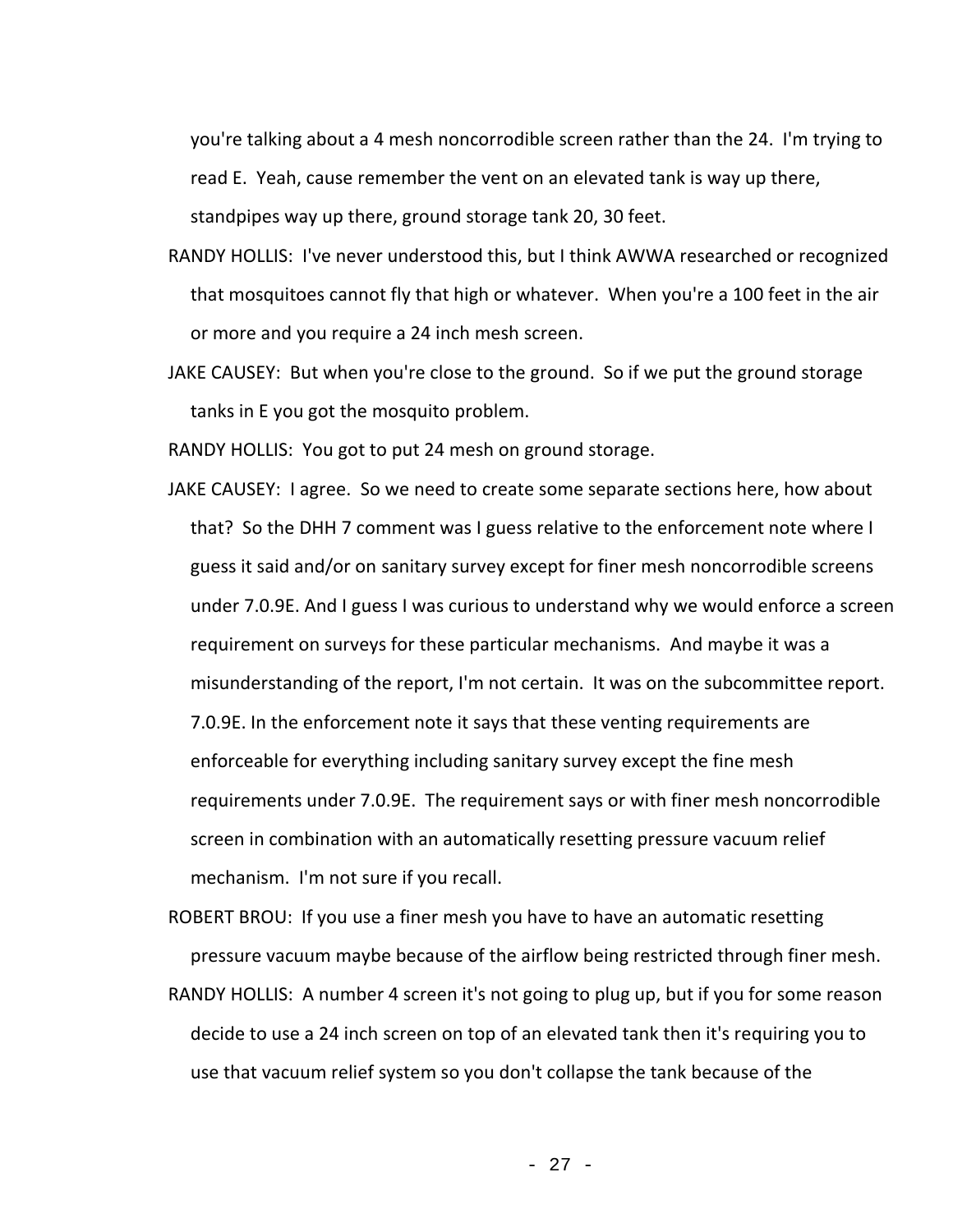you're talking about a 4 mesh noncorrodible screen rather than the 24. I'm trying to read E. Yeah, cause remember the vent on an elevated tank is way up there, standpipes way up there, ground storage tank 20, 30 feet.

- RANDY HOLLIS: I've never understood this, but I think AWWA researched or recognized that mosquitoes cannot fly that high or whatever. When you're a 100 feet in the air or more and you require a 24 inch mesh screen.
- JAKE CAUSEY: But when you're close to the ground. So if we put the ground storage tanks in E you got the mosquito problem.

RANDY HOLLIS: You got to put 24 mesh on ground storage.

JAKE CAUSEY: I agree. So we need to create some separate sections here, how about that? So the DHH 7 comment was I guess relative to the enforcement note where I guess it said and/or on sanitary survey except for finer mesh noncorrodible screens under 7.0.9E. And I guess I was curious to understand why we would enforce a screen requirement on surveys for these particular mechanisms. And maybe it was a misunderstanding of the report, I'm not certain. It was on the subcommittee report. 7.0.9E. In the enforcement note it says that these venting requirements are enforceable for everything including sanitary survey except the fine mesh requirements under 7.0.9E. The requirement says or with finer mesh noncorrodible screen in combination with an automatically resetting pressure vacuum relief mechanism. I'm not sure if you recall.

ROBERT BROU: If you use a finer mesh you have to have an automatic resetting pressure vacuum maybe because of the airflow being restricted through finer mesh.

RANDY HOLLIS: A number 4 screen it's not going to plug up, but if you for some reason decide to use a 24 inch screen on top of an elevated tank then it's requiring you to use that vacuum relief system so you don't collapse the tank because of the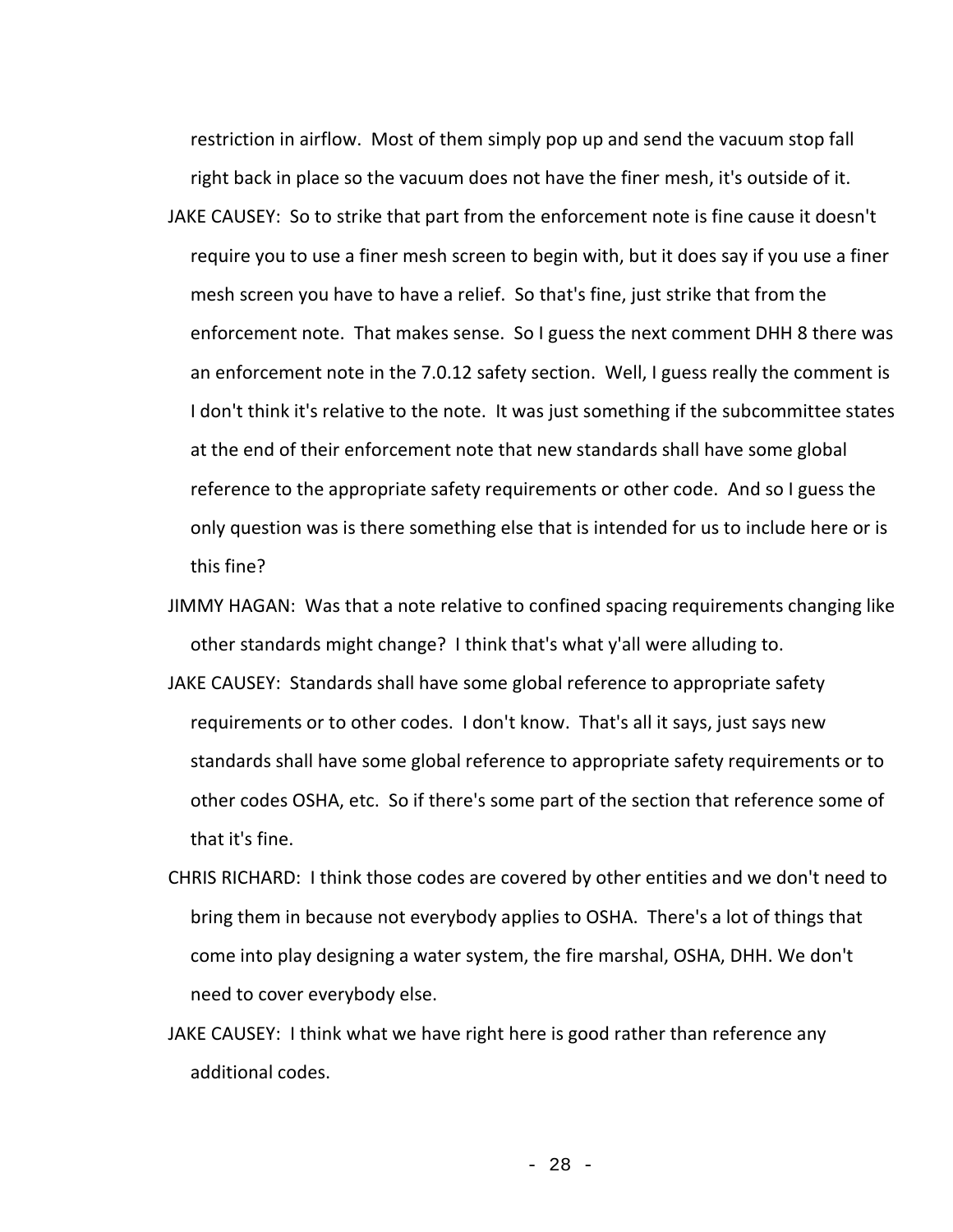restriction in airflow. Most of them simply pop up and send the vacuum stop fall right back in place so the vacuum does not have the finer mesh, it's outside of it.

- JAKE CAUSEY: So to strike that part from the enforcement note is fine cause it doesn't require you to use a finer mesh screen to begin with, but it does say if you use a finer mesh screen you have to have a relief. So that's fine, just strike that from the enforcement note. That makes sense. So I guess the next comment DHH 8 there was an enforcement note in the 7.0.12 safety section. Well, I guess really the comment is I don't think it's relative to the note. It was just something if the subcommittee states at the end of their enforcement note that new standards shall have some global reference to the appropriate safety requirements or other code. And so I guess the only question was is there something else that is intended for us to include here or is this fine?
- JIMMY HAGAN: Was that a note relative to confined spacing requirements changing like other standards might change? I think that's what y'all were alluding to.
- JAKE CAUSEY: Standards shall have some global reference to appropriate safety requirements or to other codes. I don't know. That's all it says, just says new standards shall have some global reference to appropriate safety requirements or to other codes OSHA, etc. So if there's some part of the section that reference some of that it's fine.
- CHRIS RICHARD: I think those codes are covered by other entities and we don't need to bring them in because not everybody applies to OSHA. There's a lot of things that come into play designing a water system, the fire marshal, OSHA, DHH. We don't need to cover everybody else.
- JAKE CAUSEY: I think what we have right here is good rather than reference any additional codes.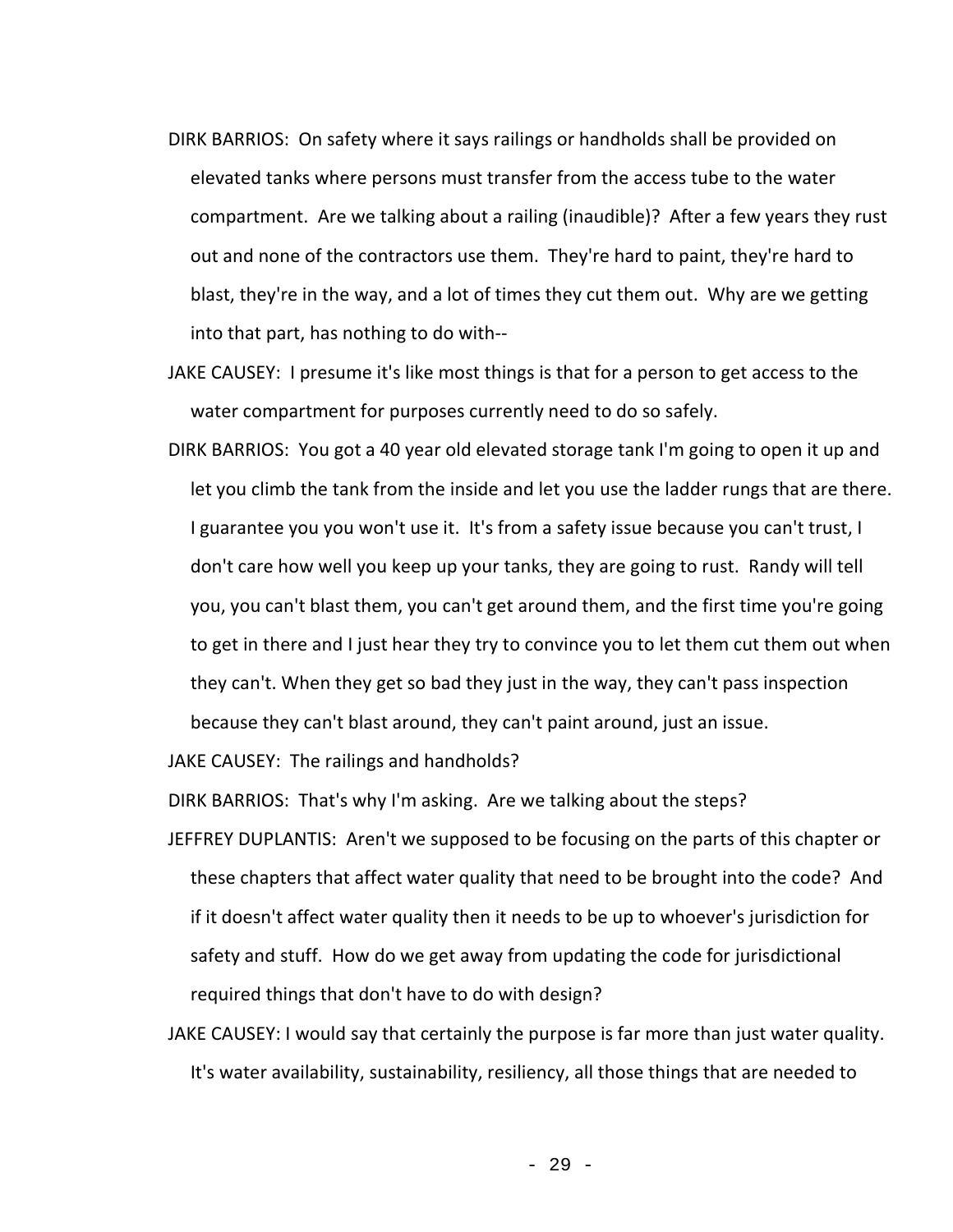- DIRK BARRIOS: On safety where it says railings or handholds shall be provided on elevated tanks where persons must transfer from the access tube to the water compartment. Are we talking about a railing (inaudible)? After a few years they rust out and none of the contractors use them. They're hard to paint, they're hard to blast, they're in the way, and a lot of times they cut them out. Why are we getting into that part, has nothing to do with--
- JAKE CAUSEY: I presume it's like most things is that for a person to get access to the water compartment for purposes currently need to do so safely.
- DIRK BARRIOS: You got a 40 year old elevated storage tank I'm going to open it up and let you climb the tank from the inside and let you use the ladder rungs that are there. I guarantee you you won't use it. It's from a safety issue because you can't trust, I don't care how well you keep up your tanks, they are going to rust. Randy will tell you, you can't blast them, you can't get around them, and the first time you're going to get in there and I just hear they try to convince you to let them cut them out when they can't. When they get so bad they just in the way, they can't pass inspection because they can't blast around, they can't paint around, just an issue.

JAKE CAUSEY: The railings and handholds?

DIRK BARRIOS: That's why I'm asking. Are we talking about the steps?

- JEFFREY DUPLANTIS: Aren't we supposed to be focusing on the parts of this chapter or these chapters that affect water quality that need to be brought into the code? And if it doesn't affect water quality then it needs to be up to whoever's jurisdiction for safety and stuff. How do we get away from updating the code for jurisdictional required things that don't have to do with design?
- JAKE CAUSEY: I would say that certainly the purpose is far more than just water quality. It's water availability, sustainability, resiliency, all those things that are needed to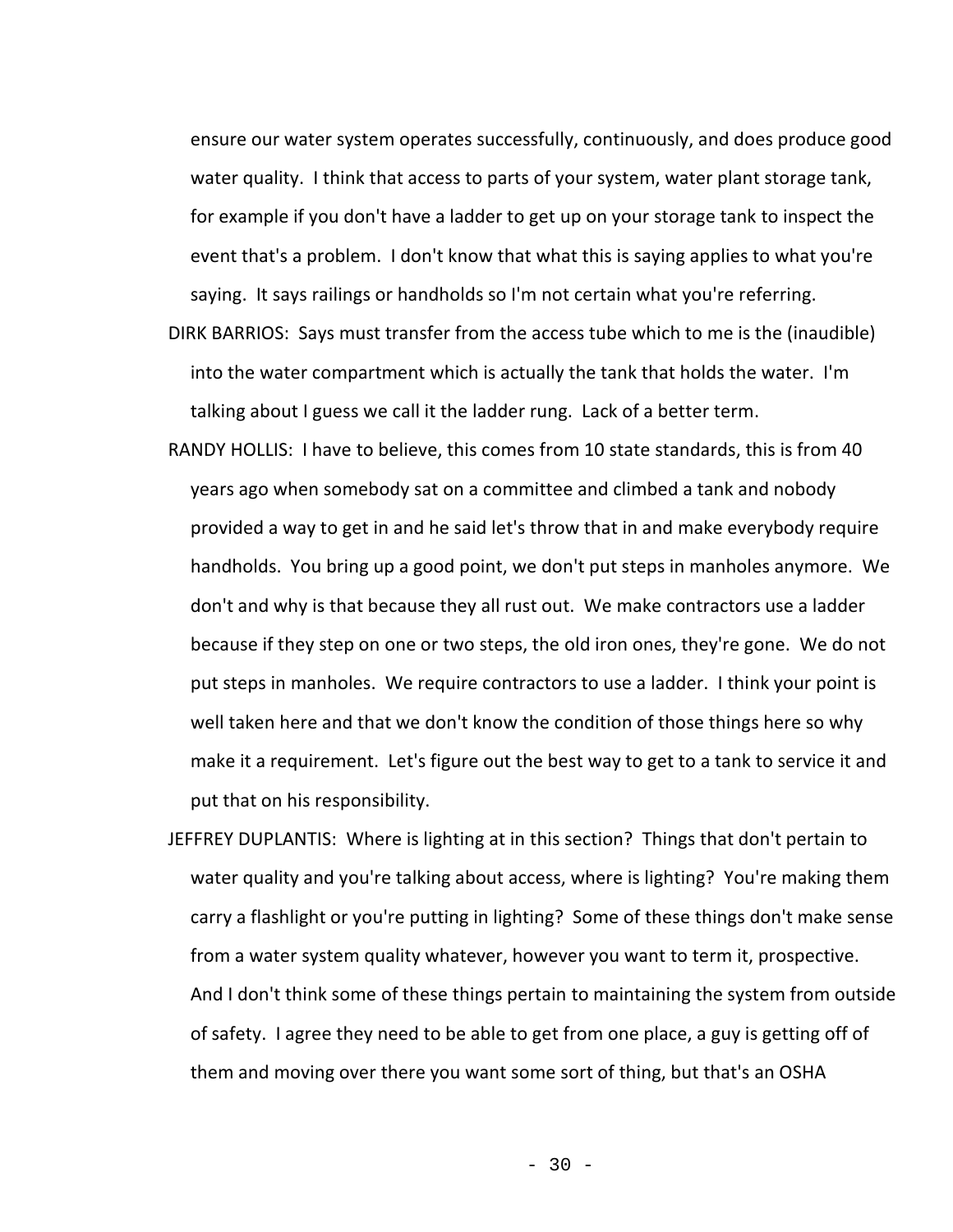ensure our water system operates successfully, continuously, and does produce good water quality. I think that access to parts of your system, water plant storage tank, for example if you don't have a ladder to get up on your storage tank to inspect the event that's a problem. I don't know that what this is saying applies to what you're saying. It says railings or handholds so I'm not certain what you're referring.

- DIRK BARRIOS: Says must transfer from the access tube which to me is the (inaudible) into the water compartment which is actually the tank that holds the water. I'm talking about I guess we call it the ladder rung. Lack of a better term.
- RANDY HOLLIS: I have to believe, this comes from 10 state standards, this is from 40 years ago when somebody sat on a committee and climbed a tank and nobody provided a way to get in and he said let's throw that in and make everybody require handholds. You bring up a good point, we don't put steps in manholes anymore. We don't and why is that because they all rust out. We make contractors use a ladder because if they step on one or two steps, the old iron ones, they're gone. We do not put steps in manholes. We require contractors to use a ladder. I think your point is well taken here and that we don't know the condition of those things here so why make it a requirement. Let's figure out the best way to get to a tank to service it and put that on his responsibility.
- JEFFREY DUPLANTIS: Where is lighting at in this section? Things that don't pertain to water quality and you're talking about access, where is lighting? You're making them carry a flashlight or you're putting in lighting? Some of these things don't make sense from a water system quality whatever, however you want to term it, prospective. And I don't think some of these things pertain to maintaining the system from outside of safety. I agree they need to be able to get from one place, a guy is getting off of them and moving over there you want some sort of thing, but that's an OSHA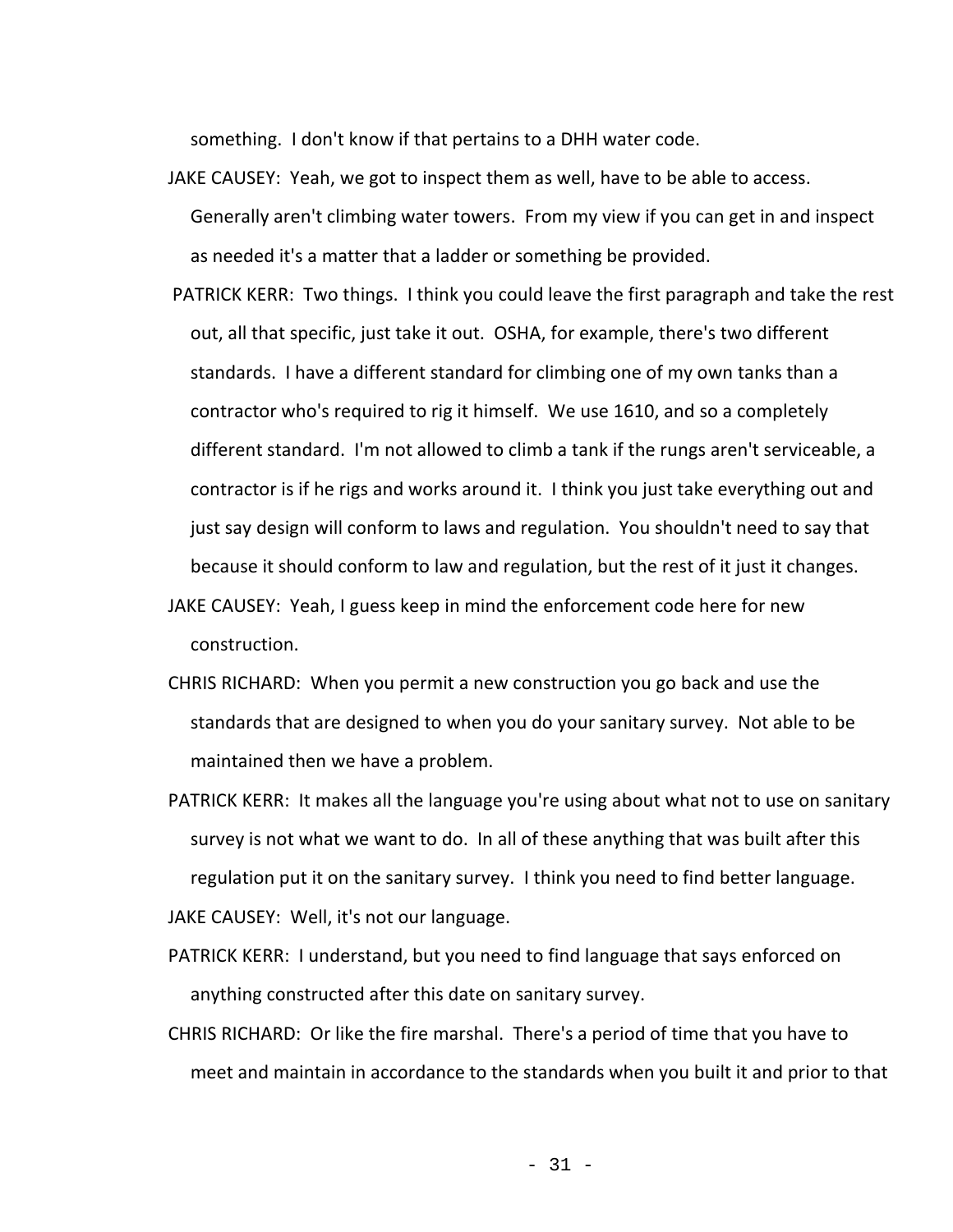something. I don't know if that pertains to a DHH water code.

- JAKE CAUSEY: Yeah, we got to inspect them as well, have to be able to access. Generally aren't climbing water towers. From my view if you can get in and inspect as needed it's a matter that a ladder or something be provided.
- PATRICK KERR: Two things. I think you could leave the first paragraph and take the rest out, all that specific, just take it out. OSHA, for example, there's two different standards. I have a different standard for climbing one of my own tanks than a contractor who's required to rig it himself. We use 1610, and so a completely different standard. I'm not allowed to climb a tank if the rungs aren't serviceable, a contractor is if he rigs and works around it. I think you just take everything out and just say design will conform to laws and regulation. You shouldn't need to say that because it should conform to law and regulation, but the rest of it just it changes.
- JAKE CAUSEY: Yeah, I guess keep in mind the enforcement code here for new construction.
- CHRIS RICHARD: When you permit a new construction you go back and use the standards that are designed to when you do your sanitary survey. Not able to be maintained then we have a problem.
- PATRICK KERR: It makes all the language you're using about what not to use on sanitary survey is not what we want to do. In all of these anything that was built after this regulation put it on the sanitary survey. I think you need to find better language. JAKE CAUSEY: Well, it's not our language.
- PATRICK KERR: I understand, but you need to find language that says enforced on anything constructed after this date on sanitary survey.
- CHRIS RICHARD: Or like the fire marshal. There's a period of time that you have to meet and maintain in accordance to the standards when you built it and prior to that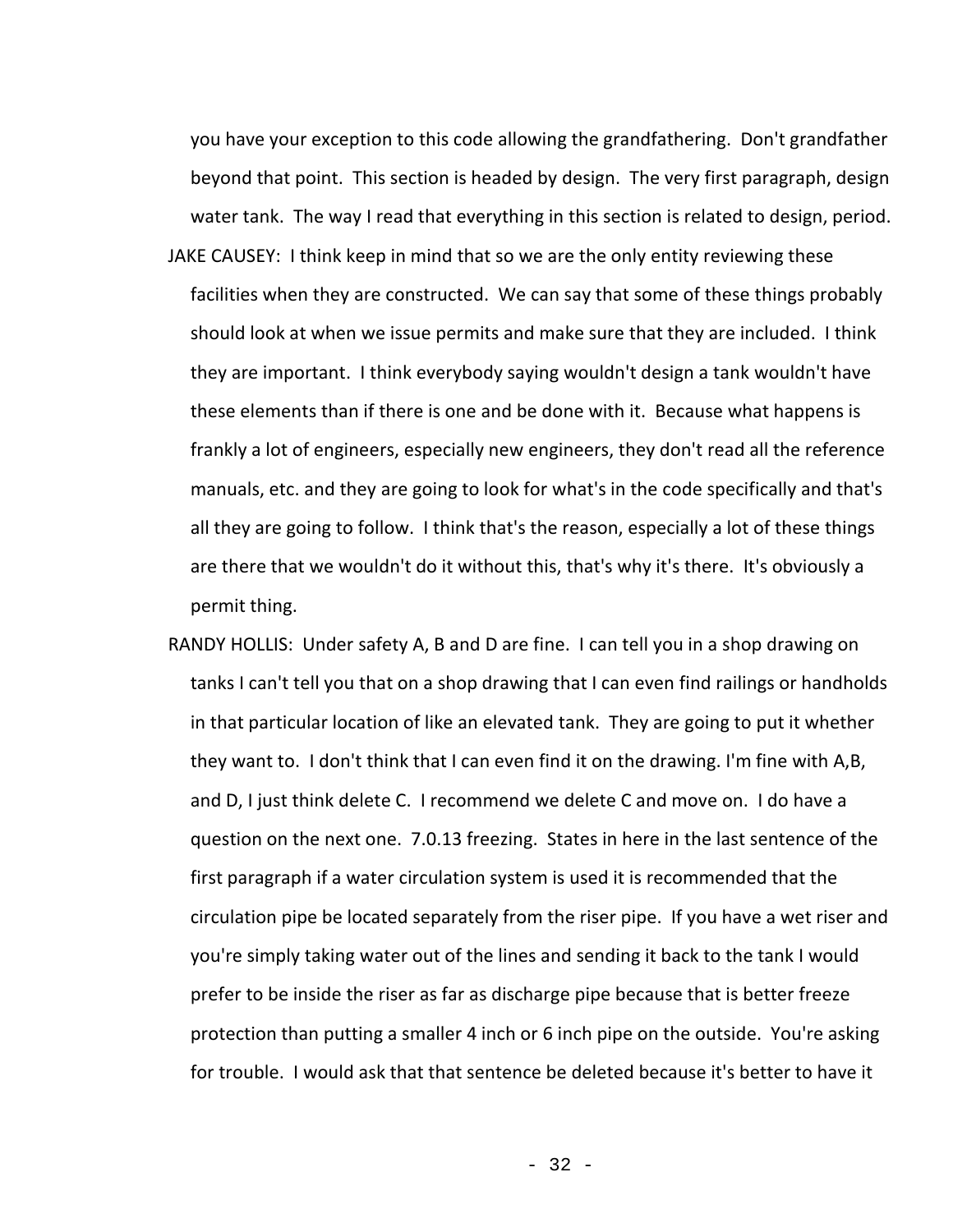you have your exception to this code allowing the grandfathering. Don't grandfather beyond that point. This section is headed by design. The very first paragraph, design water tank. The way I read that everything in this section is related to design, period.

- JAKE CAUSEY: I think keep in mind that so we are the only entity reviewing these facilities when they are constructed. We can say that some of these things probably should look at when we issue permits and make sure that they are included. I think they are important. I think everybody saying wouldn't design a tank wouldn't have these elements than if there is one and be done with it. Because what happens is frankly a lot of engineers, especially new engineers, they don't read all the reference manuals, etc. and they are going to look for what's in the code specifically and that's all they are going to follow. I think that's the reason, especially a lot of these things are there that we wouldn't do it without this, that's why it's there. It's obviously a permit thing.
- RANDY HOLLIS: Under safety A, B and D are fine. I can tell you in a shop drawing on tanks I can't tell you that on a shop drawing that I can even find railings or handholds in that particular location of like an elevated tank. They are going to put it whether they want to. I don't think that I can even find it on the drawing. I'm fine with A,B, and D, I just think delete C. I recommend we delete C and move on. I do have a question on the next one. 7.0.13 freezing. States in here in the last sentence of the first paragraph if a water circulation system is used it is recommended that the circulation pipe be located separately from the riser pipe. If you have a wet riser and you're simply taking water out of the lines and sending it back to the tank I would prefer to be inside the riser as far as discharge pipe because that is better freeze protection than putting a smaller 4 inch or 6 inch pipe on the outside. You're asking for trouble. I would ask that that sentence be deleted because it's better to have it

- 32 -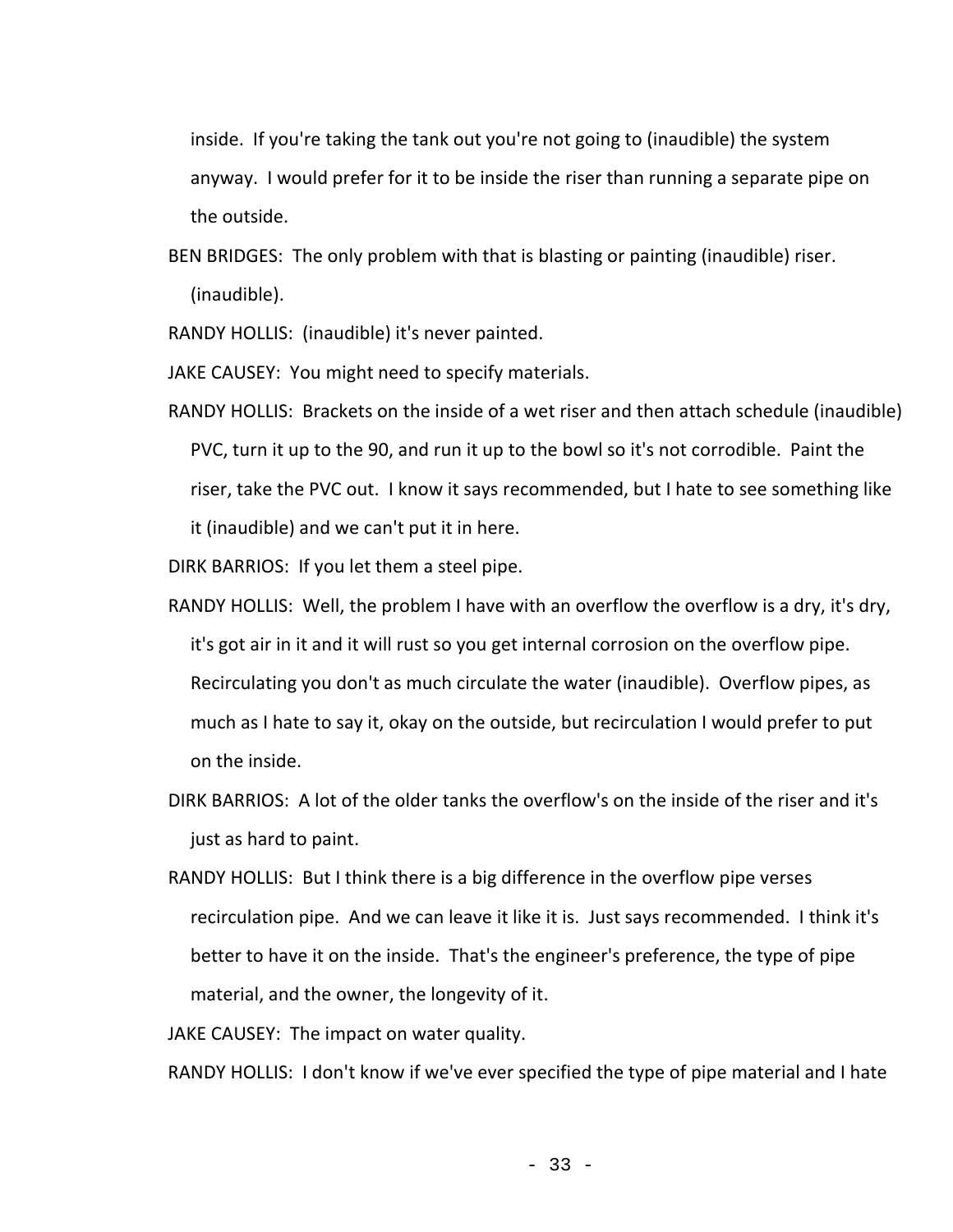inside. If you're taking the tank out you're not going to (inaudible) the system anyway. I would prefer for it to be inside the riser than running a separate pipe on the outside.

BEN BRIDGES: The only problem with that is blasting or painting (inaudible) riser. (inaudible).

RANDY HOLLIS: (inaudible) it's never painted.

JAKE CAUSEY: You might need to specify materials.

RANDY HOLLIS: Brackets on the inside of a wet riser and then attach schedule (inaudible) PVC, turn it up to the 90, and run it up to the bowl so it's not corrodible. Paint the riser, take the PVC out. I know it says recommended, but I hate to see something like it (inaudible) and we can't put it in here.

DIRK BARRIOS: If you let them a steel pipe.

- RANDY HOLLIS: Well, the problem I have with an overflow the overflow is a dry, it's dry, it's got air in it and it will rust so you get internal corrosion on the overflow pipe. Recirculating you don't as much circulate the water (inaudible). Overflow pipes, as much as I hate to say it, okay on the outside, but recirculation I would prefer to put on the inside.
- DIRK BARRIOS: A lot of the older tanks the overflow's on the inside of the riser and it's just as hard to paint.
- RANDY HOLLIS: But I think there is a big difference in the overflow pipe verses recirculation pipe. And we can leave it like it is. Just says recommended. I think it's better to have it on the inside. That's the engineer's preference, the type of pipe material, and the owner, the longevity of it.

JAKE CAUSEY: The impact on water quality.

RANDY HOLLIS: I don't know if we've ever specified the type of pipe material and I hate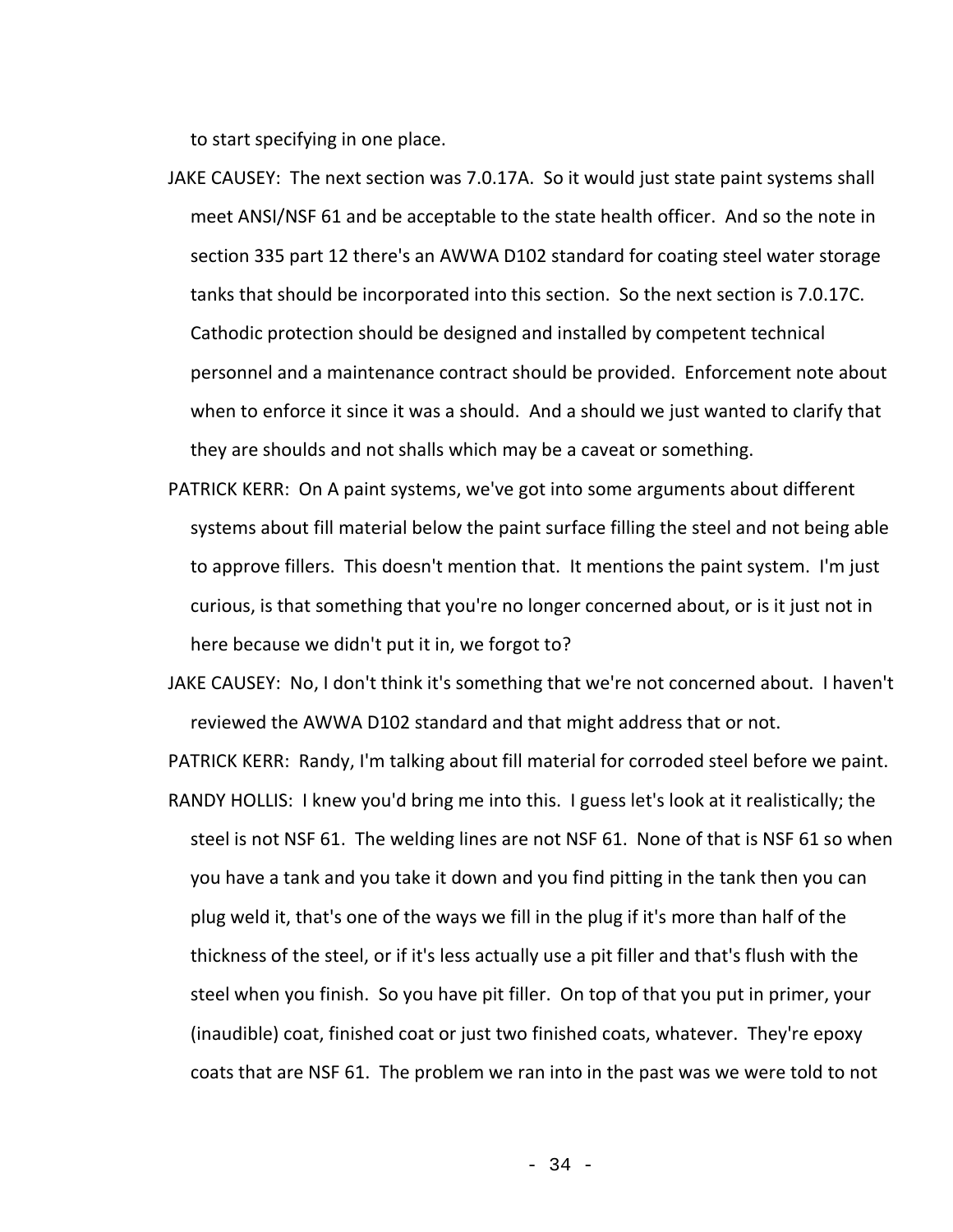to start specifying in one place.

- JAKE CAUSEY: The next section was 7.0.17A. So it would just state paint systems shall meet ANSI/NSF 61 and be acceptable to the state health officer. And so the note in section 335 part 12 there's an AWWA D102 standard for coating steel water storage tanks that should be incorporated into this section. So the next section is 7.0.17C. Cathodic protection should be designed and installed by competent technical personnel and a maintenance contract should be provided. Enforcement note about when to enforce it since it was a should. And a should we just wanted to clarify that they are shoulds and not shalls which may be a caveat or something.
- PATRICK KERR: On A paint systems, we've got into some arguments about different systems about fill material below the paint surface filling the steel and not being able to approve fillers. This doesn't mention that. It mentions the paint system. I'm just curious, is that something that you're no longer concerned about, or is it just not in here because we didn't put it in, we forgot to?

JAKE CAUSEY: No, I don't think it's something that we're not concerned about. I haven't reviewed the AWWA D102 standard and that might address that or not.

PATRICK KERR: Randy, I'm talking about fill material for corroded steel before we paint. RANDY HOLLIS: I knew you'd bring me into this. I guess let's look at it realistically; the

steel is not NSF 61. The welding lines are not NSF 61. None of that is NSF 61 so when you have a tank and you take it down and you find pitting in the tank then you can plug weld it, that's one of the ways we fill in the plug if it's more than half of the thickness of the steel, or if it's less actually use a pit filler and that's flush with the steel when you finish. So you have pit filler. On top of that you put in primer, your (inaudible) coat, finished coat or just two finished coats, whatever. They're epoxy coats that are NSF 61. The problem we ran into in the past was we were told to not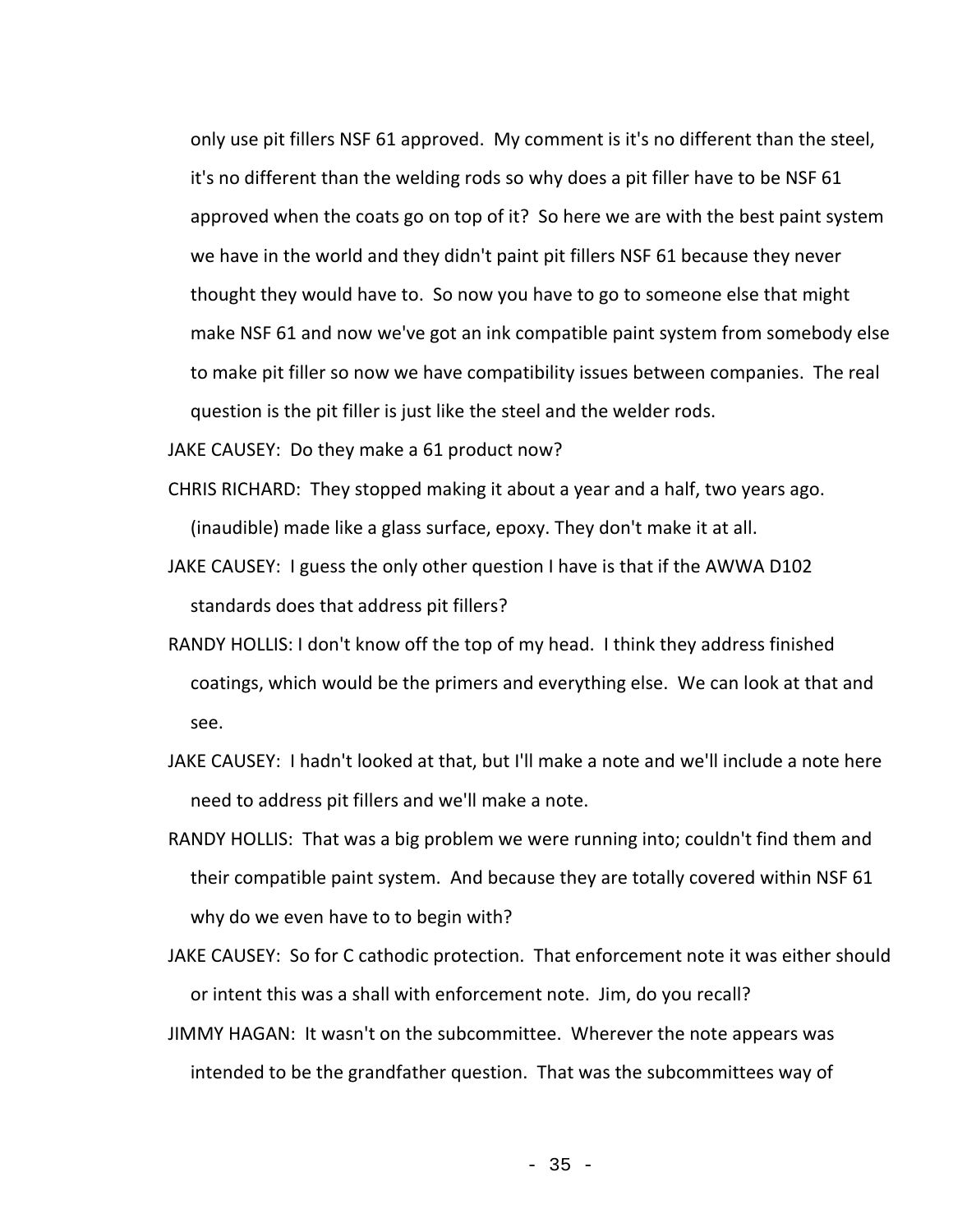only use pit fillers NSF 61 approved. My comment is it's no different than the steel, it's no different than the welding rods so why does a pit filler have to be NSF 61 approved when the coats go on top of it? So here we are with the best paint system we have in the world and they didn't paint pit fillers NSF 61 because they never thought they would have to. So now you have to go to someone else that might make NSF 61 and now we've got an ink compatible paint system from somebody else to make pit filler so now we have compatibility issues between companies. The real question is the pit filler is just like the steel and the welder rods.

JAKE CAUSEY: Do they make a 61 product now?

- CHRIS RICHARD: They stopped making it about a year and a half, two years ago. (inaudible) made like a glass surface, epoxy. They don't make it at all.
- JAKE CAUSEY: I guess the only other question I have is that if the AWWA D102 standards does that address pit fillers?
- RANDY HOLLIS: I don't know off the top of my head. I think they address finished coatings, which would be the primers and everything else. We can look at that and see.
- JAKE CAUSEY: I hadn't looked at that, but I'll make a note and we'll include a note here need to address pit fillers and we'll make a note.
- RANDY HOLLIS: That was a big problem we were running into; couldn't find them and their compatible paint system. And because they are totally covered within NSF 61 why do we even have to to begin with?
- JAKE CAUSEY: So for C cathodic protection. That enforcement note it was either should or intent this was a shall with enforcement note. Jim, do you recall?
- JIMMY HAGAN: It wasn't on the subcommittee. Wherever the note appears was intended to be the grandfather question. That was the subcommittees way of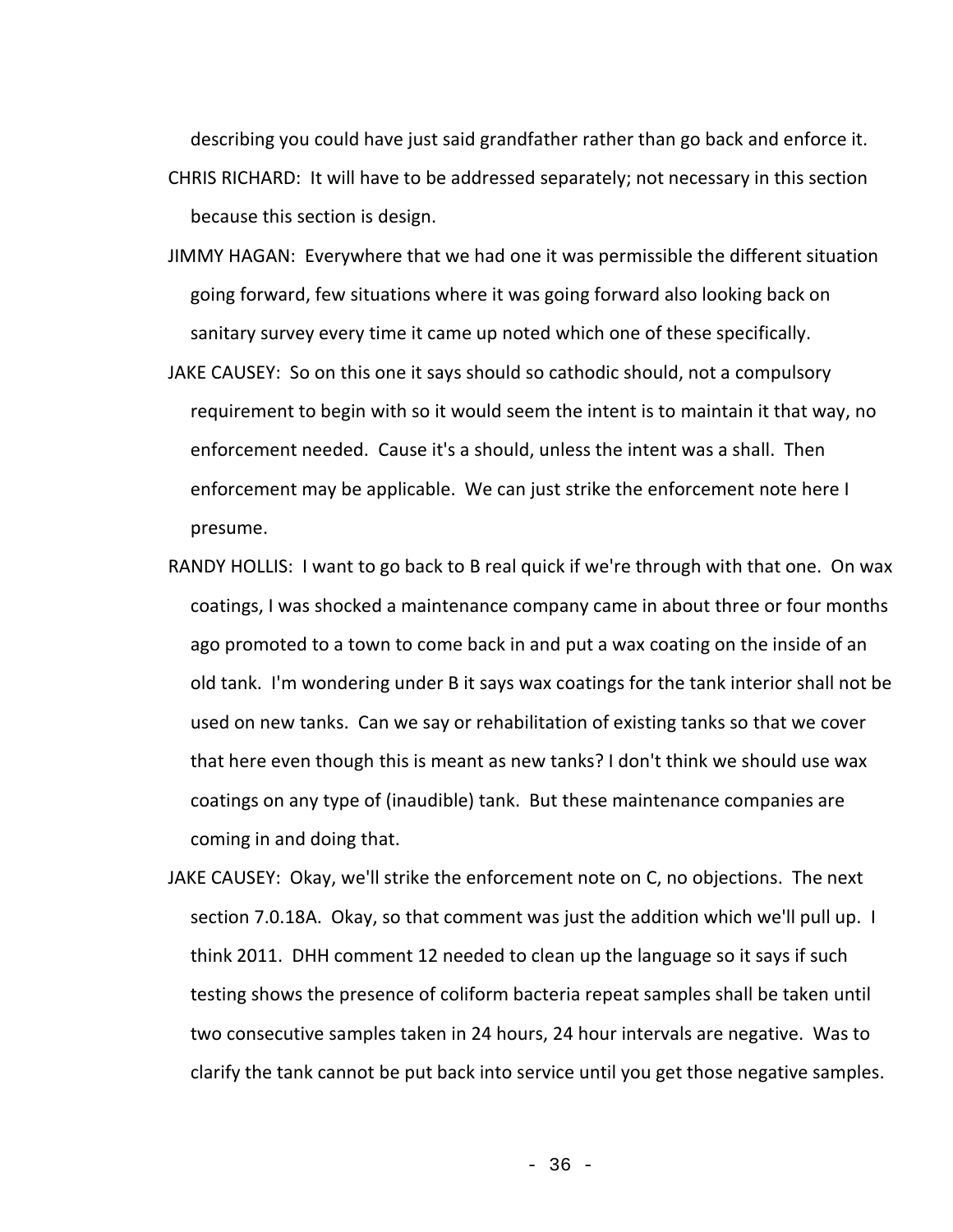describing you could have just said grandfather rather than go back and enforce it. CHRIS RICHARD: It will have to be addressed separately; not necessary in this section because this section is design.

- JIMMY HAGAN: Everywhere that we had one it was permissible the different situation going forward, few situations where it was going forward also looking back on sanitary survey every time it came up noted which one of these specifically.
- JAKE CAUSEY: So on this one it says should so cathodic should, not a compulsory requirement to begin with so it would seem the intent is to maintain it that way, no enforcement needed. Cause it's a should, unless the intent was a shall. Then enforcement may be applicable. We can just strike the enforcement note here I presume.
- RANDY HOLLIS: I want to go back to B real quick if we're through with that one. On wax coatings, I was shocked a maintenance company came in about three or four months ago promoted to a town to come back in and put a wax coating on the inside of an old tank. I'm wondering under B it says wax coatings for the tank interior shall not be used on new tanks. Can we say or rehabilitation of existing tanks so that we cover that here even though this is meant as new tanks? I don't think we should use wax coatings on any type of (inaudible) tank. But these maintenance companies are coming in and doing that.
- JAKE CAUSEY: Okay, we'll strike the enforcement note on C, no objections. The next section 7.0.18A. Okay, so that comment was just the addition which we'll pull up. I think 2011. DHH comment 12 needed to clean up the language so it says if such testing shows the presence of coliform bacteria repeat samples shall be taken until two consecutive samples taken in 24 hours, 24 hour intervals are negative. Was to clarify the tank cannot be put back into service until you get those negative samples.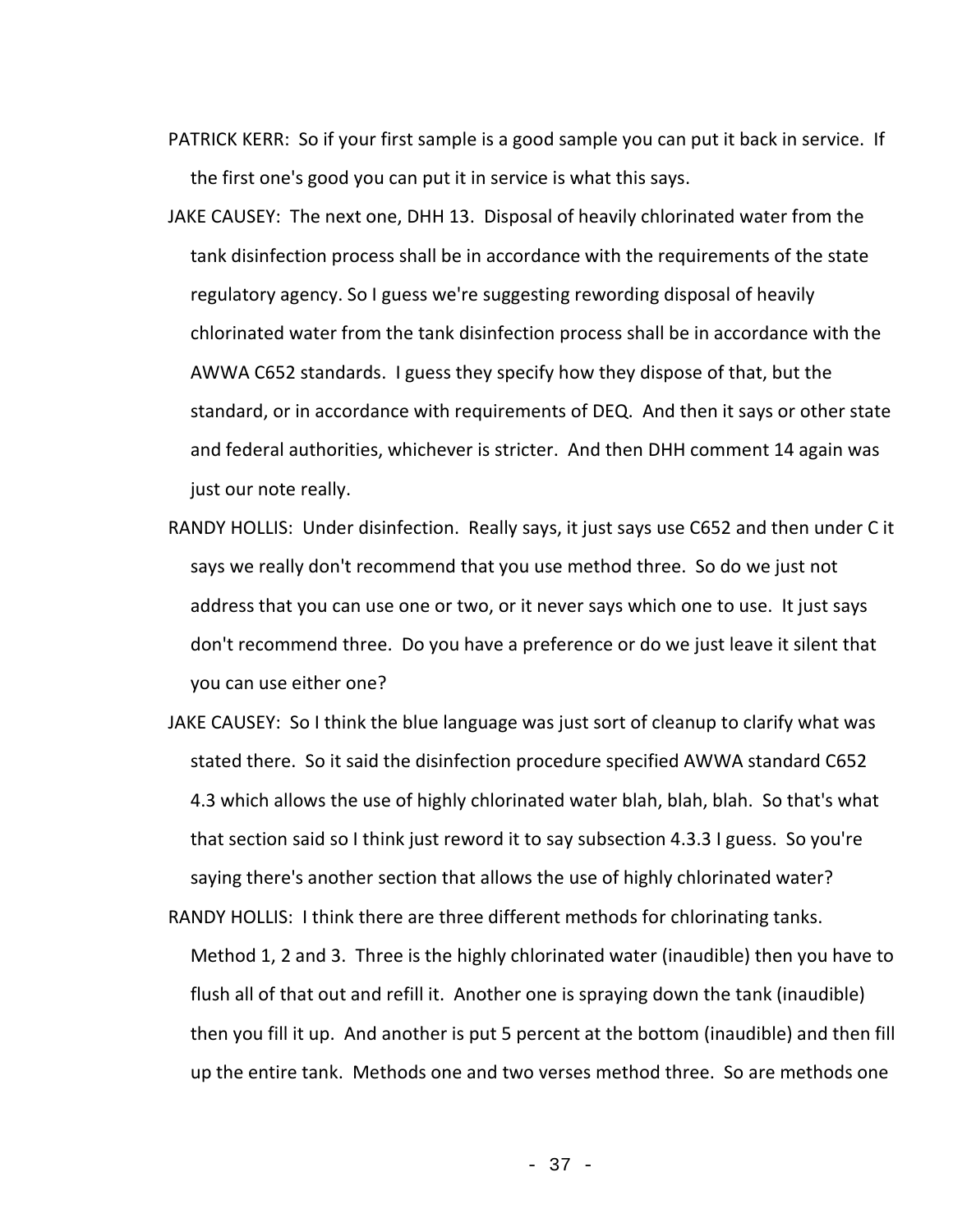- PATRICK KERR: So if your first sample is a good sample you can put it back in service. If the first one's good you can put it in service is what this says.
- JAKE CAUSEY: The next one, DHH 13. Disposal of heavily chlorinated water from the tank disinfection process shall be in accordance with the requirements of the state regulatory agency. So I guess we're suggesting rewording disposal of heavily chlorinated water from the tank disinfection process shall be in accordance with the AWWA C652 standards. I guess they specify how they dispose of that, but the standard, or in accordance with requirements of DEQ. And then it says or other state and federal authorities, whichever is stricter. And then DHH comment 14 again was just our note really.
- RANDY HOLLIS: Under disinfection. Really says, it just says use C652 and then under C it says we really don't recommend that you use method three. So do we just not address that you can use one or two, or it never says which one to use. It just says don't recommend three. Do you have a preference or do we just leave it silent that you can use either one?
- JAKE CAUSEY: So I think the blue language was just sort of cleanup to clarify what was stated there. So it said the disinfection procedure specified AWWA standard C652 4.3 which allows the use of highly chlorinated water blah, blah, blah. So that's what that section said so I think just reword it to say subsection 4.3.3 I guess. So you're saying there's another section that allows the use of highly chlorinated water?
- RANDY HOLLIS: I think there are three different methods for chlorinating tanks. Method 1, 2 and 3. Three is the highly chlorinated water (inaudible) then you have to flush all of that out and refill it. Another one is spraying down the tank (inaudible) then you fill it up. And another is put 5 percent at the bottom (inaudible) and then fill up the entire tank. Methods one and two verses method three. So are methods one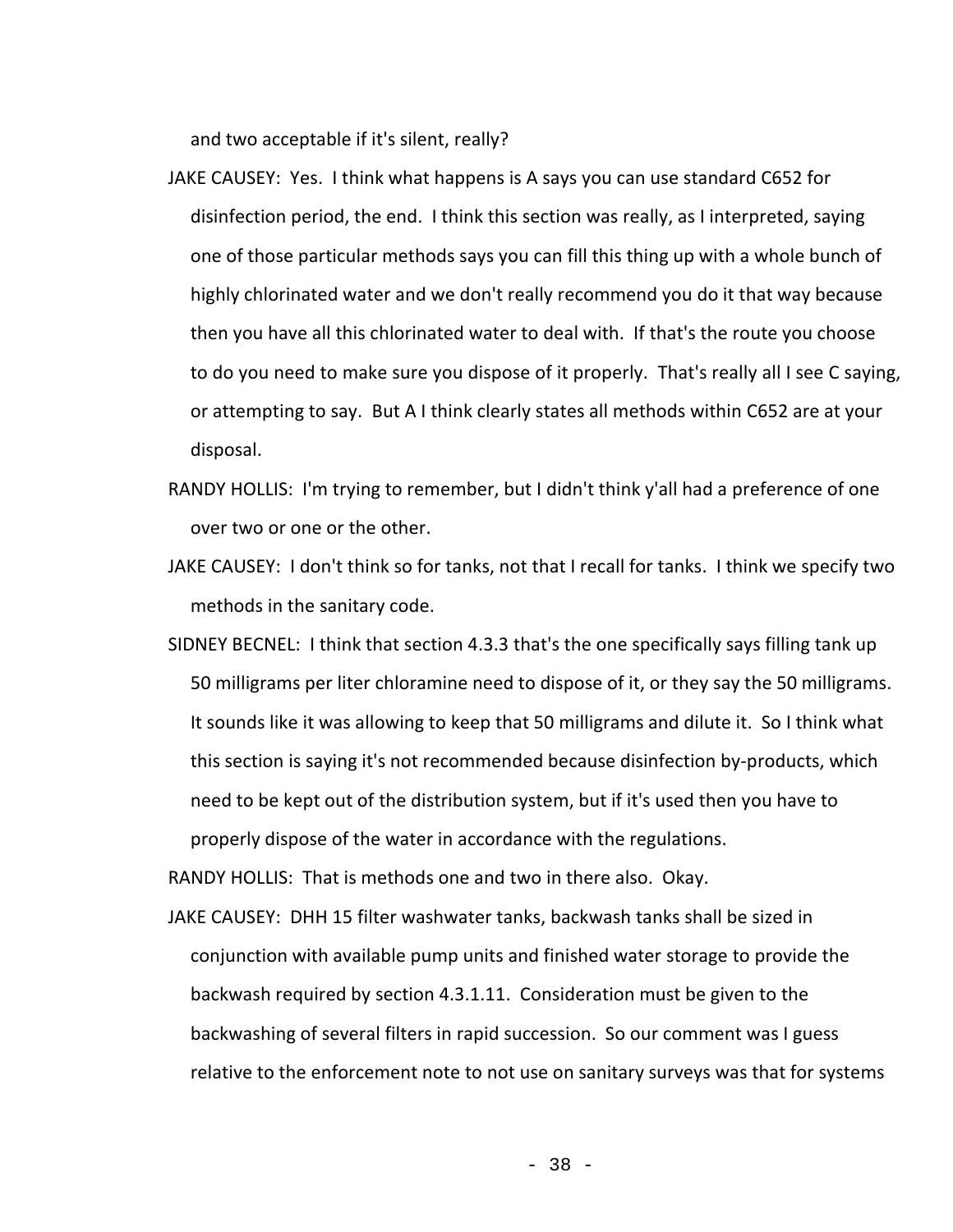and two acceptable if it's silent, really?

- JAKE CAUSEY: Yes. I think what happens is A says you can use standard C652 for disinfection period, the end. I think this section was really, as I interpreted, saying one of those particular methods says you can fill this thing up with a whole bunch of highly chlorinated water and we don't really recommend you do it that way because then you have all this chlorinated water to deal with. If that's the route you choose to do you need to make sure you dispose of it properly. That's really all I see C saying, or attempting to say. But A I think clearly states all methods within C652 are at your disposal.
- RANDY HOLLIS: I'm trying to remember, but I didn't think y'all had a preference of one over two or one or the other.
- JAKE CAUSEY: I don't think so for tanks, not that I recall for tanks. I think we specify two methods in the sanitary code.
- SIDNEY BECNEL: I think that section 4.3.3 that's the one specifically says filling tank up 50 milligrams per liter chloramine need to dispose of it, or they say the 50 milligrams. It sounds like it was allowing to keep that 50 milligrams and dilute it. So I think what this section is saying it's not recommended because disinfection by-products, which need to be kept out of the distribution system, but if it's used then you have to properly dispose of the water in accordance with the regulations.

RANDY HOLLIS: That is methods one and two in there also. Okay.

JAKE CAUSEY: DHH 15 filter washwater tanks, backwash tanks shall be sized in conjunction with available pump units and finished water storage to provide the backwash required by section 4.3.1.11. Consideration must be given to the backwashing of several filters in rapid succession. So our comment was I guess relative to the enforcement note to not use on sanitary surveys was that for systems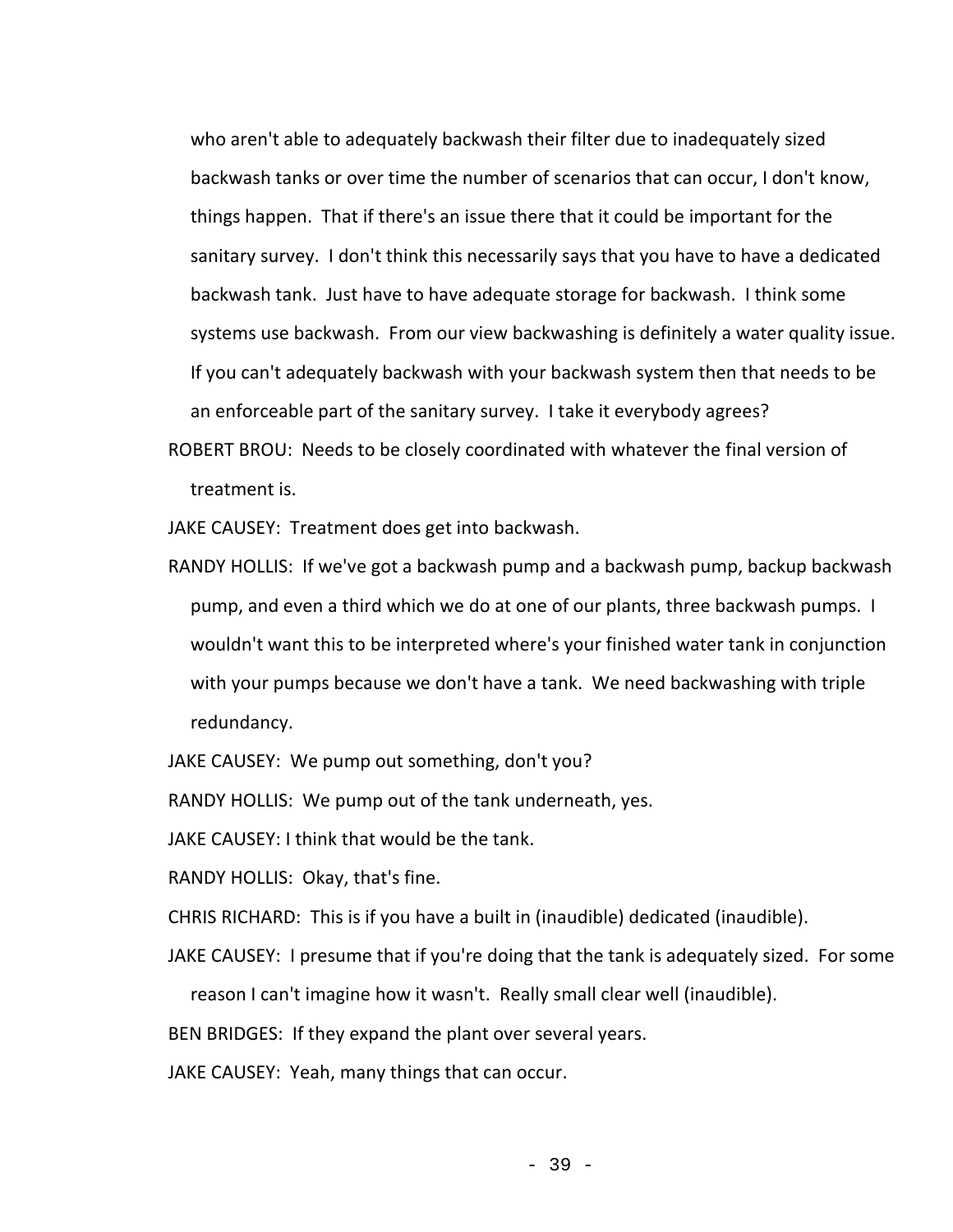who aren't able to adequately backwash their filter due to inadequately sized backwash tanks or over time the number of scenarios that can occur, I don't know, things happen. That if there's an issue there that it could be important for the sanitary survey. I don't think this necessarily says that you have to have a dedicated backwash tank. Just have to have adequate storage for backwash. I think some systems use backwash. From our view backwashing is definitely a water quality issue. If you can't adequately backwash with your backwash system then that needs to be an enforceable part of the sanitary survey. I take it everybody agrees?

ROBERT BROU: Needs to be closely coordinated with whatever the final version of treatment is.

JAKE CAUSEY: Treatment does get into backwash.

RANDY HOLLIS: If we've got a backwash pump and a backwash pump, backup backwash pump, and even a third which we do at one of our plants, three backwash pumps. I wouldn't want this to be interpreted where's your finished water tank in conjunction with your pumps because we don't have a tank. We need backwashing with triple redundancy.

JAKE CAUSEY: We pump out something, don't you?

RANDY HOLLIS: We pump out of the tank underneath, yes.

JAKE CAUSEY: I think that would be the tank.

RANDY HOLLIS: Okay, that's fine.

CHRIS RICHARD: This is if you have a built in (inaudible) dedicated (inaudible).

JAKE CAUSEY: I presume that if you're doing that the tank is adequately sized. For some

reason I can't imagine how it wasn't. Really small clear well (inaudible).

BEN BRIDGES: If they expand the plant over several years.

JAKE CAUSEY: Yeah, many things that can occur.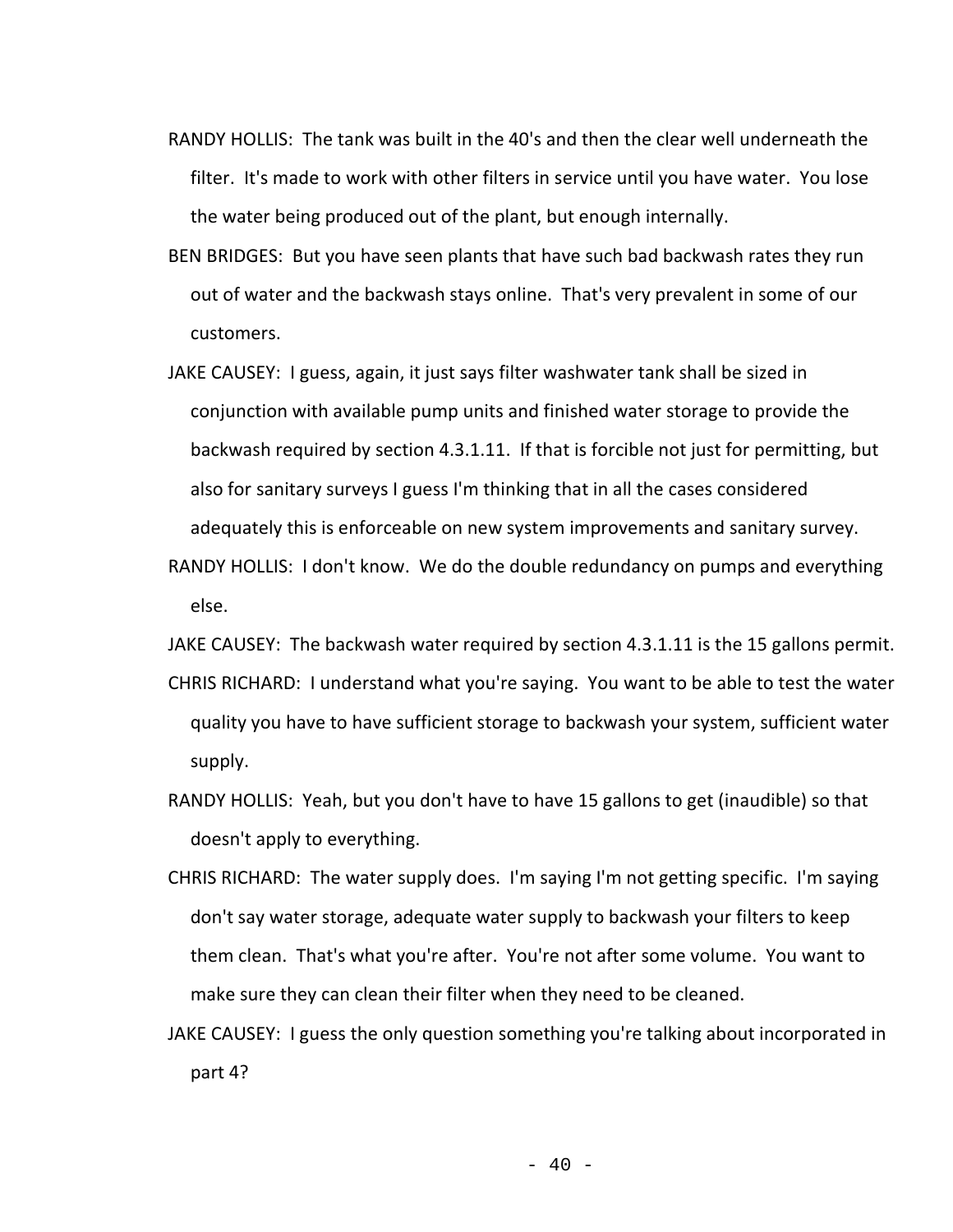- RANDY HOLLIS: The tank was built in the 40's and then the clear well underneath the filter. It's made to work with other filters in service until you have water. You lose the water being produced out of the plant, but enough internally.
- BEN BRIDGES: But you have seen plants that have such bad backwash rates they run out of water and the backwash stays online. That's very prevalent in some of our customers.
- JAKE CAUSEY: I guess, again, it just says filter washwater tank shall be sized in conjunction with available pump units and finished water storage to provide the backwash required by section 4.3.1.11. If that is forcible not just for permitting, but also for sanitary surveys I guess I'm thinking that in all the cases considered adequately this is enforceable on new system improvements and sanitary survey.
- RANDY HOLLIS: I don't know. We do the double redundancy on pumps and everything else.
- JAKE CAUSEY: The backwash water required by section 4.3.1.11 is the 15 gallons permit. CHRIS RICHARD: I understand what you're saying. You want to be able to test the water quality you have to have sufficient storage to backwash your system, sufficient water supply.
- RANDY HOLLIS: Yeah, but you don't have to have 15 gallons to get (inaudible) so that doesn't apply to everything.
- CHRIS RICHARD: The water supply does. I'm saying I'm not getting specific. I'm saying don't say water storage, adequate water supply to backwash your filters to keep them clean. That's what you're after. You're not after some volume. You want to make sure they can clean their filter when they need to be cleaned.
- JAKE CAUSEY: I guess the only question something you're talking about incorporated in part 4?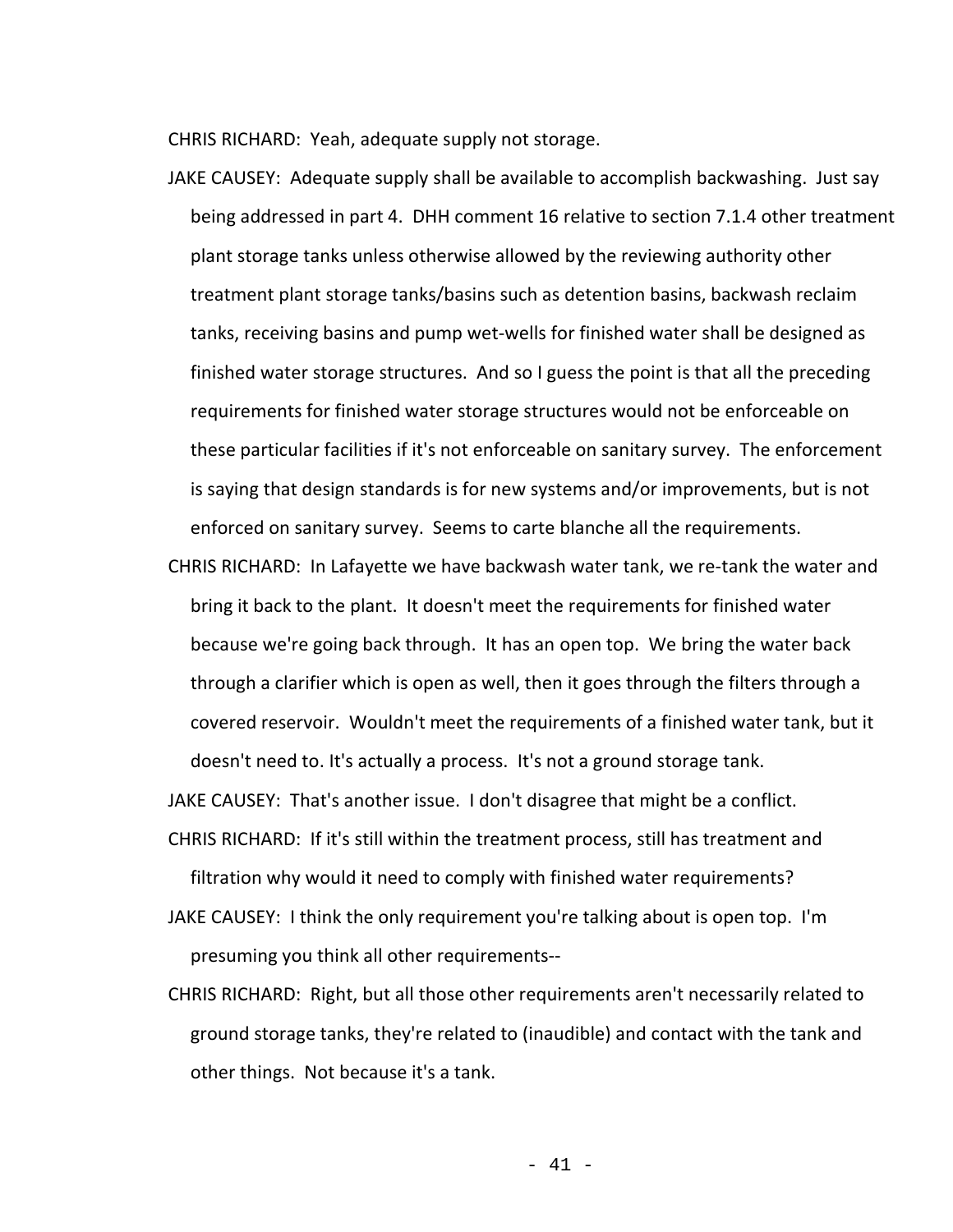CHRIS RICHARD: Yeah, adequate supply not storage.

- JAKE CAUSEY: Adequate supply shall be available to accomplish backwashing. Just say being addressed in part 4. DHH comment 16 relative to section 7.1.4 other treatment plant storage tanks unless otherwise allowed by the reviewing authority other treatment plant storage tanks/basins such as detention basins, backwash reclaim tanks, receiving basins and pump wet-wells for finished water shall be designed as finished water storage structures. And so I guess the point is that all the preceding requirements for finished water storage structures would not be enforceable on these particular facilities if it's not enforceable on sanitary survey. The enforcement is saying that design standards is for new systems and/or improvements, but is not enforced on sanitary survey. Seems to carte blanche all the requirements.
- CHRIS RICHARD: In Lafayette we have backwash water tank, we re-tank the water and bring it back to the plant. It doesn't meet the requirements for finished water because we're going back through. It has an open top. We bring the water back through a clarifier which is open as well, then it goes through the filters through a covered reservoir. Wouldn't meet the requirements of a finished water tank, but it doesn't need to. It's actually a process. It's not a ground storage tank.

JAKE CAUSEY: That's another issue. I don't disagree that might be a conflict.

- CHRIS RICHARD: If it's still within the treatment process, still has treatment and filtration why would it need to comply with finished water requirements?
- JAKE CAUSEY: I think the only requirement you're talking about is open top. I'm presuming you think all other requirements--
- CHRIS RICHARD: Right, but all those other requirements aren't necessarily related to ground storage tanks, they're related to (inaudible) and contact with the tank and other things. Not because it's a tank.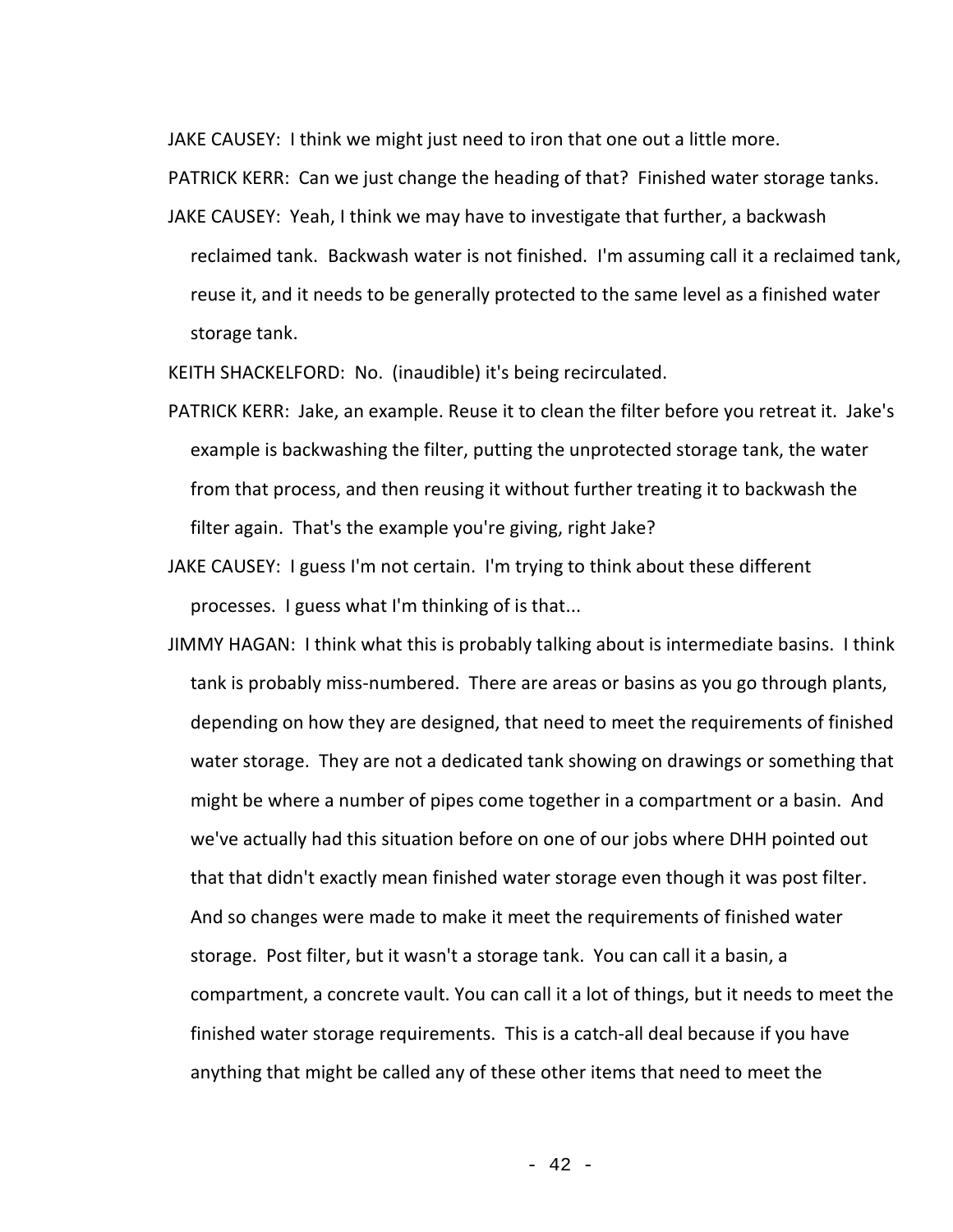JAKE CAUSEY: I think we might just need to iron that one out a little more.

PATRICK KERR: Can we just change the heading of that? Finished water storage tanks.

JAKE CAUSEY: Yeah, I think we may have to investigate that further, a backwash reclaimed tank. Backwash water is not finished. I'm assuming call it a reclaimed tank, reuse it, and it needs to be generally protected to the same level as a finished water storage tank.

KEITH SHACKELFORD: No. (inaudible) it's being recirculated.

- PATRICK KERR: Jake, an example. Reuse it to clean the filter before you retreat it. Jake's example is backwashing the filter, putting the unprotected storage tank, the water from that process, and then reusing it without further treating it to backwash the filter again. That's the example you're giving, right Jake?
- JAKE CAUSEY: I guess I'm not certain. I'm trying to think about these different processes. I guess what I'm thinking of is that...
- JIMMY HAGAN: I think what this is probably talking about is intermediate basins. I think tank is probably miss-numbered. There are areas or basins as you go through plants, depending on how they are designed, that need to meet the requirements of finished water storage. They are not a dedicated tank showing on drawings or something that might be where a number of pipes come together in a compartment or a basin. And we've actually had this situation before on one of our jobs where DHH pointed out that that didn't exactly mean finished water storage even though it was post filter. And so changes were made to make it meet the requirements of finished water storage. Post filter, but it wasn't a storage tank. You can call it a basin, a compartment, a concrete vault. You can call it a lot of things, but it needs to meet the finished water storage requirements. This is a catch-all deal because if you have anything that might be called any of these other items that need to meet the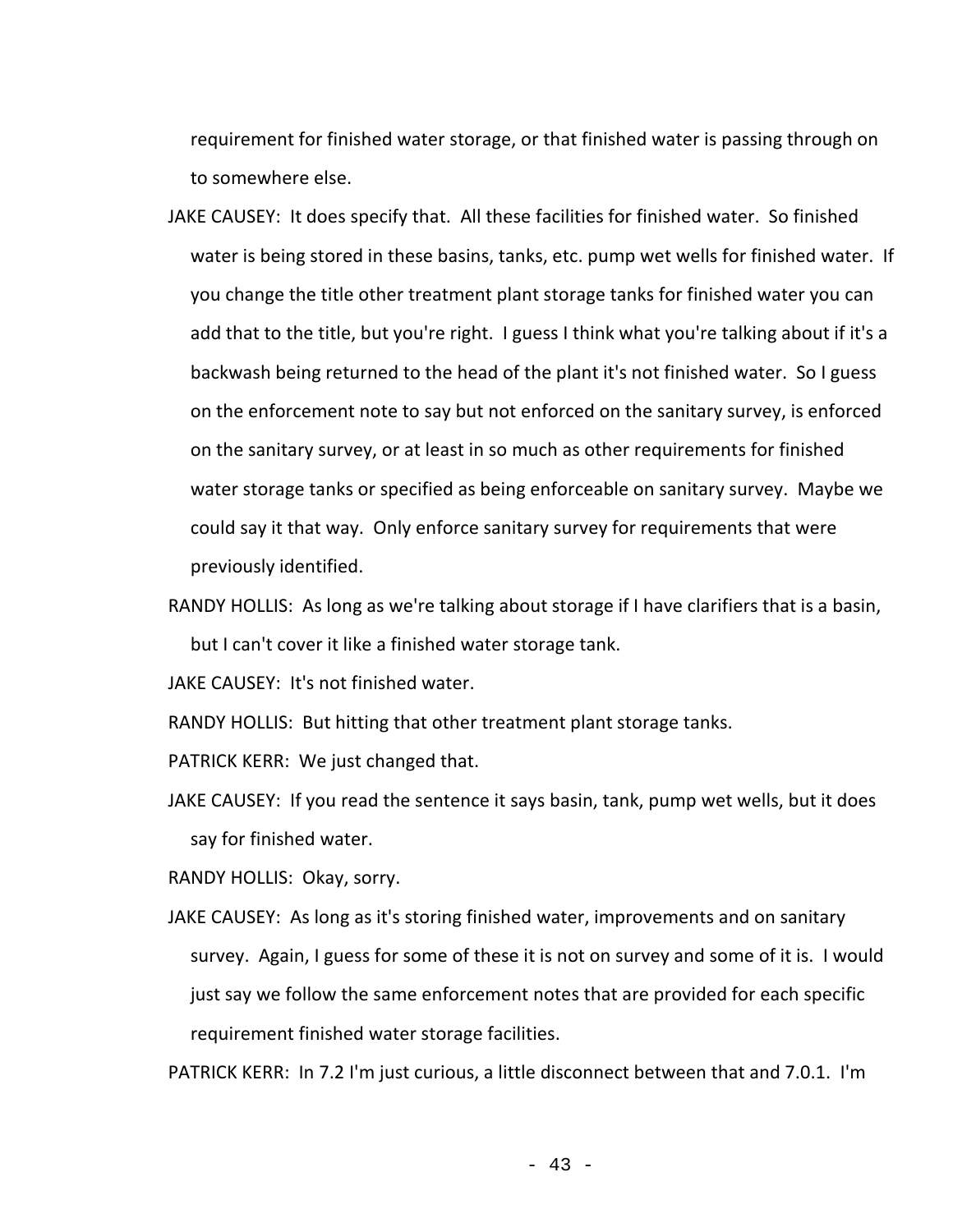requirement for finished water storage, or that finished water is passing through on to somewhere else.

- JAKE CAUSEY: It does specify that. All these facilities for finished water. So finished water is being stored in these basins, tanks, etc. pump wet wells for finished water. If you change the title other treatment plant storage tanks for finished water you can add that to the title, but you're right. I guess I think what you're talking about if it's a backwash being returned to the head of the plant it's not finished water. So I guess on the enforcement note to say but not enforced on the sanitary survey, is enforced on the sanitary survey, or at least in so much as other requirements for finished water storage tanks or specified as being enforceable on sanitary survey. Maybe we could say it that way. Only enforce sanitary survey for requirements that were previously identified.
- RANDY HOLLIS: As long as we're talking about storage if I have clarifiers that is a basin, but I can't cover it like a finished water storage tank.

JAKE CAUSEY: It's not finished water.

RANDY HOLLIS: But hitting that other treatment plant storage tanks.

PATRICK KERR: We just changed that.

JAKE CAUSEY: If you read the sentence it says basin, tank, pump wet wells, but it does say for finished water.

RANDY HOLLIS: Okay, sorry.

JAKE CAUSEY: As long as it's storing finished water, improvements and on sanitary survey. Again, I guess for some of these it is not on survey and some of it is. I would just say we follow the same enforcement notes that are provided for each specific requirement finished water storage facilities.

PATRICK KERR: In 7.2 I'm just curious, a little disconnect between that and 7.0.1. I'm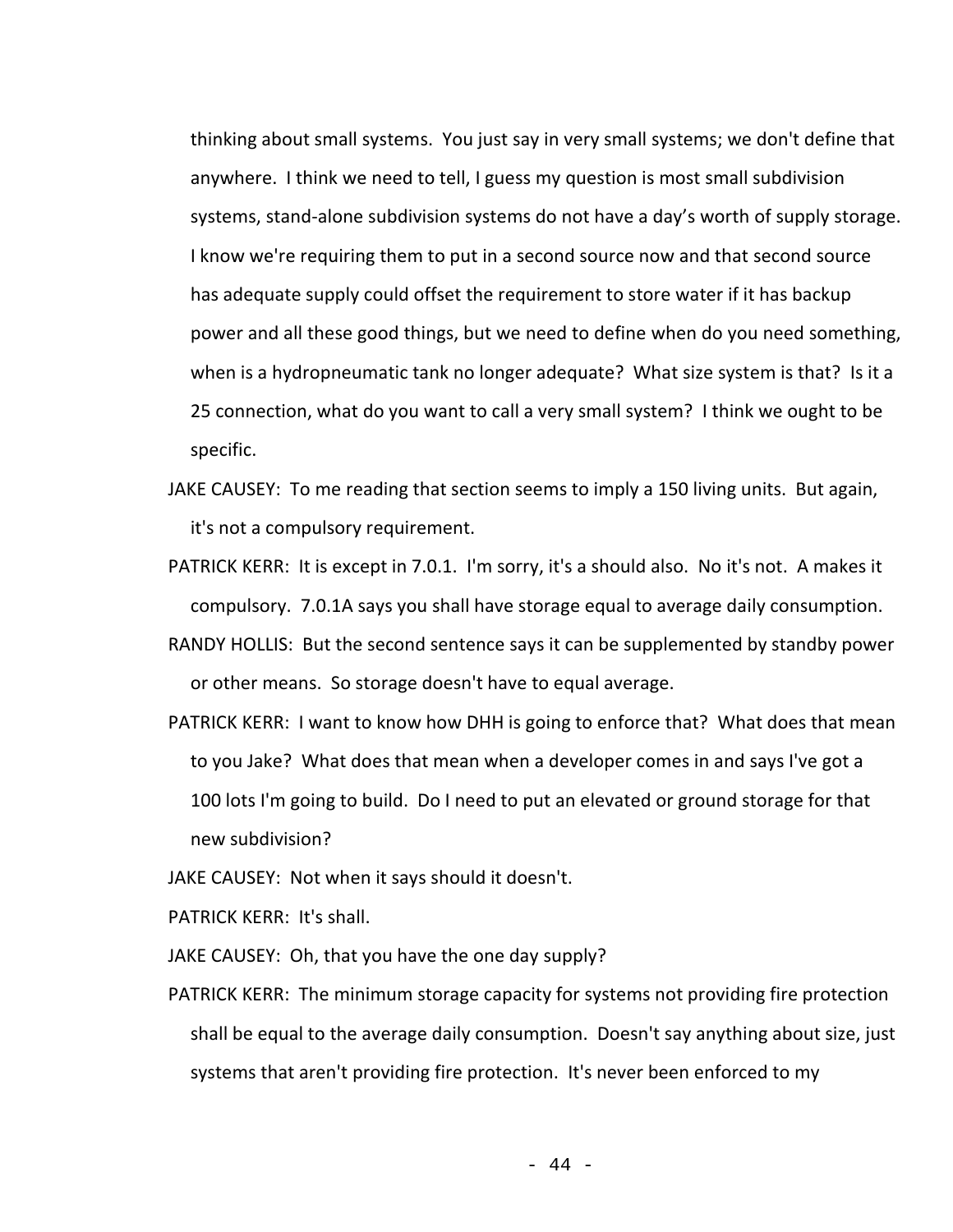thinking about small systems. You just say in very small systems; we don't define that anywhere. I think we need to tell, I guess my question is most small subdivision systems, stand-alone subdivision systems do not have a day's worth of supply storage. I know we're requiring them to put in a second source now and that second source has adequate supply could offset the requirement to store water if it has backup power and all these good things, but we need to define when do you need something, when is a hydropneumatic tank no longer adequate? What size system is that? Is it a 25 connection, what do you want to call a very small system? I think we ought to be specific.

- JAKE CAUSEY: To me reading that section seems to imply a 150 living units. But again, it's not a compulsory requirement.
- PATRICK KERR: It is except in 7.0.1. I'm sorry, it's a should also. No it's not. A makes it compulsory. 7.0.1A says you shall have storage equal to average daily consumption.
- RANDY HOLLIS: But the second sentence says it can be supplemented by standby power or other means. So storage doesn't have to equal average.
- PATRICK KERR: I want to know how DHH is going to enforce that? What does that mean to you Jake? What does that mean when a developer comes in and says I've got a 100 lots I'm going to build. Do I need to put an elevated or ground storage for that new subdivision?
- JAKE CAUSEY: Not when it says should it doesn't.
- PATRICK KERR: It's shall.
- JAKE CAUSEY: Oh, that you have the one day supply?
- PATRICK KERR: The minimum storage capacity for systems not providing fire protection shall be equal to the average daily consumption. Doesn't say anything about size, just systems that aren't providing fire protection. It's never been enforced to my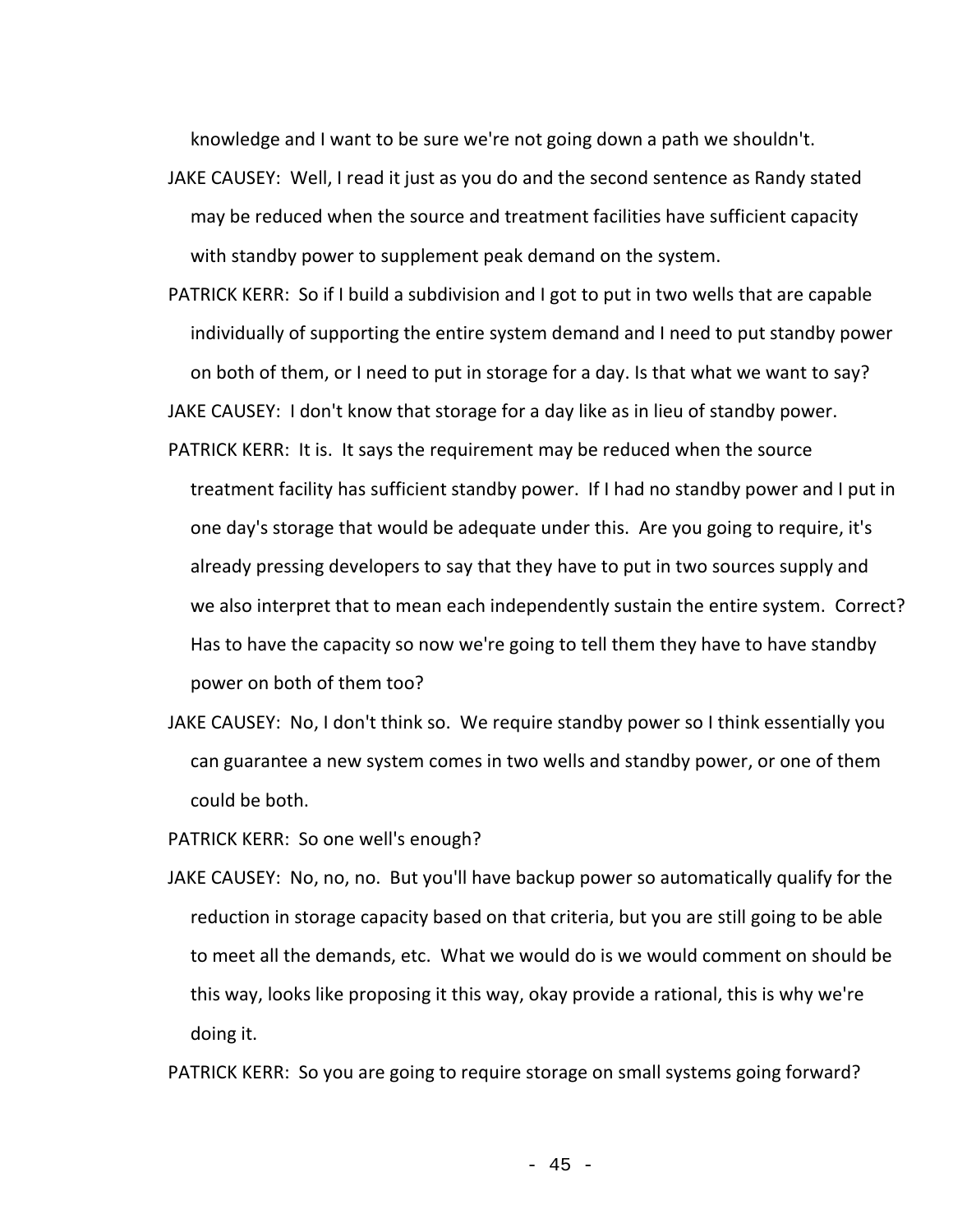knowledge and I want to be sure we're not going down a path we shouldn't.

- JAKE CAUSEY: Well, I read it just as you do and the second sentence as Randy stated may be reduced when the source and treatment facilities have sufficient capacity with standby power to supplement peak demand on the system.
- PATRICK KERR: So if I build a subdivision and I got to put in two wells that are capable individually of supporting the entire system demand and I need to put standby power on both of them, or I need to put in storage for a day. Is that what we want to say? JAKE CAUSEY: I don't know that storage for a day like as in lieu of standby power.
- PATRICK KERR: It is. It says the requirement may be reduced when the source treatment facility has sufficient standby power. If I had no standby power and I put in one day's storage that would be adequate under this. Are you going to require, it's already pressing developers to say that they have to put in two sources supply and we also interpret that to mean each independently sustain the entire system. Correct? Has to have the capacity so now we're going to tell them they have to have standby power on both of them too?
- JAKE CAUSEY: No, I don't think so. We require standby power so I think essentially you can guarantee a new system comes in two wells and standby power, or one of them could be both.

PATRICK KERR: So one well's enough?

JAKE CAUSEY: No, no, no. But you'll have backup power so automatically qualify for the reduction in storage capacity based on that criteria, but you are still going to be able to meet all the demands, etc. What we would do is we would comment on should be this way, looks like proposing it this way, okay provide a rational, this is why we're doing it.

PATRICK KERR: So you are going to require storage on small systems going forward?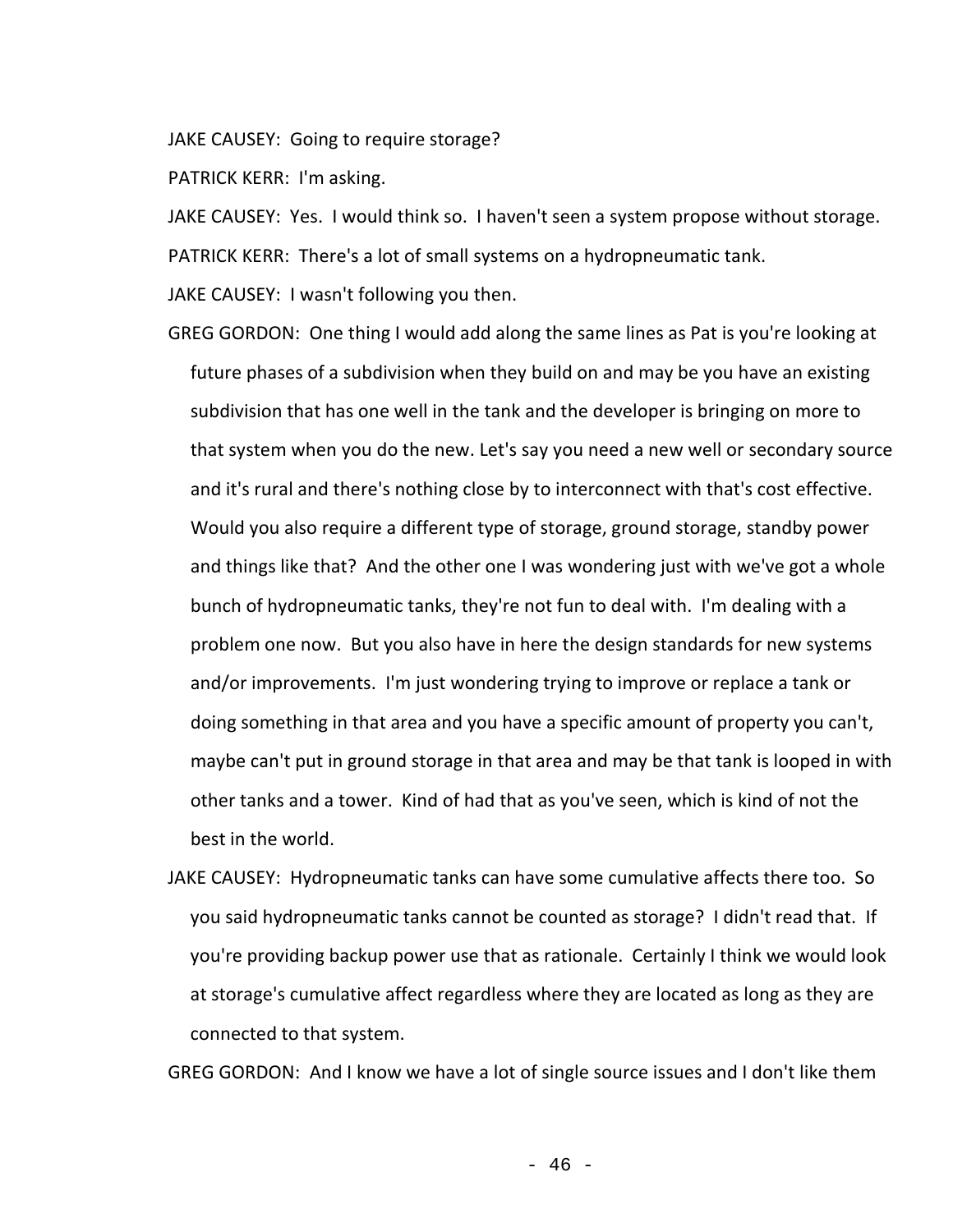JAKE CAUSEY: Going to require storage?

PATRICK KERR: I'm asking.

JAKE CAUSEY: Yes. I would think so. I haven't seen a system propose without storage. PATRICK KERR: There's a lot of small systems on a hydropneumatic tank.

JAKE CAUSEY: I wasn't following you then.

GREG GORDON: One thing I would add along the same lines as Pat is you're looking at future phases of a subdivision when they build on and may be you have an existing subdivision that has one well in the tank and the developer is bringing on more to that system when you do the new. Let's say you need a new well or secondary source and it's rural and there's nothing close by to interconnect with that's cost effective. Would you also require a different type of storage, ground storage, standby power and things like that? And the other one I was wondering just with we've got a whole bunch of hydropneumatic tanks, they're not fun to deal with. I'm dealing with a problem one now. But you also have in here the design standards for new systems and/or improvements. I'm just wondering trying to improve or replace a tank or doing something in that area and you have a specific amount of property you can't, maybe can't put in ground storage in that area and may be that tank is looped in with other tanks and a tower. Kind of had that as you've seen, which is kind of not the best in the world.

JAKE CAUSEY: Hydropneumatic tanks can have some cumulative affects there too. So you said hydropneumatic tanks cannot be counted as storage? I didn't read that. If you're providing backup power use that as rationale. Certainly I think we would look at storage's cumulative affect regardless where they are located as long as they are connected to that system.

GREG GORDON: And I know we have a lot of single source issues and I don't like them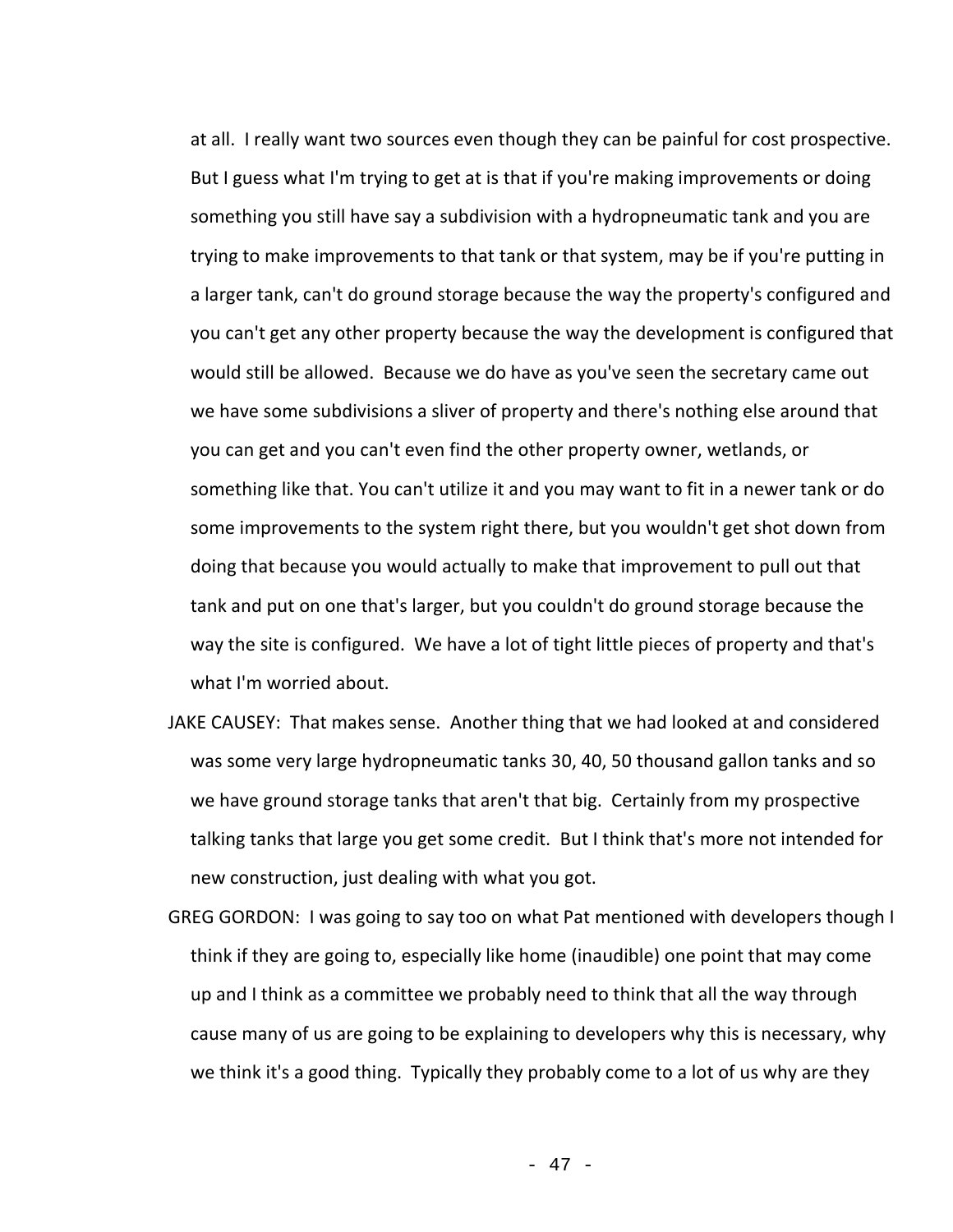at all. I really want two sources even though they can be painful for cost prospective. But I guess what I'm trying to get at is that if you're making improvements or doing something you still have say a subdivision with a hydropneumatic tank and you are trying to make improvements to that tank or that system, may be if you're putting in a larger tank, can't do ground storage because the way the property's configured and you can't get any other property because the way the development is configured that would still be allowed. Because we do have as you've seen the secretary came out we have some subdivisions a sliver of property and there's nothing else around that you can get and you can't even find the other property owner, wetlands, or something like that. You can't utilize it and you may want to fit in a newer tank or do some improvements to the system right there, but you wouldn't get shot down from doing that because you would actually to make that improvement to pull out that tank and put on one that's larger, but you couldn't do ground storage because the way the site is configured. We have a lot of tight little pieces of property and that's what I'm worried about.

- JAKE CAUSEY: That makes sense. Another thing that we had looked at and considered was some very large hydropneumatic tanks 30, 40, 50 thousand gallon tanks and so we have ground storage tanks that aren't that big. Certainly from my prospective talking tanks that large you get some credit. But I think that's more not intended for new construction, just dealing with what you got.
- GREG GORDON: I was going to say too on what Pat mentioned with developers though I think if they are going to, especially like home (inaudible) one point that may come up and I think as a committee we probably need to think that all the way through cause many of us are going to be explaining to developers why this is necessary, why we think it's a good thing. Typically they probably come to a lot of us why are they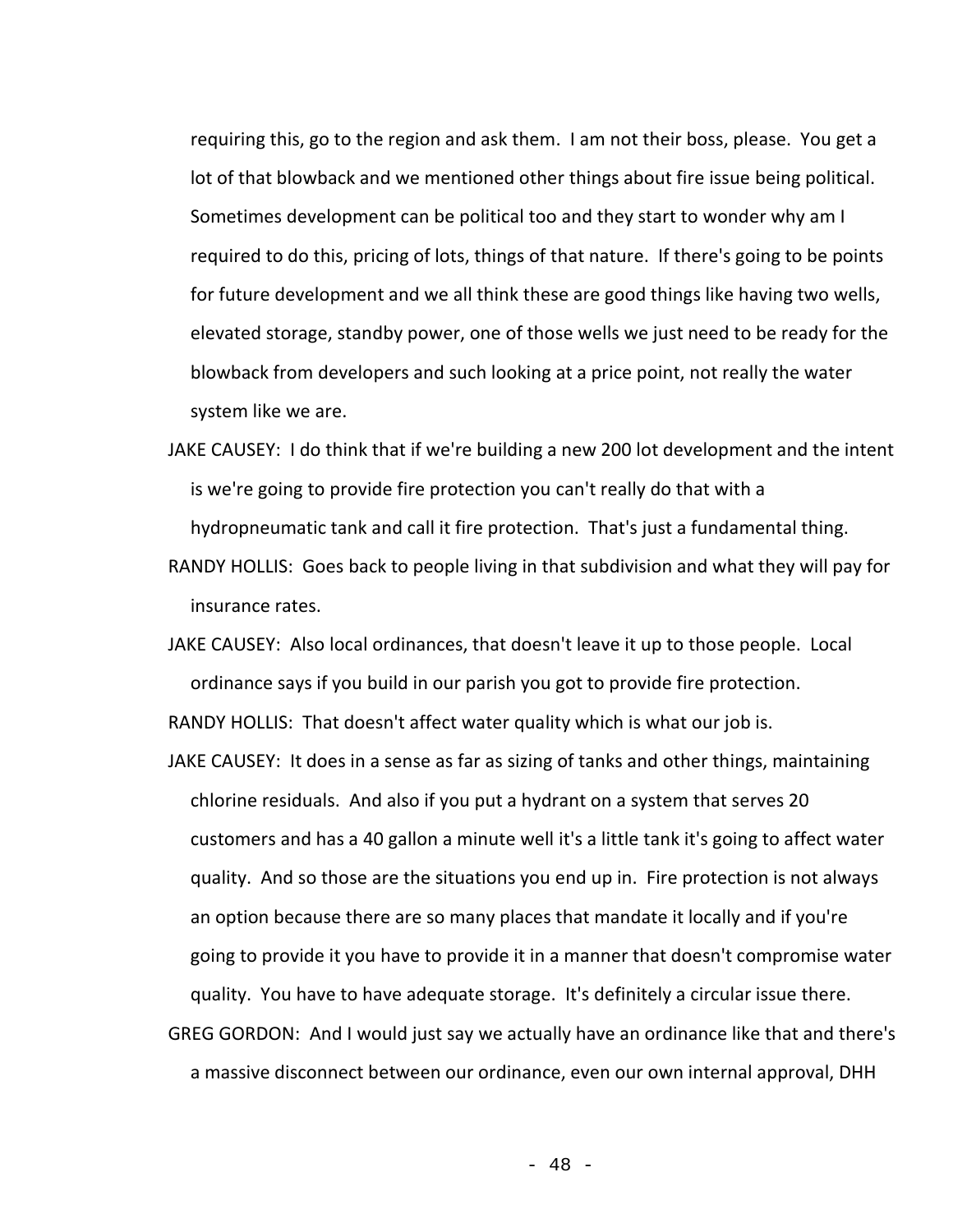requiring this, go to the region and ask them. I am not their boss, please. You get a lot of that blowback and we mentioned other things about fire issue being political. Sometimes development can be political too and they start to wonder why am I required to do this, pricing of lots, things of that nature. If there's going to be points for future development and we all think these are good things like having two wells, elevated storage, standby power, one of those wells we just need to be ready for the blowback from developers and such looking at a price point, not really the water system like we are.

- JAKE CAUSEY: I do think that if we're building a new 200 lot development and the intent is we're going to provide fire protection you can't really do that with a hydropneumatic tank and call it fire protection. That's just a fundamental thing.
- RANDY HOLLIS: Goes back to people living in that subdivision and what they will pay for insurance rates.
- JAKE CAUSEY: Also local ordinances, that doesn't leave it up to those people. Local ordinance says if you build in our parish you got to provide fire protection.

RANDY HOLLIS: That doesn't affect water quality which is what our job is.

JAKE CAUSEY: It does in a sense as far as sizing of tanks and other things, maintaining chlorine residuals. And also if you put a hydrant on a system that serves 20 customers and has a 40 gallon a minute well it's a little tank it's going to affect water quality. And so those are the situations you end up in. Fire protection is not always an option because there are so many places that mandate it locally and if you're going to provide it you have to provide it in a manner that doesn't compromise water quality. You have to have adequate storage. It's definitely a circular issue there. GREG GORDON: And I would just say we actually have an ordinance like that and there's a massive disconnect between our ordinance, even our own internal approval, DHH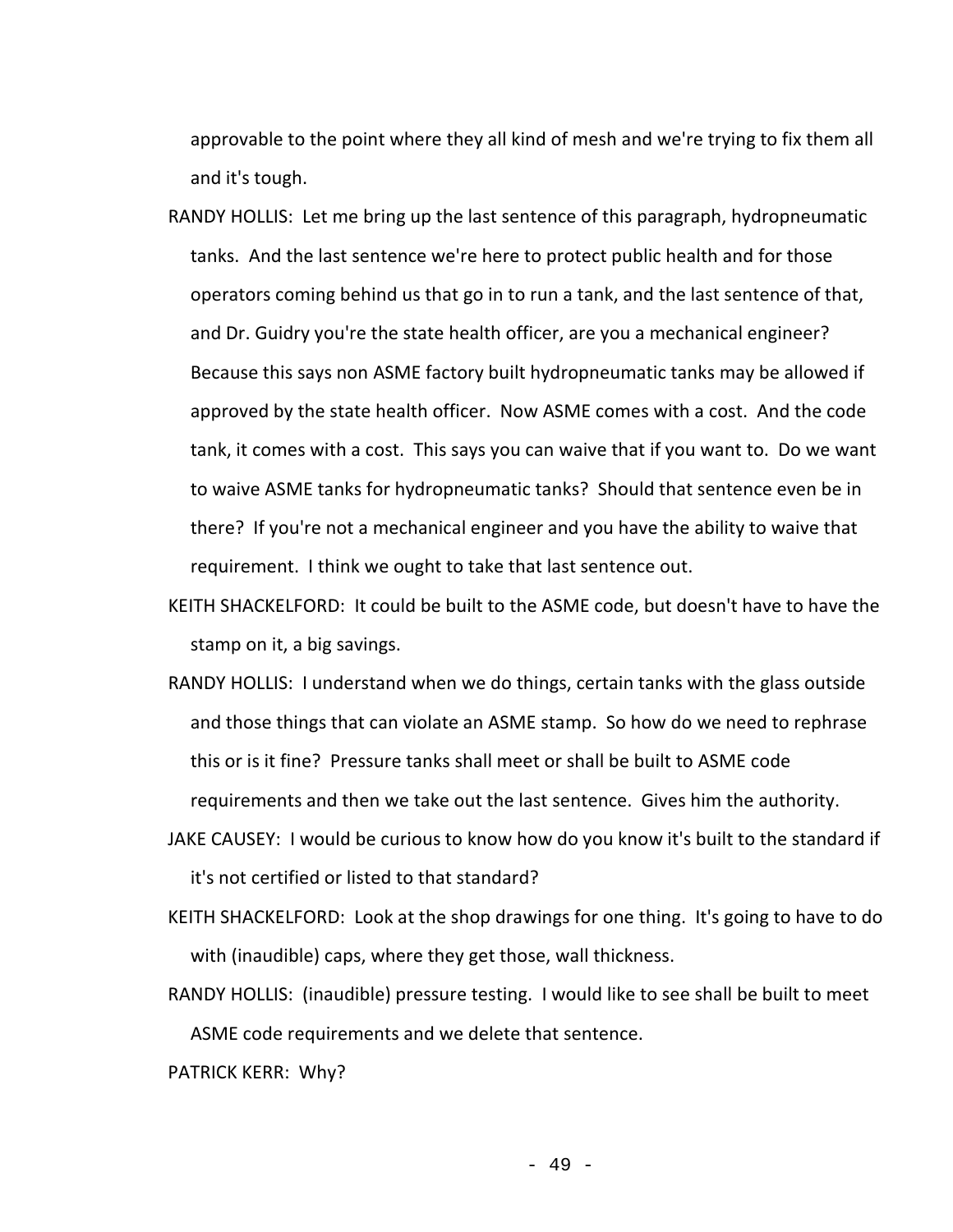approvable to the point where they all kind of mesh and we're trying to fix them all and it's tough.

RANDY HOLLIS: Let me bring up the last sentence of this paragraph, hydropneumatic tanks. And the last sentence we're here to protect public health and for those operators coming behind us that go in to run a tank, and the last sentence of that, and Dr. Guidry you're the state health officer, are you a mechanical engineer? Because this says non ASME factory built hydropneumatic tanks may be allowed if approved by the state health officer. Now ASME comes with a cost. And the code tank, it comes with a cost. This says you can waive that if you want to. Do we want to waive ASME tanks for hydropneumatic tanks? Should that sentence even be in there? If you're not a mechanical engineer and you have the ability to waive that requirement. I think we ought to take that last sentence out.

KEITH SHACKELFORD: It could be built to the ASME code, but doesn't have to have the stamp on it, a big savings.

- RANDY HOLLIS: I understand when we do things, certain tanks with the glass outside and those things that can violate an ASME stamp. So how do we need to rephrase this or is it fine? Pressure tanks shall meet or shall be built to ASME code requirements and then we take out the last sentence. Gives him the authority.
- JAKE CAUSEY: I would be curious to know how do you know it's built to the standard if it's not certified or listed to that standard?
- KEITH SHACKELFORD: Look at the shop drawings for one thing. It's going to have to do with (inaudible) caps, where they get those, wall thickness.
- RANDY HOLLIS: (inaudible) pressure testing. I would like to see shall be built to meet ASME code requirements and we delete that sentence.

PATRICK KERR: Why?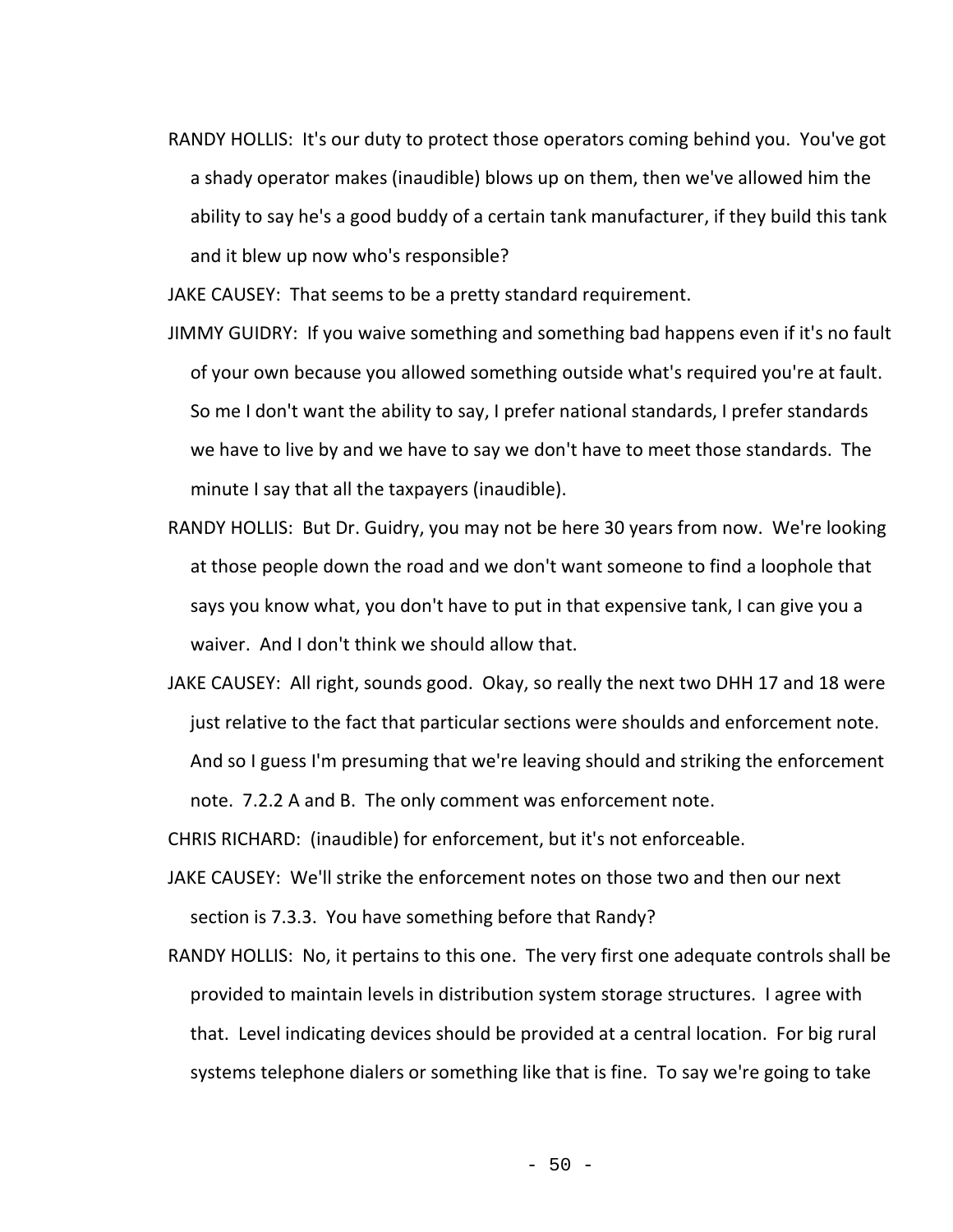RANDY HOLLIS: It's our duty to protect those operators coming behind you. You've got a shady operator makes (inaudible) blows up on them, then we've allowed him the ability to say he's a good buddy of a certain tank manufacturer, if they build this tank and it blew up now who's responsible?

JAKE CAUSEY: That seems to be a pretty standard requirement.

- JIMMY GUIDRY: If you waive something and something bad happens even if it's no fault of your own because you allowed something outside what's required you're at fault. So me I don't want the ability to say, I prefer national standards, I prefer standards we have to live by and we have to say we don't have to meet those standards. The minute I say that all the taxpayers (inaudible).
- RANDY HOLLIS: But Dr. Guidry, you may not be here 30 years from now. We're looking at those people down the road and we don't want someone to find a loophole that says you know what, you don't have to put in that expensive tank, I can give you a waiver. And I don't think we should allow that.
- JAKE CAUSEY: All right, sounds good. Okay, so really the next two DHH 17 and 18 were just relative to the fact that particular sections were shoulds and enforcement note. And so I guess I'm presuming that we're leaving should and striking the enforcement note. 7.2.2 A and B. The only comment was enforcement note.

CHRIS RICHARD: (inaudible) for enforcement, but it's not enforceable.

- JAKE CAUSEY: We'll strike the enforcement notes on those two and then our next section is 7.3.3. You have something before that Randy?
- RANDY HOLLIS: No, it pertains to this one. The very first one adequate controls shall be provided to maintain levels in distribution system storage structures. I agree with that. Level indicating devices should be provided at a central location. For big rural systems telephone dialers or something like that is fine. To say we're going to take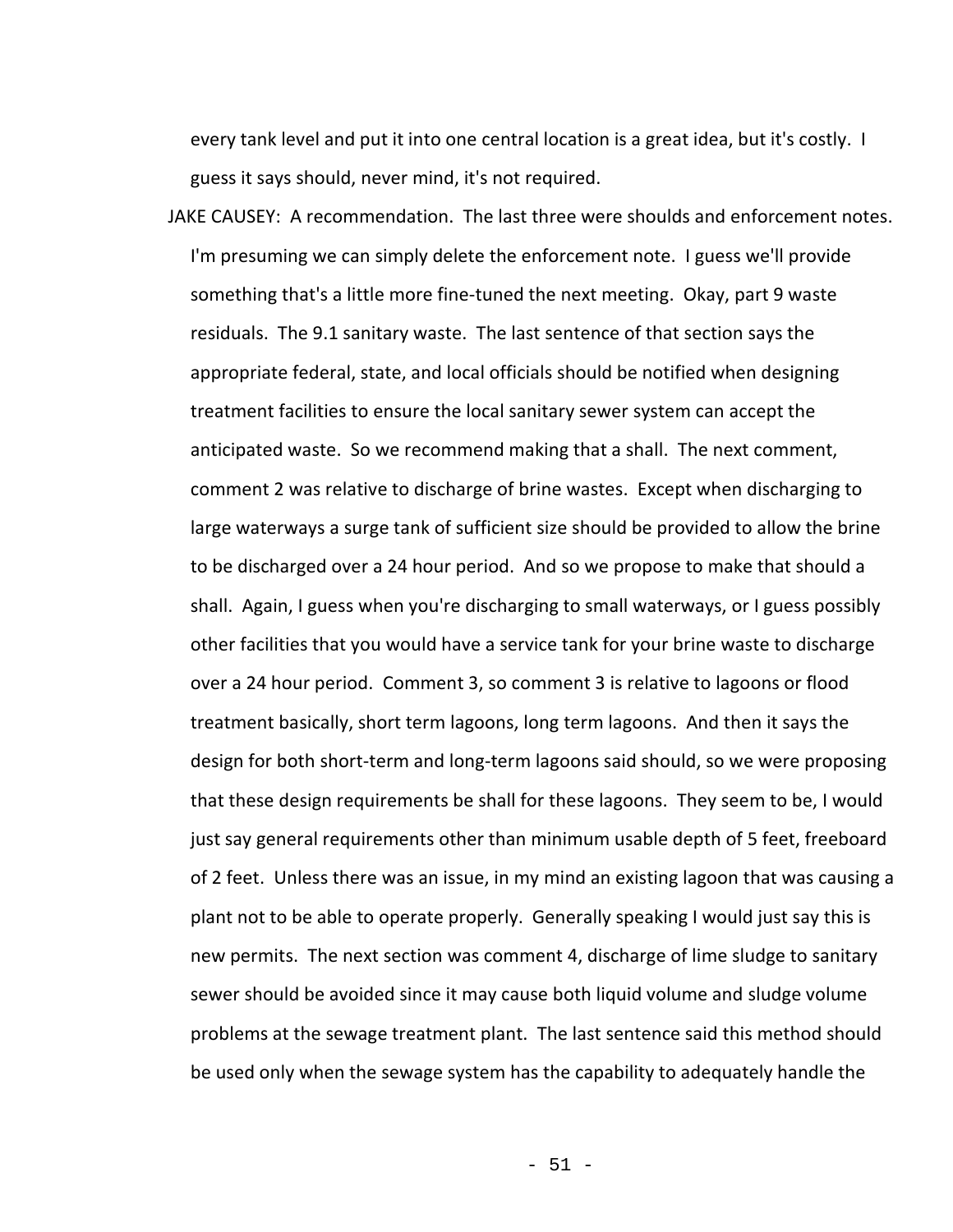every tank level and put it into one central location is a great idea, but it's costly. I guess it says should, never mind, it's not required.

JAKE CAUSEY: A recommendation. The last three were shoulds and enforcement notes. I'm presuming we can simply delete the enforcement note. I guess we'll provide something that's a little more fine-tuned the next meeting. Okay, part 9 waste residuals. The 9.1 sanitary waste. The last sentence of that section says the appropriate federal, state, and local officials should be notified when designing treatment facilities to ensure the local sanitary sewer system can accept the anticipated waste. So we recommend making that a shall. The next comment, comment 2 was relative to discharge of brine wastes. Except when discharging to large waterways a surge tank of sufficient size should be provided to allow the brine to be discharged over a 24 hour period. And so we propose to make that should a shall. Again, I guess when you're discharging to small waterways, or I guess possibly other facilities that you would have a service tank for your brine waste to discharge over a 24 hour period. Comment 3, so comment 3 is relative to lagoons or flood treatment basically, short term lagoons, long term lagoons. And then it says the design for both short-term and long-term lagoons said should, so we were proposing that these design requirements be shall for these lagoons. They seem to be, I would just say general requirements other than minimum usable depth of 5 feet, freeboard of 2 feet. Unless there was an issue, in my mind an existing lagoon that was causing a plant not to be able to operate properly. Generally speaking I would just say this is new permits. The next section was comment 4, discharge of lime sludge to sanitary sewer should be avoided since it may cause both liquid volume and sludge volume problems at the sewage treatment plant. The last sentence said this method should be used only when the sewage system has the capability to adequately handle the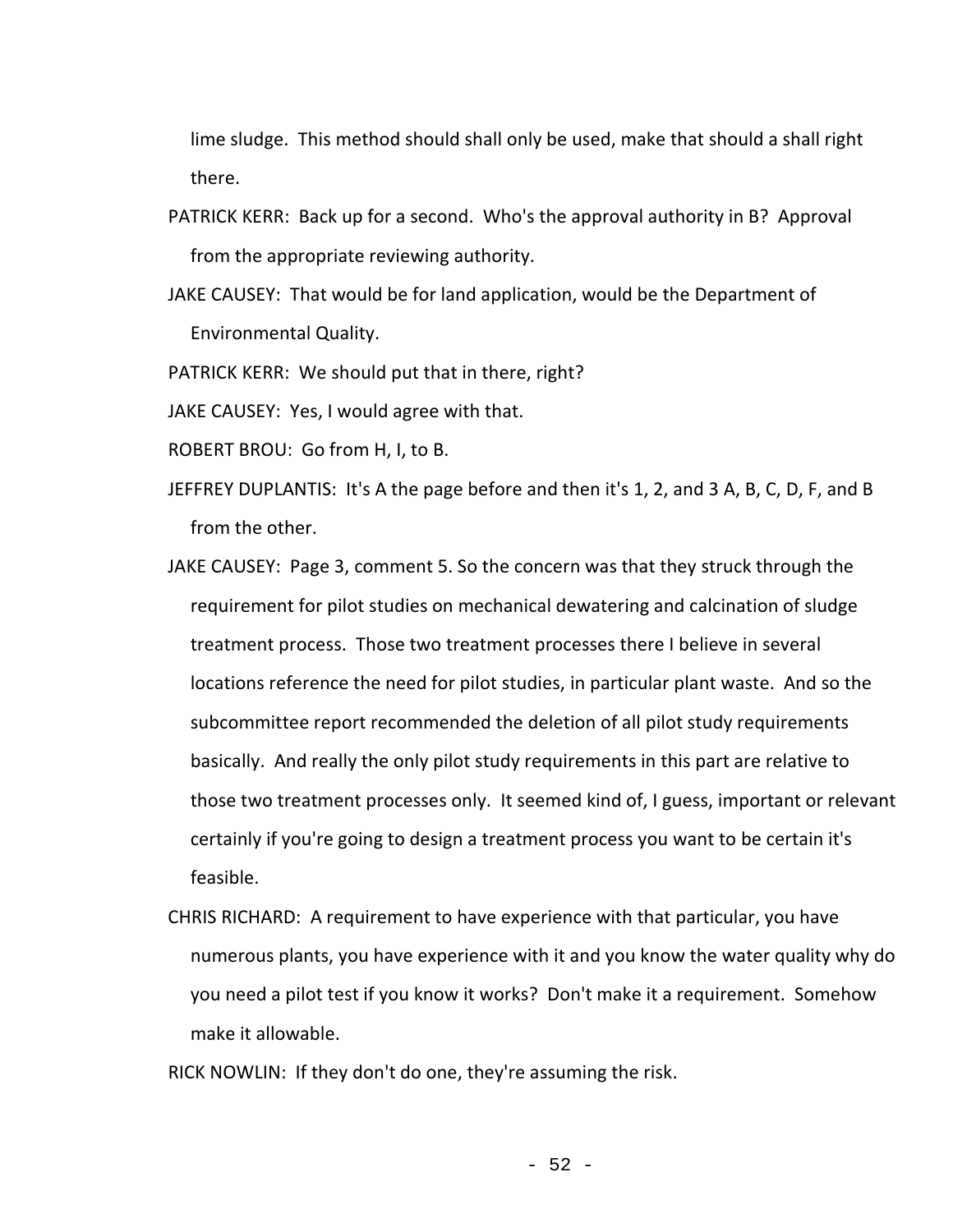lime sludge. This method should shall only be used, make that should a shall right there.

- PATRICK KERR: Back up for a second. Who's the approval authority in B? Approval from the appropriate reviewing authority.
- JAKE CAUSEY: That would be for land application, would be the Department of Environmental Quality.
- PATRICK KERR: We should put that in there, right?

JAKE CAUSEY: Yes, I would agree with that.

- ROBERT BROU: Go from H, I, to B.
- JEFFREY DUPLANTIS: It's A the page before and then it's 1, 2, and 3 A, B, C, D, F, and B from the other.
- JAKE CAUSEY: Page 3, comment 5. So the concern was that they struck through the requirement for pilot studies on mechanical dewatering and calcination of sludge treatment process. Those two treatment processes there I believe in several locations reference the need for pilot studies, in particular plant waste. And so the subcommittee report recommended the deletion of all pilot study requirements basically. And really the only pilot study requirements in this part are relative to those two treatment processes only. It seemed kind of, I guess, important or relevant certainly if you're going to design a treatment process you want to be certain it's feasible.
- CHRIS RICHARD: A requirement to have experience with that particular, you have numerous plants, you have experience with it and you know the water quality why do you need a pilot test if you know it works? Don't make it a requirement. Somehow make it allowable.
- RICK NOWLIN: If they don't do one, they're assuming the risk.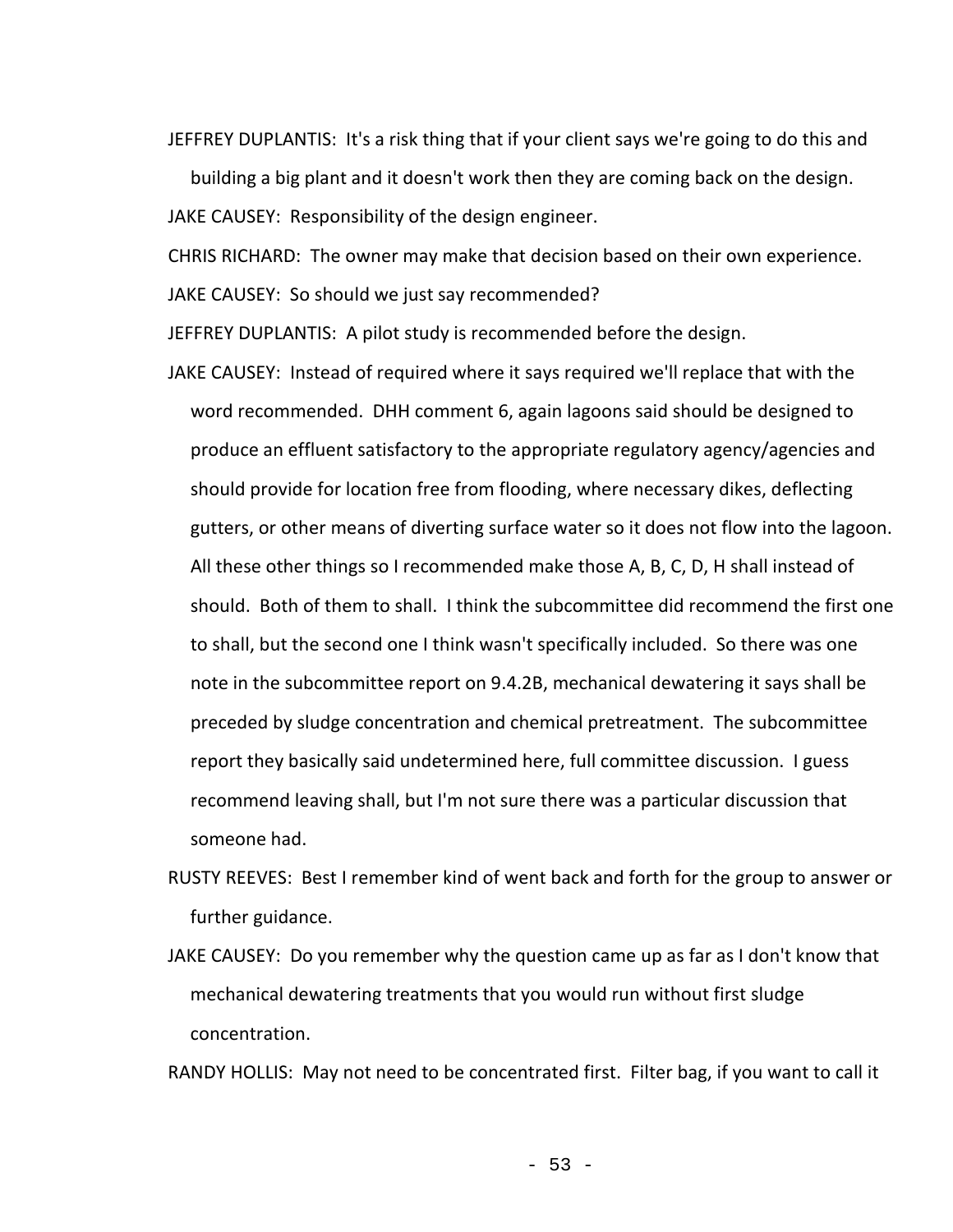JEFFREY DUPLANTIS: It's a risk thing that if your client says we're going to do this and

building a big plant and it doesn't work then they are coming back on the design.

JAKE CAUSEY: Responsibility of the design engineer.

CHRIS RICHARD: The owner may make that decision based on their own experience.

JAKE CAUSEY: So should we just say recommended?

JEFFREY DUPLANTIS: A pilot study is recommended before the design.

- JAKE CAUSEY: Instead of required where it says required we'll replace that with the word recommended. DHH comment 6, again lagoons said should be designed to produce an effluent satisfactory to the appropriate regulatory agency/agencies and should provide for location free from flooding, where necessary dikes, deflecting gutters, or other means of diverting surface water so it does not flow into the lagoon. All these other things so I recommended make those A, B, C, D, H shall instead of should. Both of them to shall. I think the subcommittee did recommend the first one to shall, but the second one I think wasn't specifically included. So there was one note in the subcommittee report on 9.4.2B, mechanical dewatering it says shall be preceded by sludge concentration and chemical pretreatment. The subcommittee report they basically said undetermined here, full committee discussion. I guess recommend leaving shall, but I'm not sure there was a particular discussion that someone had.
- RUSTY REEVES: Best I remember kind of went back and forth for the group to answer or further guidance.
- JAKE CAUSEY: Do you remember why the question came up as far as I don't know that mechanical dewatering treatments that you would run without first sludge concentration.

RANDY HOLLIS: May not need to be concentrated first. Filter bag, if you want to call it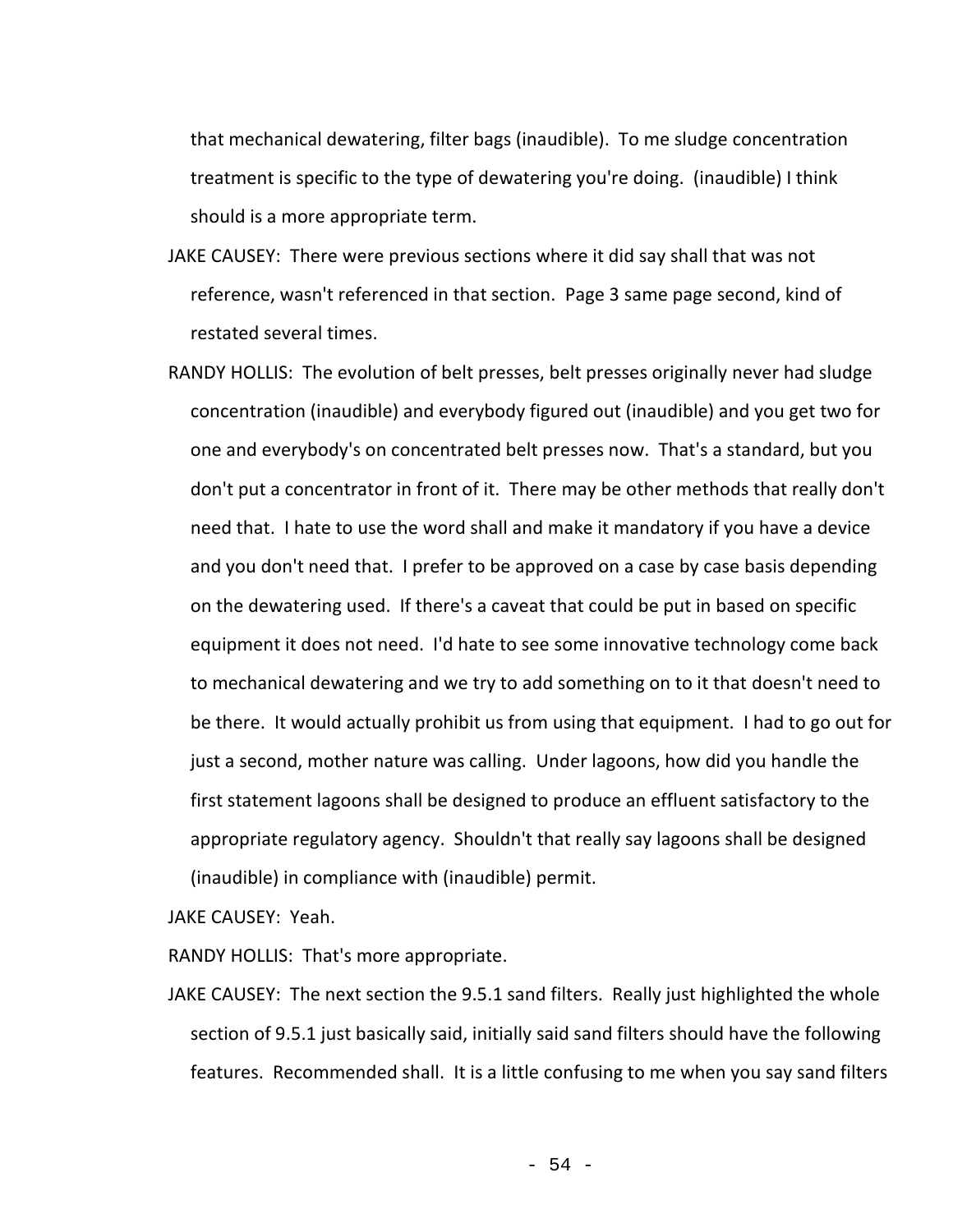that mechanical dewatering, filter bags (inaudible). To me sludge concentration treatment is specific to the type of dewatering you're doing. (inaudible) I think should is a more appropriate term.

- JAKE CAUSEY: There were previous sections where it did say shall that was not reference, wasn't referenced in that section. Page 3 same page second, kind of restated several times.
- RANDY HOLLIS: The evolution of belt presses, belt presses originally never had sludge concentration (inaudible) and everybody figured out (inaudible) and you get two for one and everybody's on concentrated belt presses now. That's a standard, but you don't put a concentrator in front of it. There may be other methods that really don't need that. I hate to use the word shall and make it mandatory if you have a device and you don't need that. I prefer to be approved on a case by case basis depending on the dewatering used. If there's a caveat that could be put in based on specific equipment it does not need. I'd hate to see some innovative technology come back to mechanical dewatering and we try to add something on to it that doesn't need to be there. It would actually prohibit us from using that equipment. I had to go out for just a second, mother nature was calling. Under lagoons, how did you handle the first statement lagoons shall be designed to produce an effluent satisfactory to the appropriate regulatory agency. Shouldn't that really say lagoons shall be designed (inaudible) in compliance with (inaudible) permit.

JAKE CAUSEY: Yeah.

RANDY HOLLIS: That's more appropriate.

JAKE CAUSEY: The next section the 9.5.1 sand filters. Really just highlighted the whole section of 9.5.1 just basically said, initially said sand filters should have the following features. Recommended shall. It is a little confusing to me when you say sand filters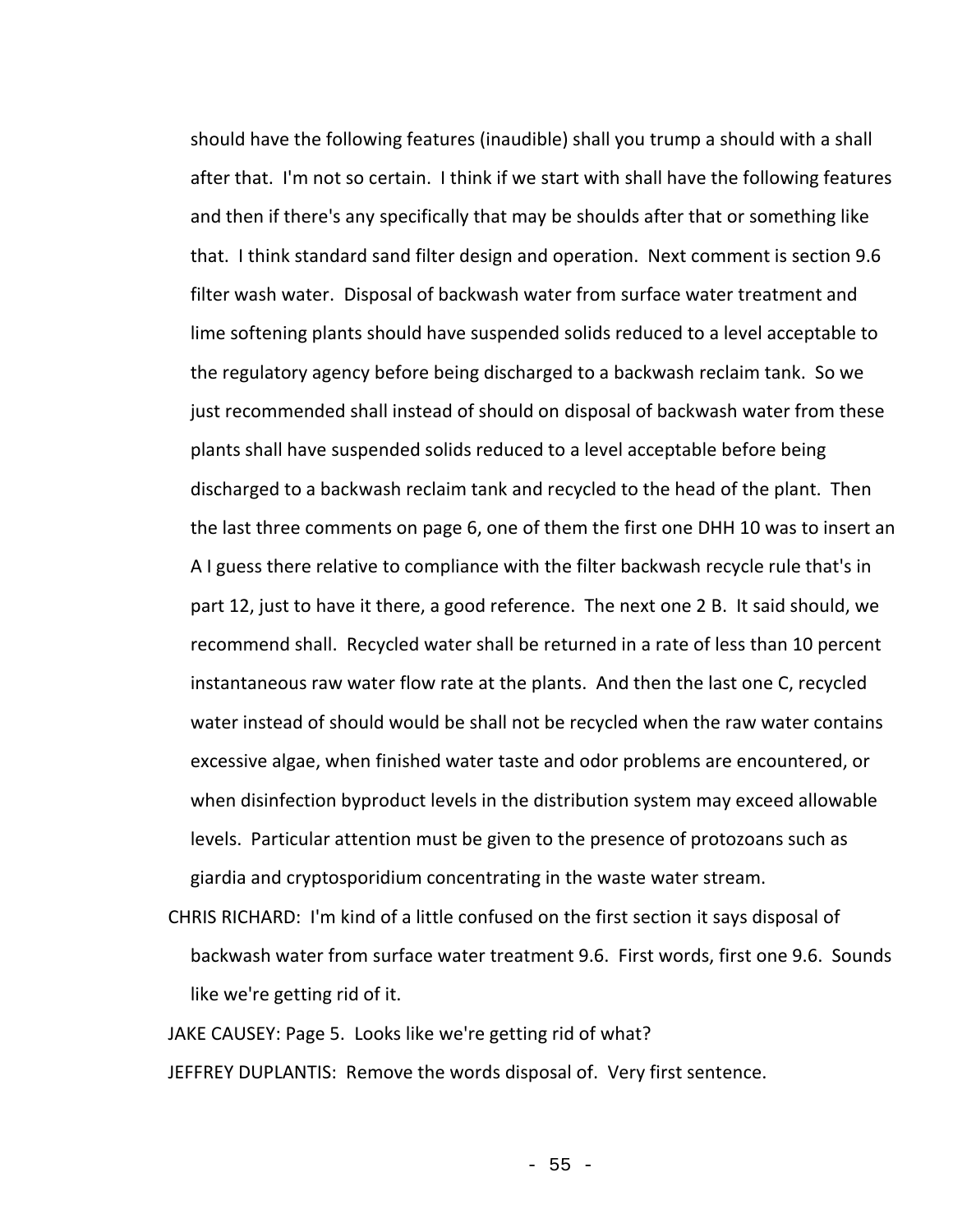should have the following features (inaudible) shall you trump a should with a shall after that. I'm not so certain. I think if we start with shall have the following features and then if there's any specifically that may be shoulds after that or something like that. I think standard sand filter design and operation. Next comment is section 9.6 filter wash water. Disposal of backwash water from surface water treatment and lime softening plants should have suspended solids reduced to a level acceptable to the regulatory agency before being discharged to a backwash reclaim tank. So we just recommended shall instead of should on disposal of backwash water from these plants shall have suspended solids reduced to a level acceptable before being discharged to a backwash reclaim tank and recycled to the head of the plant. Then the last three comments on page 6, one of them the first one DHH 10 was to insert an A I guess there relative to compliance with the filter backwash recycle rule that's in part 12, just to have it there, a good reference. The next one 2 B. It said should, we recommend shall. Recycled water shall be returned in a rate of less than 10 percent instantaneous raw water flow rate at the plants. And then the last one C, recycled water instead of should would be shall not be recycled when the raw water contains excessive algae, when finished water taste and odor problems are encountered, or when disinfection byproduct levels in the distribution system may exceed allowable levels. Particular attention must be given to the presence of protozoans such as giardia and cryptosporidium concentrating in the waste water stream.

CHRIS RICHARD: I'm kind of a little confused on the first section it says disposal of backwash water from surface water treatment 9.6. First words, first one 9.6. Sounds like we're getting rid of it.

JAKE CAUSEY: Page 5. Looks like we're getting rid of what? JEFFREY DUPLANTIS: Remove the words disposal of. Very first sentence.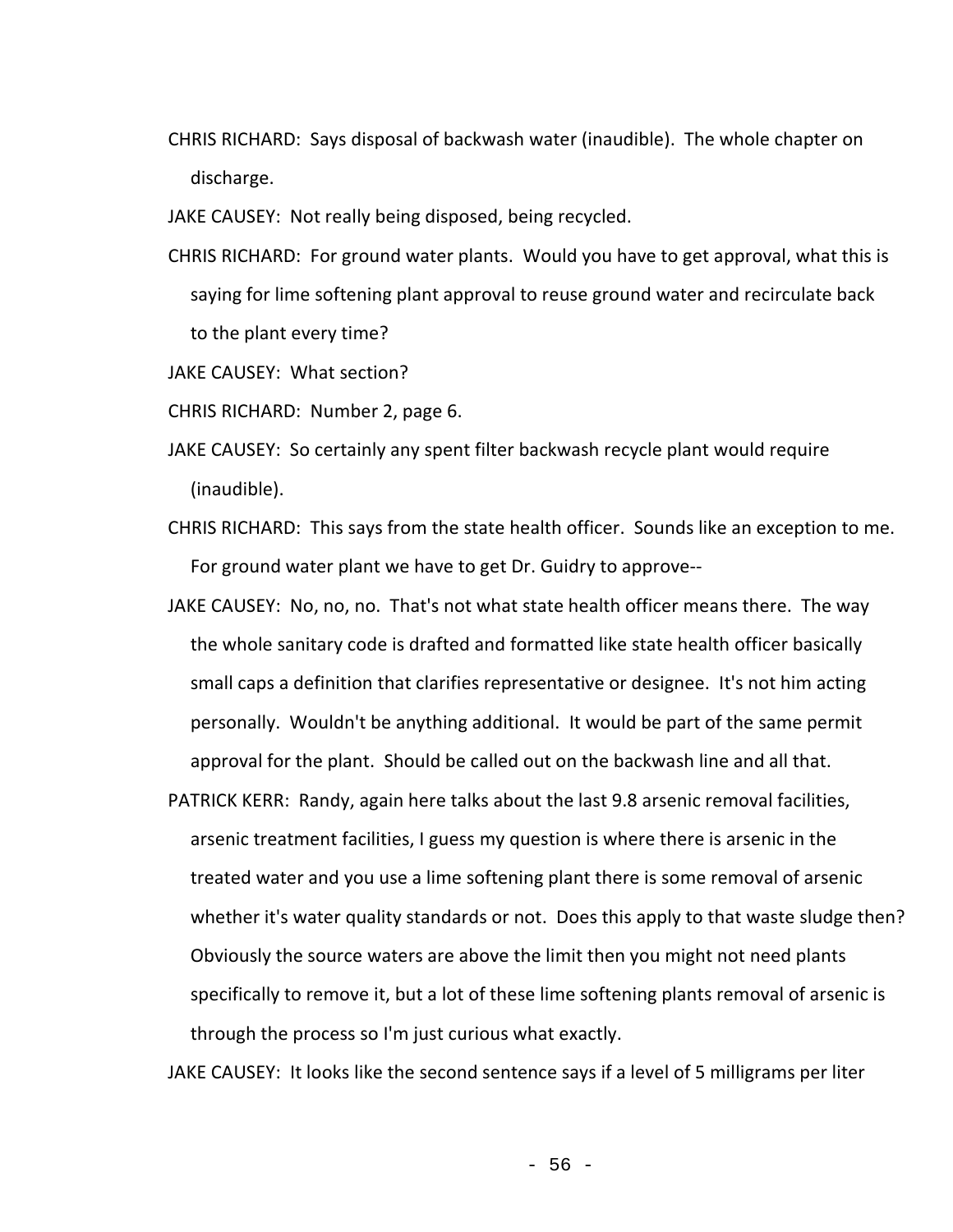CHRIS RICHARD: Says disposal of backwash water (inaudible). The whole chapter on discharge.

JAKE CAUSEY: Not really being disposed, being recycled.

CHRIS RICHARD: For ground water plants. Would you have to get approval, what this is saying for lime softening plant approval to reuse ground water and recirculate back to the plant every time?

JAKE CAUSEY: What section?

CHRIS RICHARD: Number 2, page 6.

- JAKE CAUSEY: So certainly any spent filter backwash recycle plant would require (inaudible).
- CHRIS RICHARD: This says from the state health officer. Sounds like an exception to me. For ground water plant we have to get Dr. Guidry to approve--
- JAKE CAUSEY: No, no, no. That's not what state health officer means there. The way the whole sanitary code is drafted and formatted like state health officer basically small caps a definition that clarifies representative or designee. It's not him acting personally. Wouldn't be anything additional. It would be part of the same permit approval for the plant. Should be called out on the backwash line and all that.
- PATRICK KERR: Randy, again here talks about the last 9.8 arsenic removal facilities, arsenic treatment facilities, I guess my question is where there is arsenic in the treated water and you use a lime softening plant there is some removal of arsenic whether it's water quality standards or not. Does this apply to that waste sludge then? Obviously the source waters are above the limit then you might not need plants specifically to remove it, but a lot of these lime softening plants removal of arsenic is through the process so I'm just curious what exactly.

JAKE CAUSEY: It looks like the second sentence says if a level of 5 milligrams per liter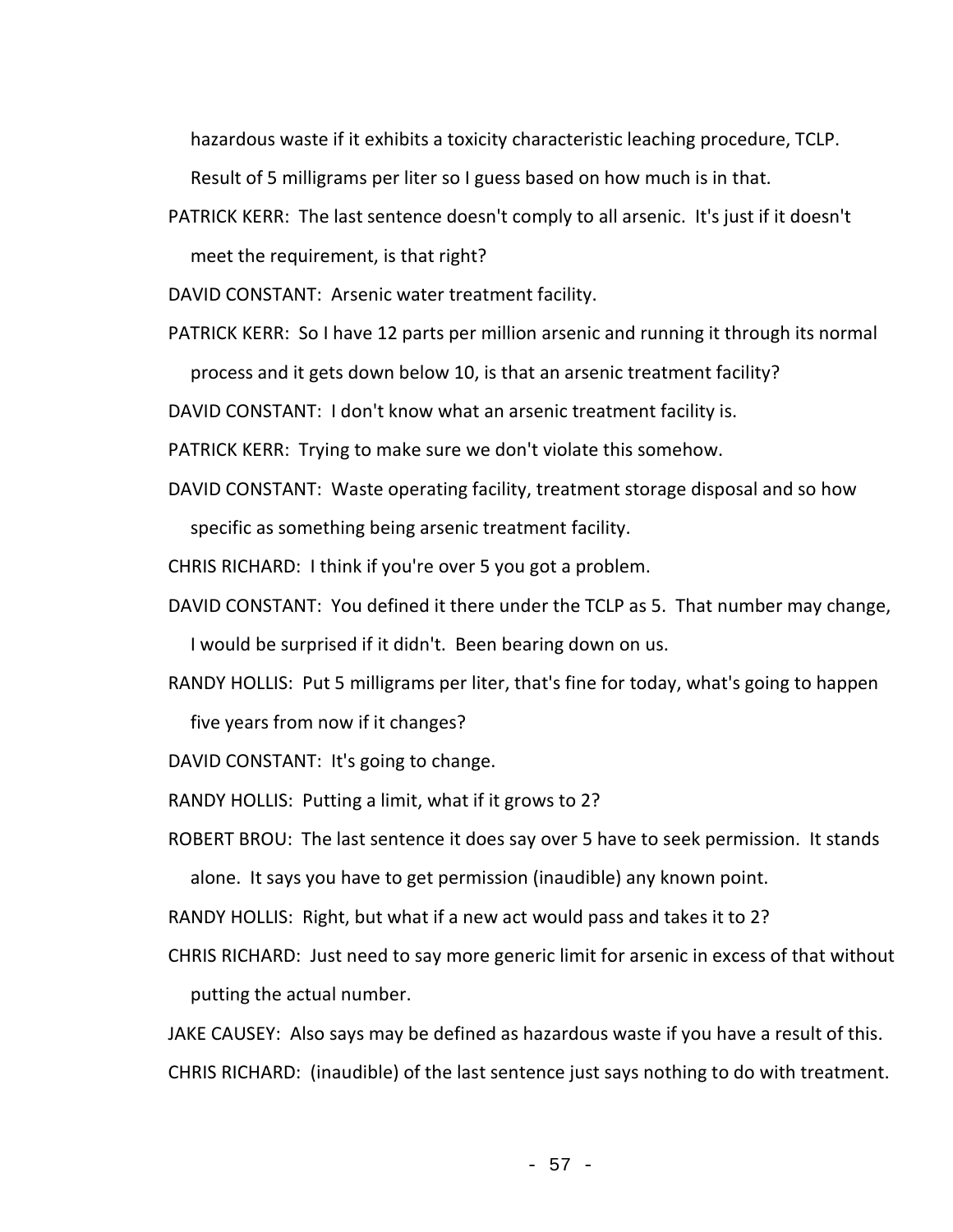hazardous waste if it exhibits a toxicity characteristic leaching procedure, TCLP.

Result of 5 milligrams per liter so I guess based on how much is in that.

PATRICK KERR: The last sentence doesn't comply to all arsenic. It's just if it doesn't

meet the requirement, is that right?

DAVID CONSTANT: Arsenic water treatment facility.

PATRICK KERR: So I have 12 parts per million arsenic and running it through its normal

process and it gets down below 10, is that an arsenic treatment facility?

DAVID CONSTANT: I don't know what an arsenic treatment facility is.

PATRICK KERR: Trying to make sure we don't violate this somehow.

DAVID CONSTANT: Waste operating facility, treatment storage disposal and so how specific as something being arsenic treatment facility.

CHRIS RICHARD: I think if you're over 5 you got a problem.

- DAVID CONSTANT: You defined it there under the TCLP as 5. That number may change, I would be surprised if it didn't. Been bearing down on us.
- RANDY HOLLIS: Put 5 milligrams per liter, that's fine for today, what's going to happen five years from now if it changes?

DAVID CONSTANT: It's going to change.

- RANDY HOLLIS: Putting a limit, what if it grows to 2?
- ROBERT BROU: The last sentence it does say over 5 have to seek permission. It stands alone. It says you have to get permission (inaudible) any known point.
- RANDY HOLLIS: Right, but what if a new act would pass and takes it to 2?
- CHRIS RICHARD: Just need to say more generic limit for arsenic in excess of that without putting the actual number.

JAKE CAUSEY: Also says may be defined as hazardous waste if you have a result of this. CHRIS RICHARD: (inaudible) of the last sentence just says nothing to do with treatment.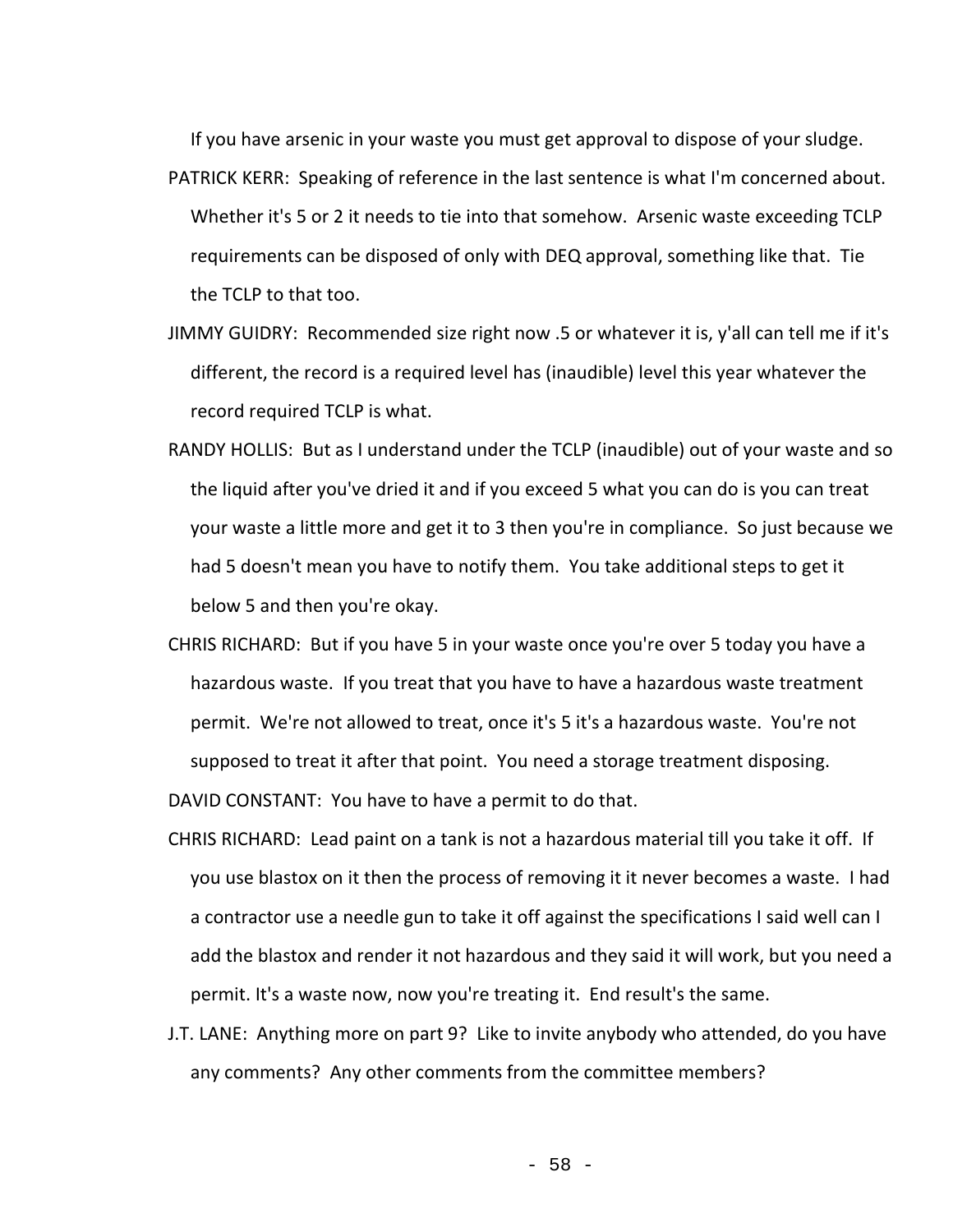If you have arsenic in your waste you must get approval to dispose of your sludge.

- PATRICK KERR: Speaking of reference in the last sentence is what I'm concerned about. Whether it's 5 or 2 it needs to tie into that somehow. Arsenic waste exceeding TCLP requirements can be disposed of only with DEQ approval, something like that. Tie the TCLP to that too.
- JIMMY GUIDRY: Recommended size right now .5 or whatever it is, y'all can tell me if it's different, the record is a required level has (inaudible) level this year whatever the record required TCLP is what.
- RANDY HOLLIS: But as I understand under the TCLP (inaudible) out of your waste and so the liquid after you've dried it and if you exceed 5 what you can do is you can treat your waste a little more and get it to 3 then you're in compliance. So just because we had 5 doesn't mean you have to notify them. You take additional steps to get it below 5 and then you're okay.
- CHRIS RICHARD: But if you have 5 in your waste once you're over 5 today you have a hazardous waste. If you treat that you have to have a hazardous waste treatment permit. We're not allowed to treat, once it's 5 it's a hazardous waste. You're not supposed to treat it after that point. You need a storage treatment disposing.

DAVID CONSTANT: You have to have a permit to do that.

- CHRIS RICHARD: Lead paint on a tank is not a hazardous material till you take it off. If you use blastox on it then the process of removing it it never becomes a waste. I had a contractor use a needle gun to take it off against the specifications I said well can I add the blastox and render it not hazardous and they said it will work, but you need a permit. It's a waste now, now you're treating it. End result's the same.
- J.T. LANE: Anything more on part 9? Like to invite anybody who attended, do you have any comments? Any other comments from the committee members?